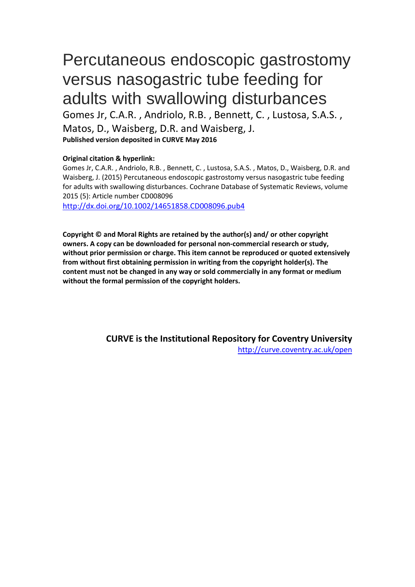# Percutaneous endoscopic gastrostomy versus nasogastric tube feeding for adults with swallowing disturbances

Gomes Jr, C.A.R. , Andriolo, R.B. , Bennett, C. , Lustosa, S.A.S. , Matos, D., Waisberg, D.R. and Waisberg, J. **Published version deposited in CURVE May 2016**

## **Original citation & hyperlink:**

Gomes Jr, C.A.R. , Andriolo, R.B. , Bennett, C. , Lustosa, S.A.S. , Matos, D., Waisberg, D.R. and Waisberg, J. (2015) Percutaneous endoscopic gastrostomy versus nasogastric tube feeding for adults with swallowing disturbances. Cochrane Database of Systematic Reviews, volume 2015 (5): Article number CD008096

<http://dx.doi.org/10.1002/14651858.CD008096.pub4>

**Copyright © and Moral Rights are retained by the author(s) and/ or other copyright owners. A copy can be downloaded for personal non-commercial research or study, without prior permission or charge. This item cannot be reproduced or quoted extensively from without first obtaining permission in writing from the copyright holder(s). The content must not be changed in any way or sold commercially in any format or medium without the formal permission of the copyright holders.** 

> **CURVE is the Institutional Repository for Coventry University** <http://curve.coventry.ac.uk/open>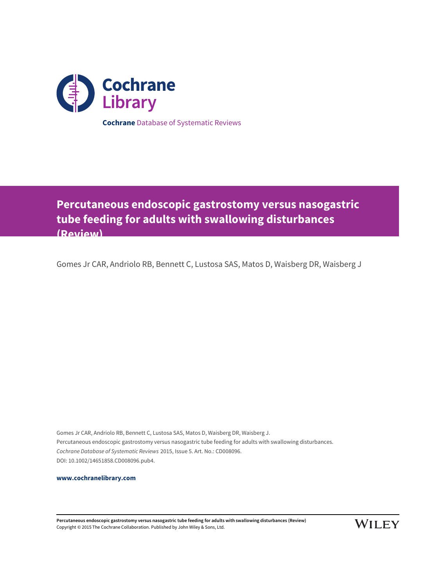

**Percutaneous endoscopic gastrostomy versus nasogastric tube feeding for adults with swallowing disturbances (Review)**

Gomes Jr CAR, Andriolo RB, Bennett C, Lustosa SAS, Matos D, Waisberg DR, Waisberg J

Gomes Jr CAR, Andriolo RB, Bennett C, Lustosa SAS, Matos D, Waisberg DR, Waisberg J. Percutaneous endoscopic gastrostomy versus nasogastric tube feeding for adults with swallowing disturbances. Cochrane Database of Systematic Reviews 2015, Issue 5. Art. No.: CD008096. DOI: 10.1002/14651858.CD008096.pub4.

**[www.cochranelibrary.com](http://www.cochranelibrary.com)**

**Percutaneous endoscopic gastrostomy versus nasogastric tube feeding for adults with swallowing disturbances (Review)** Copyright © 2015 The Cochrane Collaboration. Published by John Wiley & Sons, Ltd.

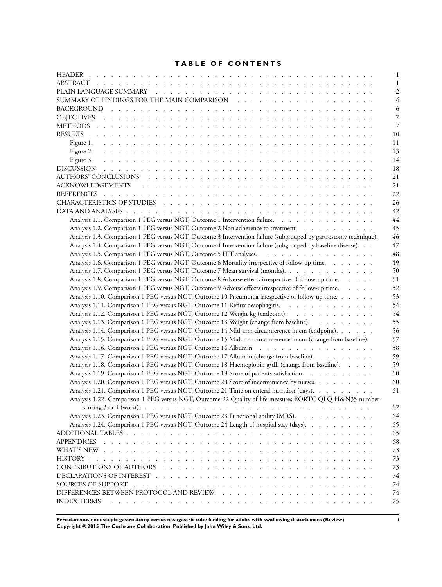## **TABLE OF CONTENTS**

| 1                                                                                                                                                                                                                                                        |
|----------------------------------------------------------------------------------------------------------------------------------------------------------------------------------------------------------------------------------------------------------|
| 2                                                                                                                                                                                                                                                        |
| 4                                                                                                                                                                                                                                                        |
| 6                                                                                                                                                                                                                                                        |
| 7                                                                                                                                                                                                                                                        |
| 7                                                                                                                                                                                                                                                        |
| 10                                                                                                                                                                                                                                                       |
| 11                                                                                                                                                                                                                                                       |
| 13                                                                                                                                                                                                                                                       |
| Figure 3.<br>14                                                                                                                                                                                                                                          |
| 18                                                                                                                                                                                                                                                       |
| 21                                                                                                                                                                                                                                                       |
| 21                                                                                                                                                                                                                                                       |
| 22                                                                                                                                                                                                                                                       |
|                                                                                                                                                                                                                                                          |
| 26                                                                                                                                                                                                                                                       |
| 42                                                                                                                                                                                                                                                       |
| Analysis 1.1. Comparison 1 PEG versus NGT, Outcome 1 Intervention failure.<br>44                                                                                                                                                                         |
| Analysis 1.2. Comparison 1 PEG versus NGT, Outcome 2 Non adherence to treatment.<br>45                                                                                                                                                                   |
| Analysis 1.3. Comparison 1 PEG versus NGT, Outcome 3 Intervention failure (subgrouped by gastrostomy technique).<br>46                                                                                                                                   |
| Analysis 1.4. Comparison 1 PEG versus NGT, Outcome 4 Intervention failure (subgrouped by baseline disease).<br>47                                                                                                                                        |
| Analysis 1.5. Comparison 1 PEG versus NGT, Outcome 5 ITT analyses.<br>48                                                                                                                                                                                 |
| Analysis 1.6. Comparison 1 PEG versus NGT, Outcome 6 Mortality irrespective of follow-up time.<br>49                                                                                                                                                     |
| Analysis 1.7. Comparison 1 PEG versus NGT, Outcome 7 Mean survival (months).<br>50                                                                                                                                                                       |
| Analysis 1.8. Comparison 1 PEG versus NGT, Outcome 8 Adverse effects irrespective of follow-up time.<br>51                                                                                                                                               |
| Analysis 1.9. Comparison 1 PEG versus NGT, Outcome 9 Adverse effects irrespective of follow-up time.<br>52                                                                                                                                               |
| Analysis 1.10. Comparison 1 PEG versus NGT, Outcome 10 Pneumonia irrespective of follow-up time.<br>53                                                                                                                                                   |
| Analysis 1.11. Comparison 1 PEG versus NGT, Outcome 11 Reflux oesophagitis.<br>54                                                                                                                                                                        |
| Analysis 1.12. Comparison 1 PEG versus NGT, Outcome 12 Weight kg (endpoint).<br>54                                                                                                                                                                       |
| Analysis 1.13. Comparison 1 PEG versus NGT, Outcome 13 Weight (change from baseline).<br>55                                                                                                                                                              |
| Analysis 1.14. Comparison 1 PEG versus NGT, Outcome 14 Mid-arm circumference in cm (endpoint).<br>56                                                                                                                                                     |
| Analysis 1.15. Comparison 1 PEG versus NGT, Outcome 15 Mid-arm circumference in cm (change from baseline).<br>57                                                                                                                                         |
| Analysis 1.16. Comparison 1 PEG versus NGT, Outcome 16 Albumin.<br>58                                                                                                                                                                                    |
| Analysis 1.17. Comparison 1 PEG versus NGT, Outcome 17 Albumin (change from baseline).<br>59                                                                                                                                                             |
| Analysis 1.18. Comparison 1 PEG versus NGT, Outcome 18 Haemoglobin g/dL (change from baseline).<br>59                                                                                                                                                    |
| Analysis 1.19. Comparison 1 PEG versus NGT, Outcome 19 Score of patients satisfaction.<br>60                                                                                                                                                             |
| Analysis 1.20. Comparison 1 PEG versus NGT, Outcome 20 Score of inconvenience by nurses.<br>60                                                                                                                                                           |
|                                                                                                                                                                                                                                                          |
| Analysis 1.21. Comparison 1 PEG versus NGT, Outcome 21 Time on enteral nutrition (days).<br>61                                                                                                                                                           |
| Analysis 1.22. Comparison 1 PEG versus NGT, Outcome 22 Quality of life measures EORTC QLQ-H&N35 number                                                                                                                                                   |
| 62                                                                                                                                                                                                                                                       |
| Analysis 1.23. Comparison 1 PEG versus NGT, Outcome 23 Functional ability (MRS).<br>64                                                                                                                                                                   |
| Analysis 1.24. Comparison 1 PEG versus NGT, Outcome 24 Length of hospital stay (days).<br>65                                                                                                                                                             |
| 65                                                                                                                                                                                                                                                       |
| <b>APPENDICES</b><br>68<br>a constitution of the constitution of the constitution of the constitution of the constitution of the constitution of the constitution of the constitution of the constitution of the constitution of the constitution of the |
| 73                                                                                                                                                                                                                                                       |
| 73                                                                                                                                                                                                                                                       |
| CONTRIBUTIONS OF AUTHORS<br>the contract of the contract of the contract of the contract of the contract of the contract of the contract of<br>73                                                                                                        |
| 74                                                                                                                                                                                                                                                       |
| SOURCES OF SUPPORT<br>74                                                                                                                                                                                                                                 |
| 74                                                                                                                                                                                                                                                       |
| <b>INDEX TERMS</b><br>75                                                                                                                                                                                                                                 |
|                                                                                                                                                                                                                                                          |

**Percutaneous endoscopic gastrostomy versus nasogastric tube feeding for adults with swallowing disturbances (Review) i Copyright © 2015 The Cochrane Collaboration. Published by John Wiley & Sons, Ltd.**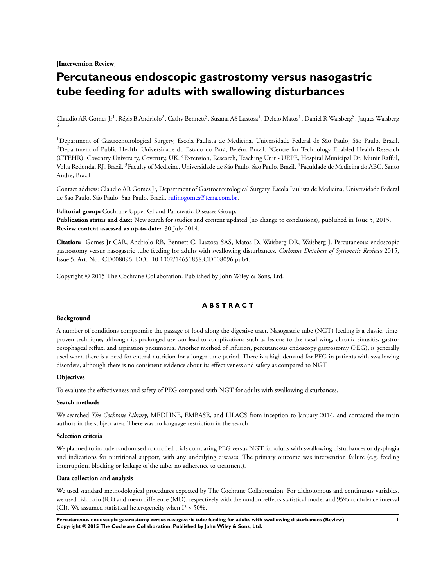## **[Intervention Review]**

## **Percutaneous endoscopic gastrostomy versus nasogastric tube feeding for adults with swallowing disturbances**

Claudio AR Gomes Jr<sup>1</sup>, Régis B Andriolo<sup>2</sup>, Cathy Bennett<sup>3</sup>, Suzana AS Lustosa<sup>4</sup>, Delcio Matos<sup>1</sup>, Daniel R Waisberg<sup>5</sup>, Jaques Waisberg 6

<sup>1</sup>Department of Gastroenterological Surgery, Escola Paulista de Medicina, Universidade Federal de São Paulo, São Paulo, Brazil. <sup>2</sup>Department of Public Health, Universidade do Estado do Pará, Belém, Brazil.<sup>3</sup>Centre for Technology Enabled Health Research (CTEHR), Coventry University, Coventry, UK. <sup>4</sup>Extension, Research, Teaching Unit - UEPE, Hospital Municipal Dr. Munir Rafful, Volta Redonda, RJ, Brazil. <sup>5</sup>Faculty of Medicine, Universidade de São Paulo, Sao Paulo, Brazil. <sup>6</sup>Faculdade de Medicina do ABC, Santo Andre, Brazil

Contact address: Claudio AR Gomes Jr, Department of Gastroenterological Surgery, Escola Paulista de Medicina, Universidade Federal de São Paulo, São Paulo, São Paulo, Brazil. [rufinogomes@terra.com.br.](mailto:rufinogomes@terra.com.br)

**Editorial group:** Cochrane Upper GI and Pancreatic Diseases Group.

**Publication status and date:** New search for studies and content updated (no change to conclusions), published in Issue 5, 2015. **Review content assessed as up-to-date:** 30 July 2014.

**Citation:** Gomes Jr CAR, Andriolo RB, Bennett C, Lustosa SAS, Matos D, Waisberg DR, Waisberg J. Percutaneous endoscopic gastrostomy versus nasogastric tube feeding for adults with swallowing disturbances. *Cochrane Database of Systematic Reviews* 2015, Issue 5. Art. No.: CD008096. DOI: 10.1002/14651858.CD008096.pub4.

Copyright © 2015 The Cochrane Collaboration. Published by John Wiley & Sons, Ltd.

## **A B S T R A C T**

#### **Background**

A number of conditions compromise the passage of food along the digestive tract. Nasogastric tube (NGT) feeding is a classic, timeproven technique, although its prolonged use can lead to complications such as lesions to the nasal wing, chronic sinusitis, gastrooesophageal reflux, and aspiration pneumonia. Another method of infusion, percutaneous endoscopy gastrostomy (PEG), is generally used when there is a need for enteral nutrition for a longer time period. There is a high demand for PEG in patients with swallowing disorders, although there is no consistent evidence about its effectiveness and safety as compared to NGT.

### **Objectives**

To evaluate the effectiveness and safety of PEG compared with NGT for adults with swallowing disturbances.

#### **Search methods**

We searched *The Cochrane Library*, MEDLINE, EMBASE, and LILACS from inception to January 2014, and contacted the main authors in the subject area. There was no language restriction in the search.

#### **Selection criteria**

We planned to include randomised controlled trials comparing PEG versus NGT for adults with swallowing disturbances or dysphagia and indications for nutritional support, with any underlying diseases. The primary outcome was intervention failure (e.g. feeding interruption, blocking or leakage of the tube, no adherence to treatment).

#### **Data collection and analysis**

We used standard methodological procedures expected by The Cochrane Collaboration. For dichotomous and continuous variables, we used risk ratio (RR) and mean difference (MD), respectively with the random-effects statistical model and 95% confidence interval (CI). We assumed statistical heterogeneity when  $I^2$  > 50%.

**Percutaneous endoscopic gastrostomy versus nasogastric tube feeding for adults with swallowing disturbances (Review) 1 Copyright © 2015 The Cochrane Collaboration. Published by John Wiley & Sons, Ltd.**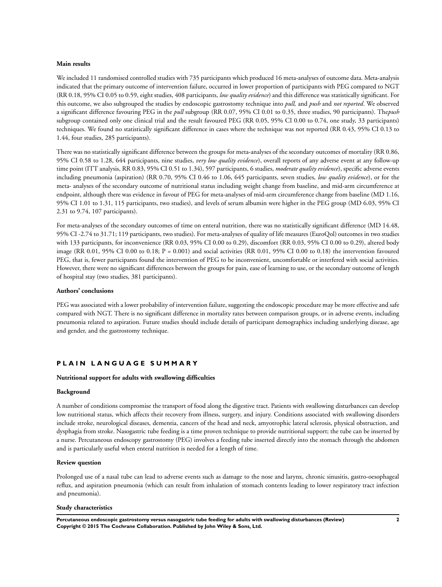#### **Main results**

We included 11 randomised controlled studies with 735 participants which produced 16 meta-analyses of outcome data. Meta-analysis indicated that the primary outcome of intervention failure, occurred in lower proportion of participants with PEG compared to NGT (RR 0.18, 95% CI 0.05 to 0.59, eight studies, 408 participants, *low quality evidence*) and this difference was statistically significant. For this outcome, we also subgrouped the studies by endoscopic gastrostomy technique into *pull,* and *push* and *not reported*. We observed a significant difference favouring PEG in the *pull* subgroup (RR 0.07, 95% CI 0.01 to 0.35, three studies, 90 participants). The*push* subgroup contained only one clinical trial and the result favoured PEG (RR 0.05, 95% CI 0.00 to 0.74, one study, 33 participants) techniques. We found no statistically significant difference in cases where the technique was not reported (RR 0.43, 95% CI 0.13 to 1.44, four studies, 285 participants).

There was no statistically significant difference between the groups for meta-analyses of the secondary outcomes of mortality (RR 0.86, 95% CI 0.58 to 1.28, 644 participants, nine studies, *very low quality evidence*), overall reports of any adverse event at any follow-up time point (ITT analysis, RR 0.83, 95% CI 0.51 to 1.34), 597 participants, 6 studies, *moderate quality evidence*), specific adverse events including pneumonia (aspiration) (RR 0.70, 95% CI 0.46 to 1.06, 645 participants, seven studies, *low quality evidence*), or for the meta- analyses of the secondary outcome of nutritional status including weight change from baseline, and mid-arm circumference at endpoint, although there was evidence in favour of PEG for meta-analyses of mid-arm circumference change from baseline (MD 1.16, 95% CI 1.01 to 1.31, 115 participants, two studies), and levels of serum albumin were higher in the PEG group (MD 6.03, 95% CI 2.31 to 9.74, 107 participants).

For meta-analyses of the secondary outcomes of time on enteral nutrition, there was no statistically significant difference (MD 14.48, 95% CI -2.74 to 31.71; 119 participants, two studies). For meta-analyses of quality of life measures (EuroQol) outcomes in two studies with 133 participants, for inconvenience (RR 0.03, 95% CI 0.00 to 0.29), discomfort (RR 0.03, 95% CI 0.00 to 0.29), altered body image (RR 0.01, 95% CI 0.00 to 0.18;  $P = 0.001$ ) and social activities (RR 0.01, 95% CI 0.00 to 0.18) the intervention favoured PEG, that is, fewer participants found the intervention of PEG to be inconvenient, uncomfortable or interfered with social activities. However, there were no significant differences between the groups for pain, ease of learning to use, or the secondary outcome of length of hospital stay (two studies, 381 participants).

#### **Authors' conclusions**

PEG was associated with a lower probability of intervention failure, suggesting the endoscopic procedure may be more effective and safe compared with NGT. There is no significant difference in mortality rates between comparison groups, or in adverse events, including pneumonia related to aspiration. Future studies should include details of participant demographics including underlying disease, age and gender, and the gastrostomy technique.

## **P L A I N L A N G U A G E S U M M A R Y**

#### **Nutritional support for adults with swallowing difficulties**

## **Background**

A number of conditions compromise the transport of food along the digestive tract. Patients with swallowing disturbances can develop low nutritional status, which affects their recovery from illness, surgery, and injury. Conditions associated with swallowing disorders include stroke, neurological diseases, dementia, cancers of the head and neck, amyotrophic lateral sclerosis, physical obstruction, and dysphagia from stroke. Nasogastric tube feeding is a time proven technique to provide nutritional support; the tube can be inserted by a nurse. Percutaneous endoscopy gastrostomy (PEG) involves a feeding tube inserted directly into the stomach through the abdomen and is particularly useful when enteral nutrition is needed for a length of time.

#### **Review question**

Prolonged use of a nasal tube can lead to adverse events such as damage to the nose and larynx, chronic sinusitis, gastro-oesophageal reflux, and aspiration pneumonia (which can result from inhalation of stomach contents leading to lower respiratory tract infection and pneumonia).

#### **Study characteristics**

**Percutaneous endoscopic gastrostomy versus nasogastric tube feeding for adults with swallowing disturbances (Review) 2 Copyright © 2015 The Cochrane Collaboration. Published by John Wiley & Sons, Ltd.**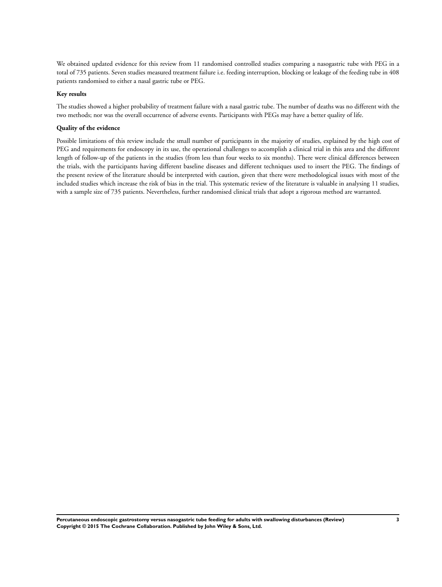We obtained updated evidence for this review from 11 randomised controlled studies comparing a nasogastric tube with PEG in a total of 735 patients. Seven studies measured treatment failure i.e. feeding interruption, blocking or leakage of the feeding tube in 408 patients randomised to either a nasal gastric tube or PEG.

#### **Key results**

The studies showed a higher probability of treatment failure with a nasal gastric tube. The number of deaths was no different with the two methods; nor was the overall occurrence of adverse events. Participants with PEGs may have a better quality of life.

#### **Quality of the evidence**

Possible limitations of this review include the small number of participants in the majority of studies, explained by the high cost of PEG and requirements for endoscopy in its use, the operational challenges to accomplish a clinical trial in this area and the different length of follow-up of the patients in the studies (from less than four weeks to six months). There were clinical differences between the trials, with the participants having different baseline diseases and different techniques used to insert the PEG. The findings of the present review of the literature should be interpreted with caution, given that there were methodological issues with most of the included studies which increase the risk of bias in the trial. This systematic review of the literature is valuable in analysing 11 studies, with a sample size of 735 patients. Nevertheless, further randomised clinical trials that adopt a rigorous method are warranted.

**Percutaneous endoscopic gastrostomy versus nasogastric tube feeding for adults with swallowing disturbances (Review) 3 Copyright © 2015 The Cochrane Collaboration. Published by John Wiley & Sons, Ltd.**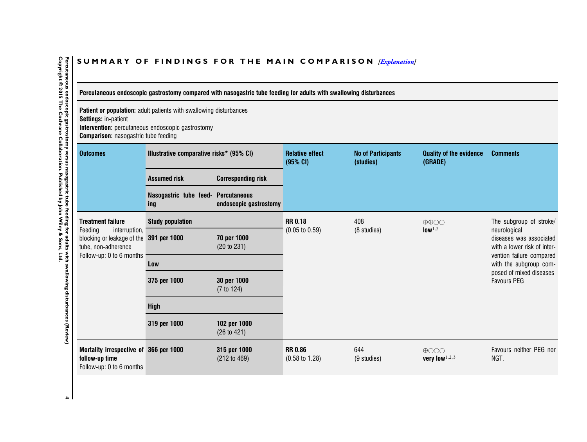## <span id="page-6-0"></span>SUMMARY OF FINDINGS FOR THE MAIN COMPARISON *[\[Explanation\]](http://www.thecochranelibrary.com/view/0/SummaryFindings.html)*

Percutaneous endoscopic gastrostomy compared with nasogastric tube feeding for adults with swallowing disturbances

**Patient or population:** adult patients with swallowing disturbances **Settings:** in-patient

**Intervention:** percutaneous endoscopic gastrostomy **Comparison:** nasogastric tube feeding

|                                                                                                                                       | <b>IPanovin</b> naoogaoano tabo robanig  |                                               |                                             |                                        |                                           |                                                                        |
|---------------------------------------------------------------------------------------------------------------------------------------|------------------------------------------|-----------------------------------------------|---------------------------------------------|----------------------------------------|-------------------------------------------|------------------------------------------------------------------------|
| <b>Outcomes</b>                                                                                                                       | Illustrative comparative risks* (95% CI) |                                               | <b>Relative effect</b><br>(95% CI)          | <b>No of Participants</b><br>(studies) | <b>Quality of the evidence</b><br>(GRADE) | <b>Comments</b>                                                        |
|                                                                                                                                       | <b>Assumed risk</b>                      | <b>Corresponding risk</b>                     |                                             |                                        |                                           |                                                                        |
|                                                                                                                                       | Nasogastric tube feed-<br>ing            | <b>Percutaneous</b><br>endoscopic gastrostomy |                                             |                                        |                                           |                                                                        |
| <b>Treatment failure</b><br>Feeding<br>interruption,<br>blocking or leakage of the<br>tube, non-adherence<br>Follow-up: 0 to 6 months | <b>Study population</b>                  |                                               | <b>RR 0.18</b>                              | 408                                    | $\oplus \oplus \bigcirc \bigcirc$         | The subgroup of stroke/                                                |
|                                                                                                                                       | 391 per 1000                             | 70 per 1000<br>(20 to 231)                    | $(0.05 \text{ to } 0.59)$                   | (8 studies)                            | low <sup>1,3</sup>                        | neurological<br>diseases was associated<br>with a lower risk of inter- |
|                                                                                                                                       | Low                                      |                                               |                                             |                                        |                                           | vention failure compared<br>with the subgroup com-                     |
|                                                                                                                                       | 375 per 1000                             | 30 per 1000<br>$(7 \text{ to } 124)$          |                                             |                                        |                                           | posed of mixed diseases<br><b>Favours PEG</b>                          |
|                                                                                                                                       | <b>High</b>                              |                                               |                                             |                                        |                                           |                                                                        |
|                                                                                                                                       | 319 per 1000                             | 102 per 1000<br>(26 to 421)                   |                                             |                                        |                                           |                                                                        |
| Mortality irrespective of 366 per 1000<br>follow-up time<br>Follow-up: 0 to 6 months                                                  |                                          | 315 per 1000<br>(212 to 469)                  | <b>RR 0.86</b><br>$(0.58 \text{ to } 1.28)$ | 644<br>(9 studies)                     | $\bigoplus$ OOO<br>very low $1,2,3$       | Favours neither PEG nor<br>NGT.                                        |

 $\blacktriangle$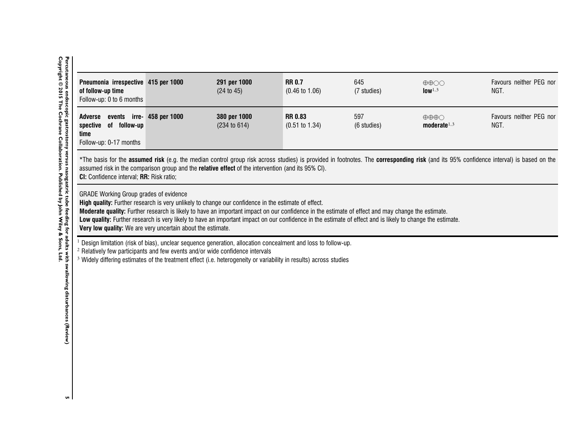| Pneumonia irrespective 415 per 1000<br>of follow-up time<br>Follow-up: 0 to 6 months                                                                                                                                                                                                                                                                                                                                                                                                                                                   |  | 291 per 1000<br>(24 to 45)                                                                         | <b>RR 0.7</b><br>$(0.46 \text{ to } 1.06)$  | 645<br>(7 studies) | $\oplus \oplus \bigcirc \bigcirc$<br>low <sup>1,3</sup> | Favours neither PEG nor<br>NGT.                                                                                                                                                        |
|----------------------------------------------------------------------------------------------------------------------------------------------------------------------------------------------------------------------------------------------------------------------------------------------------------------------------------------------------------------------------------------------------------------------------------------------------------------------------------------------------------------------------------------|--|----------------------------------------------------------------------------------------------------|---------------------------------------------|--------------------|---------------------------------------------------------|----------------------------------------------------------------------------------------------------------------------------------------------------------------------------------------|
| events irre- 458 per 1000<br>Adverse<br>of follow-up<br>spective<br>time<br>Follow-up: 0-17 months                                                                                                                                                                                                                                                                                                                                                                                                                                     |  | 380 per 1000<br>(234 to 614)                                                                       | <b>RR 0.83</b><br>$(0.51 \text{ to } 1.34)$ | 597<br>(6 studies) | $\oplus \oplus \oplus \cap$<br>moderate $1,3$           | Favours neither PEG nor<br>NGT.                                                                                                                                                        |
| CI: Confidence interval; RR: Risk ratio;                                                                                                                                                                                                                                                                                                                                                                                                                                                                                               |  | assumed risk in the comparison group and the relative effect of the intervention (and its 95% CI). |                                             |                    |                                                         | *The basis for the assumed risk (e.g. the median control group risk across studies) is provided in footnotes. The corresponding risk (and its 95% confidence interval) is based on the |
| <b>GRADE Working Group grades of evidence</b><br>High quality: Further research is very unlikely to change our confidence in the estimate of effect.<br>Moderate quality: Further research is likely to have an important impact on our confidence in the estimate of effect and may change the estimate.<br>Low quality: Further research is very likely to have an important impact on our confidence in the estimate of effect and is likely to change the estimate.<br>Very low quality: We are very uncertain about the estimate. |  |                                                                                                    |                                             |                    |                                                         |                                                                                                                                                                                        |
| Design limitation (risk of bias), unclear sequence generation, allocation concealment and loss to follow-up.<br><sup>2</sup> Relatively few participants and few events and/or wide confidence intervals<br><sup>3</sup> Widely differing estimates of the treatment effect (i.e. heterogeneity or variability in results) across studies                                                                                                                                                                                              |  |                                                                                                    |                                             |                    |                                                         |                                                                                                                                                                                        |
|                                                                                                                                                                                                                                                                                                                                                                                                                                                                                                                                        |  |                                                                                                    |                                             |                    |                                                         |                                                                                                                                                                                        |
|                                                                                                                                                                                                                                                                                                                                                                                                                                                                                                                                        |  |                                                                                                    |                                             |                    |                                                         |                                                                                                                                                                                        |

 $\sqrt{2}$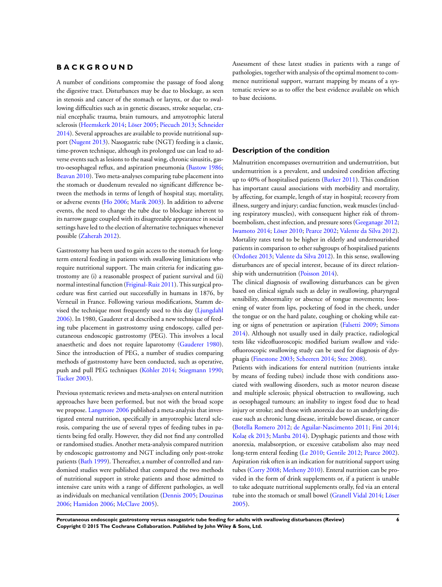## **B A C K G R O U N D**

A number of conditions compromise the passage of food along the digestive tract. Disturbances may be due to blockage, as seen in stenosis and cancer of the stomach or larynx, or due to swallowing difficulties such as in genetic diseases, stroke sequelae, cranial encephalic trauma, brain tumours, and amyotrophic lateral sclerosis ([Heemskerk 2014](#page-24-0); [Löser 2005](#page-24-0); [Piecuch 2013;](#page-24-0) [Schneider](#page-24-0) [2014](#page-24-0)). Several approaches are available to provide nutritional support ([Nugent 2013\)](#page-24-0). Nasogastric tube (NGT) feeding is a classic, time-proven technique, although its prolonged use can lead to adverse events such as lesions to the nasal wing, chronic sinusitis, gastro-oesophageal reflux, and aspiration pneumonia ([Bastow 1986;](#page-24-0) [Beavan 2010\)](#page-24-0). Two meta-analyses comparing tube placement into the stomach or duodenum revealed no significant difference between the methods in terms of length of hospital stay, mortality, or adverse events ([Ho 2006](#page-24-0); [Marik 2003\)](#page-24-0). In addition to adverse events, the need to change the tube due to blockage inherent to its narrow gauge coupled with its disagreeable appearance in social settings have led to the election of alternative techniques whenever possible ([Zaherah 2012\)](#page-24-0).

Gastrostomy has been used to gain access to the stomach for longterm enteral feeding in patients with swallowing limitations who require nutritional support. The main criteria for indicating gastrostomy are (i) a reasonable prospect of patient survival and (ii) normal intestinal function ([Friginal-Ruiz 2011\)](#page-24-0). This surgical procedure was first carried out successfully in humans in 1876, by Verneuil in France. Following various modifications, Stamm devised the technique most frequently used to this day ([Ljungdahl](#page-24-0) [2006](#page-24-0)). In 1980, Gauderer et al described a new technique of feeding tube placement in gastrostomy using endoscopy, called percutaneous endoscopic gastrostomy (PEG). This involves a local anaesthetic and does not require laparotomy [\(Gauderer 1980](#page-24-0)). Since the introduction of PEG, a number of studies comparing methods of gastrostomy have been conducted, such as operative, push and pull PEG techniques [\(Köhler 2014;](#page-24-0) [Stiegmann 1990;](#page-24-0) [Tucker 2003](#page-24-0)).

Previous systematic reviews and meta-analyses on enteral nutrition approaches have been performed, but not with the broad scope we propose. [Langmore 2006](#page-24-0) published a meta-analysis that investigated enteral nutrition, specifically in amyotrophic lateral sclerosis, comparing the use of several types of feeding tubes in patients being fed orally. However, they did not find any controlled or randomised studies. Another meta-analysis compared nutrition by endoscopic gastrostomy and NGT including only post-stroke patients [\(Bath 1999](#page-24-0)). Thereafter, a number of controlled and randomised studies were published that compared the two methods of nutritional support in stroke patients and those admitted to intensive care units with a range of different pathologies, as well as individuals on mechanical ventilation ([Dennis 2005](#page-24-0); [Douzinas](#page-24-0) [2006](#page-24-0); [Hamidon 2006;](#page-24-0) [McClave 2005\)](#page-24-0).

Assessment of these latest studies in patients with a range of pathologies, together with analysis of the optimal moment to commence nutritional support, warrant mapping by means of a systematic review so as to offer the best evidence available on which to base decisions.

## **Description of the condition**

Malnutrition encompasses overnutrition and undernutrition, but undernutrition is a prevalent, and undesired condition affecting up to 40% of hospitalised patients [\(Barker 2011](#page-24-0)). This condition has important causal associations with morbidity and mortality, by affecting, for example, length of stay in hospital; recovery from illness, surgery and injury; cardiac function, weak muscles (including respiratory muscles), with consequent higher risk of thromboembolism, chest infection, and pressure sores ([Geeganage 2012;](#page-24-0) [Iwamoto 2014](#page-24-0); [Löser 2010;](#page-24-0) [Pearce 2002;](#page-24-0) [Valente da Silva 2012](#page-24-0)). Mortality rates tend to be higher in elderly and undernourished patients in comparison to other subgroups of hospitalised patients [\(Ordoñez 2013;](#page-24-0) [Valente da Silva 2012](#page-24-0)). In this sense, swallowing disturbances are of special interest, because of its direct relationship with undernutrition ([Poisson 2014](#page-24-0)).

The clinical diagnosis of swallowing disturbances can be given based on clinical signals such as delay in swallowing, pharyngeal sensibility, abnormality or absence of tongue movements; loosening of water from lips, pocketing of food in the cheek, under the tongue or on the hard palate, coughing or choking while eating or signs of penetration or aspiration ([Falsetti 2009](#page-24-0); [Simons](#page-24-0) [2014](#page-24-0)). Although not usually used in daily practice, radiological tests like videofluoroscopic modified barium swallow and videofluoroscopic swallowing study can be used for diagnosis of dysphagia [\(Finestone 2003;](#page-24-0) [Scheeren 2014;](#page-24-0) [Stec 2008](#page-24-0)).

Patients with indications for enteral nutrition (nutrients intake by means of feeding tubes) include those with conditions associated with swallowing disorders, such as motor neuron disease and multiple sclerosis; physical obstruction to swallowing, such as oesophageal tumours; an inability to ingest food due to head injury or stroke; and those with anorexia due to an underlying disease such as chronic lung disease, irritable bowel disease, or cancer [\(Botella Romero 2012](#page-24-0); [de Aguilar-Nascimento 2011;](#page-24-0) [Fini 2014;](#page-24-0) [Kola](#page-24-0)c ek [2013;](#page-24-0) [Manba 2014\)](#page-24-0). Dysphagic patients and those with anorexia, malabsorption, or excessive catabolism also may need long-term enteral feeding ([Le 2010](#page-24-0); [Gentile 2012](#page-24-0); [Pearce 2002](#page-24-0)). Aspiration risk often is an indication for nutritional support using tubes [\(Corry 2008;](#page-24-0) [Metheny 2010](#page-24-0)). Enteral nutrition can be provided in the form of drink supplements or, if a patient is unable to take adequate nutritional supplements orally, fed via an enteral tube into the stomach or small bowel ([Granell Vidal 2014;](#page-24-0) [Löser](#page-24-0) [2005](#page-24-0)).

**Percutaneous endoscopic gastrostomy versus nasogastric tube feeding for adults with swallowing disturbances (Review) 6 Copyright © 2015 The Cochrane Collaboration. Published by John Wiley & Sons, Ltd.**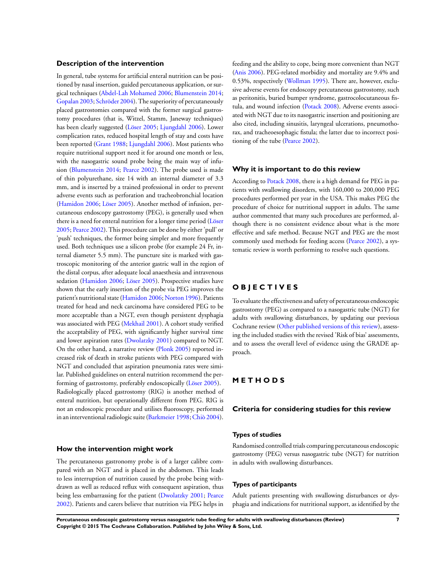## **Description of the intervention**

In general, tube systems for artificial enteral nutrition can be positioned by nasal insertion, guided percutaneous application, or surgical techniques [\(Abdel-Lah Mohamed 2006;](#page-24-0) [Blumenstein 2014;](#page-24-0) [Gopalan 2003;](#page-24-0) [Schröder 2004\)](#page-24-0). The superiority of percutaneously placed gastrostomies compared with the former surgical gastrostomy procedures (that is, Witzel, Stamm, Janeway techniques) has been clearly suggested ([Löser 2005](#page-24-0); [Ljungdahl 2006\)](#page-24-0). Lower complication rates, reduced hospital length of stay and costs have been reported [\(Grant 1988;](#page-24-0) [Ljungdahl 2006\)](#page-24-0). Most patients who require nutritional support need it for around one month or less, with the nasogastric sound probe being the main way of infusion [\(Blumenstein 2014;](#page-24-0) [Pearce 2002](#page-24-0)). The probe used is made of thin polyurethane, size 14 with an internal diameter of 3.3 mm, and is inserted by a trained professional in order to prevent adverse events such as perforation and tracheobronchial location [\(Hamidon 2006](#page-24-0); [Löser 2005](#page-24-0)). Another method of infusion, percutaneous endoscopy gastrostomy (PEG), is generally used when there is a need for enteral nutrition for a longer time period [\(Löser](#page-24-0) [2005](#page-24-0); [Pearce 2002\)](#page-24-0). This procedure can be done by either 'pull' or 'push' techniques, the former being simpler and more frequently used. Both techniques use a silicon probe (for example 24 Fr, internal diameter 5.5 mm). The puncture site is marked with gastroscopic monitoring of the anterior gastric wall in the region of the distal corpus, after adequate local anaesthesia and intravenous sedation ([Hamidon 2006](#page-24-0); [Löser 2005\)](#page-24-0). Prospective studies have shown that the early insertion of the probe via PEG improves the patient's nutritional state ([Hamidon 2006](#page-24-0); [Norton 1996](#page-24-0)). Patients treated for head and neck carcinoma have considered PEG to be more acceptable than a NGT, even though persistent dysphagia was associated with PEG [\(Mekhail 2001](#page-24-0)). A cohort study verified the acceptability of PEG, with significantly higher survival time and lower aspiration rates ([Dwolatzky 2001\)](#page-24-0) compared to NGT. On the other hand, a narrative review [\(Plonk 2005](#page-24-0)) reported increased risk of death in stroke patients with PEG compared with NGT and concluded that aspiration pneumonia rates were similar. Published guidelines on enteral nutrition recommend the performing of gastrostomy, preferably endoscopically ([Löser 2005\)](#page-24-0). Radiologically placed gastrostomy (RIG) is another method of enteral nutrition, but operationally different from PEG. RIG is not an endoscopic procedure and utilises fluoroscopy, performed in an interventional radiologic suite ([Barkmeier 1998](#page-24-0);[Chiò 2004](#page-24-0)).

## **How the intervention might work**

The percutaneous gastronomy probe is of a larger calibre compared with an NGT and is placed in the abdomen. This leads to less interruption of nutrition caused by the probe being withdrawn as well as reduced reflux with consequent aspiration, thus being less embarrassing for the patient [\(Dwolatzky 2001;](#page-24-0) [Pearce](#page-24-0) [2002](#page-24-0)). Patients and carers believe that nutrition via PEG helps in

feeding and the ability to cope, being more convenient than NGT [\(Anis 2006\)](#page-24-0). PEG-related morbidity and mortality are 9.4% and 0.53%, respectively [\(Wollman 1995](#page-24-0)). There are, however, exclusive adverse events for endoscopy percutaneous gastrostomy, such as peritonitis, buried bumper syndrome, gastrocolocutaneous fistula, and wound infection [\(Potack 2008](#page-24-0)). Adverse events associated with NGT due to its nasogastric insertion and positioning are also cited, including sinusitis, laryngeal ulcerations, pneumothorax, and tracheoesophagic fistula; the latter due to incorrect positioning of the tube ([Pearce 2002\)](#page-24-0).

#### **Why it is important to do this review**

According to [Potack 2008](#page-24-0), there is a high demand for PEG in patients with swallowing disorders, with 160,000 to 200,000 PEG procedures performed per year in the USA. This makes PEG the procedure of choice for nutritional support in adults. The same author commented that many such procedures are performed, although there is no consistent evidence about what is the more effective and safe method. Because NGT and PEG are the most commonly used methods for feeding access ([Pearce 2002\)](#page-24-0), a systematic review is worth performing to resolve such questions.

## **O B J E C T I V E S**

To evaluate the effectiveness and safety of percutaneous endoscopic gastrostomy (PEG) as compared to a nasogastric tube (NGT) for adults with swallowing disturbances, by updating our previous Cochrane review ([Other published versions of this review\)](#page-24-0), assessing the included studies with the revised 'Risk of bias' assessments, and to assess the overall level of evidence using the GRADE approach.

## **M E T H O D S**

#### **Criteria for considering studies for this review**

#### **Types of studies**

Randomised controlled trials comparing percutaneous endoscopic gastrostomy (PEG) versus nasogastric tube (NGT) for nutrition in adults with swallowing disturbances.

#### **Types of participants**

Adult patients presenting with swallowing disturbances or dysphagia and indications for nutritional support, as identified by the

**Percutaneous endoscopic gastrostomy versus nasogastric tube feeding for adults with swallowing disturbances (Review) 7 Copyright © 2015 The Cochrane Collaboration. Published by John Wiley & Sons, Ltd.**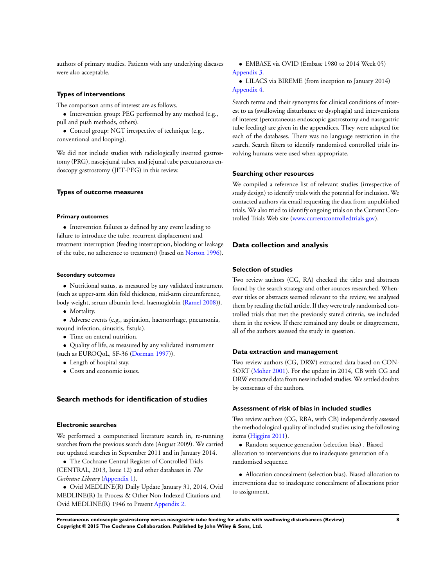authors of primary studies. Patients with any underlying diseases were also acceptable.

#### **Types of interventions**

The comparison arms of interest are as follows.

- Intervention group: PEG performed by any method (e.g., pull and push methods, others).
- Control group: NGT irrespective of technique (e.g., conventional and looping).

We did not include studies with radiologically inserted gastrostomy (PRG), nasojejunal tubes, and jejunal tube percutaneous endoscopy gastrostomy (JET-PEG) in this review.

#### **Types of outcome measures**

#### **Primary outcomes**

• Intervention failures as defined by any event leading to failure to introduce the tube, recurrent displacement and treatment interruption (feeding interruption, blocking or leakage of the tube, no adherence to treatment) (based on [Norton 1996](#page-24-0)).

#### **Secondary outcomes**

• Nutritional status, as measured by any validated instrument (such as upper-arm skin fold thickness, mid-arm circumference, body weight, serum albumin level, haemoglobin ([Ramel 2008](#page-24-0))).

• Mortality.

• Adverse events (e.g., aspiration, haemorrhage, pneumonia, wound infection, sinusitis, fistula).

• Time on enteral nutrition.

• Quality of life, as measured by any validated instrument (such as EUROQoL, SF-36 ([Dorman 1997\)](#page-24-0)).

- Length of hospital stay.
- Costs and economic issues.

## **Search methods for identification of studies**

#### **Electronic searches**

We performed a computerised literature search in, re-running searches from the previous search date (August 2009). We carried out updated searches in September 2011 and in January 2014.

• The Cochrane Central Register of Controlled Trials (CENTRAL, 2013, Issue 12) and other databases in *The Cochrane Library* ([Appendix 1](#page-71-0)),

• Ovid MEDLINE(R) Daily Update January 31, 2014, Ovid MEDLINE(R) In-Process & Other Non-Indexed Citations and Ovid MEDLINE(R) 1946 to Present [Appendix 2](#page-72-0).

• EMBASE via OVID (Embase 1980 to 2014 Week 05) [Appendix 3.](#page-73-0)

• LILACS via BIREME (from inception to January 2014) [Appendix 4.](#page-74-0)

Search terms and their synonyms for clinical conditions of interest to us (swallowing disturbance or dysphagia) and interventions of interest (percutaneous endoscopic gastrostomy and nasogastric tube feeding) are given in the appendices. They were adapted for each of the databases. There was no language restriction in the search. Search filters to identify randomised controlled trials involving humans were used when appropriate.

#### **Searching other resources**

We compiled a reference list of relevant studies (irrespective of study design) to identify trials with the potential for inclusion. We contacted authors via email requesting the data from unpublished trials. We also tried to identify ongoing trials on the Current Controlled Trials Web site [\(www.currentcontrolledtrials.gov](http://www.currentcontrolledtrials.gov)).

#### **Data collection and analysis**

### **Selection of studies**

Two review authors (CG, RA) checked the titles and abstracts found by the search strategy and other sources researched. Whenever titles or abstracts seemed relevant to the review, we analysed them by reading the full article. If they were truly randomised controlled trials that met the previously stated criteria, we included them in the review. If there remained any doubt or disagreement, all of the authors assessed the study in question.

#### **Data extraction and management**

Two review authors (CG, DRW) extracted data based on CON-SORT [\(Moher 2001](#page-24-0)). For the update in 2014, CB with CG and DRW extracted data from new included studies. We settled doubts by consensus of the authors.

#### **Assessment of risk of bias in included studies**

Two review authors (CG, RBA, with CB) independently assessed the methodological quality of included studies using the following items ([Higgins 2011\)](#page-24-0).

• Random sequence generation (selection bias) . Biased allocation to interventions due to inadequate generation of a randomised sequence.

• Allocation concealment (selection bias). Biased allocation to interventions due to inadequate concealment of allocations prior to assignment.

**Percutaneous endoscopic gastrostomy versus nasogastric tube feeding for adults with swallowing disturbances (Review) 8 Copyright © 2015 The Cochrane Collaboration. Published by John Wiley & Sons, Ltd.**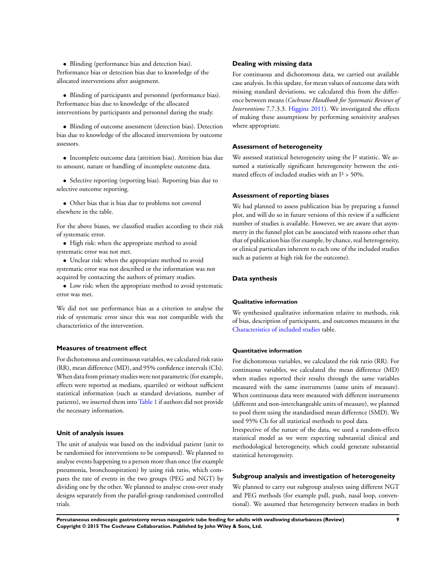• Blinding (performance bias and detection bias). Performance bias or detection bias due to knowledge of the allocated interventions after assignment.

• Blinding of participants and personnel (performance bias). Performance bias due to knowledge of the allocated interventions by participants and personnel during the study.

• Blinding of outcome assessment (detection bias). Detection bias due to knowledge of the allocated interventions by outcome assessors.

• Incomplete outcome data (attrition bias). Attrition bias due to amount, nature or handling of incomplete outcome data.

• Selective reporting (reporting bias). Reporting bias due to selective outcome reporting.

• Other bias that is bias due to problems not covered elsewhere in the table.

For the above biases, we classified studies according to their risk of systematic error.

• High risk: when the appropriate method to avoid systematic error was not met.

• Unclear risk: when the appropriate method to avoid systematic error was not described or the information was not acquired by contacting the authors of primary studies.

• Low risk: when the appropriate method to avoid systematic error was met.

We did not use performance bias as a criterion to analyse the risk of systematic error since this was not compatible with the characteristics of the intervention.

## **Measures of treatment effect**

For dichotomous and continuous variables, we calculated risk ratio (RR), mean difference (MD), and 95% confidence intervals (CIs). When data from primary studies were not parametric (for example, effects were reported as medians, quartiles) or without sufficient statistical information (such as standard deviations, number of patients), we inserted them into [Table 1](#page-67-0) if authors did not provide the necessary information.

#### **Unit of analysis issues**

The unit of analysis was based on the individual patient (unit to be randomised for interventions to be compared). We planned to analyse events happening to a person more than once (for example pneumonia, bronchoaspiration) by using risk ratio, which compares the rate of events in the two groups (PEG and NGT) by dividing one by the other. We planned to analyse cross-over study designs separately from the parallel-group randomised controlled trials.

#### **Dealing with missing data**

For continuous and dichotomous data, we carried out available case analysis. In this update, for mean values of outcome data with missing standard deviations, we calculated this from the difference between means (*Cochrane Handbook for Systematic Reviews of Interventions* 7.7.3.3. [Higgins 2011](#page-24-0)). We investigated the effects of making these assumptions by performing sensitivity analyses where appropriate.

#### **Assessment of heterogeneity**

We assessed statistical heterogeneity using the I<sup>2</sup> statistic. We assumed a statistically significant heterogeneity between the estimated effects of included studies with an  $I^2$  > 50%.

#### **Assessment of reporting biases**

We had planned to assess publication bias by preparing a funnel plot, and will do so in future versions of this review if a sufficient number of studies is available. However, we are aware that asymmetry in the funnel plot can be associated with reasons other than that of publication bias (for example, by chance, real heterogeneity, or clinical particulars inherent to each one of the included studies such as patients at high risk for the outcome).

#### **Data synthesis**

#### **Qualitative information**

We synthesised qualitative information relative to methods, risk of bias, description of participants, and outcomes measures in the [Characteristics of included studies](#page-29-0) table.

#### **Quantitative information**

For dichotomous variables, we calculated the risk ratio (RR). For continuous variables, we calculated the mean difference (MD) when studies reported their results through the same variables measured with the same instruments (same units of measure). When continuous data were measured with different instruments (different and non-interchangeable units of measure), we planned to pool them using the standardised mean difference (SMD). We used 95% CIs for all statistical methods to pool data.

Irrespective of the nature of the data, we used a random-effects statistical model as we were expecting substantial clinical and methodological heterogeneity, which could generate substantial statistical heterogeneity.

#### **Subgroup analysis and investigation of heterogeneity**

We planned to carry out subgroup analyses using different NGT and PEG methods (for example pull, push, nasal loop, conventional). We assumed that heterogeneity between studies in both

**Percutaneous endoscopic gastrostomy versus nasogastric tube feeding for adults with swallowing disturbances (Review) 9 Copyright © 2015 The Cochrane Collaboration. Published by John Wiley & Sons, Ltd.**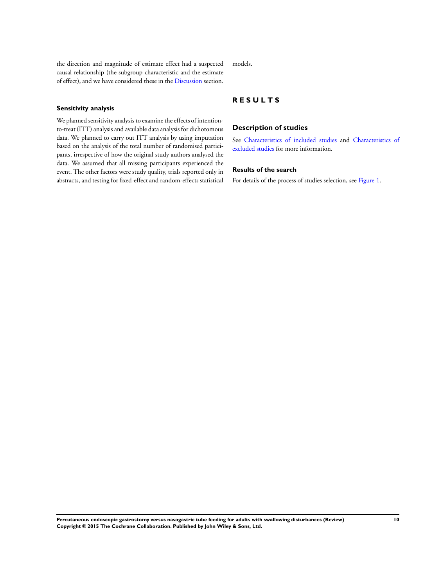the direction and magnitude of estimate effect had a suspected causal relationship (the subgroup characteristic and the estimate of effect), and we have considered these in the [Discussion](#page-17-0) section.

## **Sensitivity analysis**

We planned sensitivity analysis to examine the effects of intentionto-treat (ITT) analysis and available data analysis for dichotomous data. We planned to carry out ITT analysis by using imputation based on the analysis of the total number of randomised participants, irrespective of how the original study authors analysed the data. We assumed that all missing participants experienced the event. The other factors were study quality, trials reported only in abstracts, and testing for fixed-effect and random-effects statistical

models.

## **R E S U L T S**

#### **Description of studies**

See [Characteristics of included studies](#page-29-0) and [Characteristics of](#page-43-0) [excluded studies](#page-43-0) for more information.

## **Results of the search**

For details of the process of studies selection, see [Figure 1.](#page-13-0)

**Percutaneous endoscopic gastrostomy versus nasogastric tube feeding for adults with swallowing disturbances (Review) 10 Copyright © 2015 The Cochrane Collaboration. Published by John Wiley & Sons, Ltd.**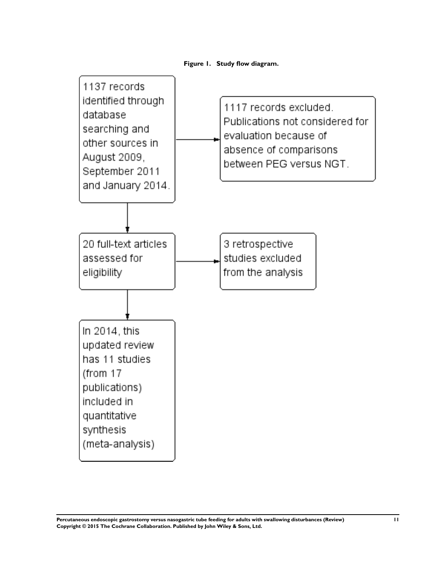

<span id="page-13-0"></span>

**Percutaneous endoscopic gastrostomy versus nasogastric tube feeding for adults with swallowing disturbances (Review) 11 Copyright © 2015 The Cochrane Collaboration. Published by John Wiley & Sons, Ltd.**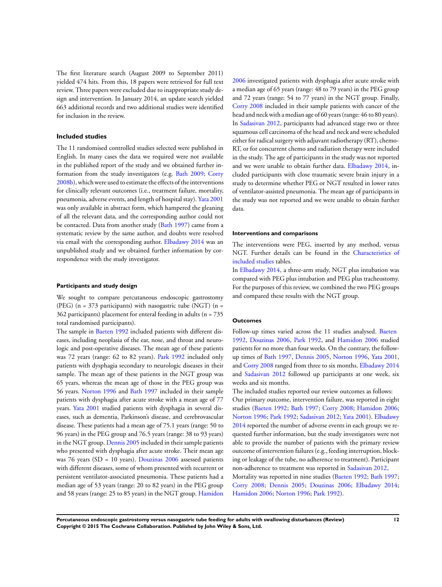The first literature search (August 2009 to September 2011) yielded 474 hits. From this, 18 papers were retrieved for full text review. Three papers were excluded due to inappropriate study design and intervention. In January 2014, an update search yielded 663 additional records and two additional studies were identified for inclusion in the review.

#### **Included studies**

The 11 randomised controlled studies selected were published in English. In many cases the data we required were not available in the published report of the study and we obtained further information from the study investigators (e.g. [Bath 2009;](#page-24-0) [Corry](#page-24-0) [2008b\)](#page-24-0), which were used to estimate the effects of the interventions for clinically relevant outcomes (i.e., treatment failure, mortality, pneumonia, adverse events, and length of hospital stay). [Yata 2001](#page-24-0) was only available in abstract form, which hampered the gleaning of all the relevant data, and the corresponding author could not be contacted. Data from another study [\(Bath 1997\)](#page-24-0) came from a systematic review by the same author, and doubts were resolved via email with the corresponding author. [Elbadawy 2014](#page-24-0) was an unpublished study and we obtained further information by correspondence with the study investigator.

#### **Participants and study design**

We sought to compare percutaneous endoscopic gastrostomy (PEG) (n = 373 participants) with nasogastric tube (NGT) (n = 362 participants) placement for enteral feeding in adults (n = 735 total randomised participants).

The sample in [Baeten 1992](#page-24-0) included patients with different diseases, including neoplasia of the ear, nose, and throat and neurologic and post-operative diseases. The mean age of these patients was 72 years (range: 62 to 82 years). [Park 1992](#page-24-0) included only patients with dysphagia secondary to neurologic diseases in their sample. The mean age of these patients in the NGT group was 65 years, whereas the mean age of those in the PEG group was 56 years. [Norton 1996](#page-24-0) and [Bath 1997](#page-24-0) included in their sample patients with dysphagia after acute stroke with a mean age of 77 years. [Yata 2001](#page-24-0) studied patients with dysphagia in several diseases, such as dementia, Parkinson's disease, and cerebrovascular disease. These patients had a mean age of 75.1 years (range: 50 to 96 years) in the PEG group and 76.5 years (range: 38 to 93 years) in the NGT group. [Dennis 2005](#page-24-0) included in their sample patients who presented with dysphagia after acute stroke. Their mean age was 76 years (SD = 10 years). [Douzinas 2006](#page-24-0) assessed patients with different diseases, some of whom presented with recurrent or persistent ventilator-associated pneumonia. These patients had a median age of 53 years (range: 20 to 82 years) in the PEG group and 58 years (range: 25 to 85 years) in the NGT group. [Hamidon](#page-24-0) [2006](#page-24-0) investigated patients with dysphagia after acute stroke with a median age of 65 years (range: 48 to 79 years) in the PEG group and 72 years (range: 54 to 77 years) in the NGT group. Finally, [Corry 2008](#page-24-0) included in their sample patients with cancer of the head and neck with a median age of 60 years (range: 46 to 80 years). In [Sadasivan 2012,](#page-24-0) participants had advanced stage two or three squamous cell carcinoma of the head and neck and were scheduled either for radical surgery with adjuvant radiotherapy (RT), chemo-RT, or for concurrent chemo and radiation therapy were included in the study. The age of participants in the study was not reported and we were unable to obtain further data. [Elbadawy 2014](#page-24-0), included participants with close traumatic severe brain injury in a study to determine whether PEG or NGT resulted in lower rates of ventilator-assisted pneumonia. The mean age of participants in the study was not reported and we were unable to obtain further data.

#### **Interventions and comparisons**

The interventions were PEG, inserted by any method, versus NGT. Further details can be found in the [Characteristics of](#page-29-0) [included studies](#page-29-0) tables.

In [Elbadawy 2014](#page-24-0), a three-arm study, NGT plus intubation was compared with PEG plus intubation and PEG plus tracheostomy. For the purposes of this review, we combined the two PEG groups and compared these results with the NGT group.

#### **Outcomes**

Follow-up times varied across the 11 studies analysed. [Baeten](#page-24-0) [1992](#page-24-0), [Douzinas 2006,](#page-24-0) [Park 1992,](#page-24-0) and [Hamidon 2006](#page-24-0) studied patients for no more than four weeks. On the contrary, the followup times of [Bath 1997](#page-24-0), [Dennis 2005](#page-24-0), [Norton 1996,](#page-24-0) [Yata 2001,](#page-24-0) and [Corry 2008](#page-24-0) ranged from three to six months. [Elbadawy 2014](#page-24-0) and [Sadasivan 2012](#page-24-0) followed up participants at one week, six weeks and six months.

The included studies reported our review outcomes as follows: Our primary outcome, intervention failure, was reported in eight studies ([Baeten 1992](#page-24-0); [Bath 1997](#page-24-0); [Corry 2008](#page-24-0); [Hamidon 2006;](#page-24-0) [Norton 1996;](#page-24-0) [Park 1992;](#page-24-0) [Sadasivan 2012;](#page-24-0) [Yata 2001](#page-24-0)). [Elbadawy](#page-24-0) [2014](#page-24-0) reported the number of adverse events in each group; we requested further information, but the study investigators were not able to provide the number of patients with the primary review outcome of intervention failures (e.g., feeding interruption, blocking or leakage of the tube, no adherence to treatment). Participant non-adherence to treatment was reported in [Sadasivan 2012,](#page-24-0)

Mortality was reported in nine studies ([Baeten 1992;](#page-24-0) [Bath 1997;](#page-24-0) [Corry 2008](#page-24-0); [Dennis 2005;](#page-24-0) [Douzinas 2006](#page-24-0); [Elbadawy 2014;](#page-24-0) [Hamidon 2006](#page-24-0); [Norton 1996](#page-24-0); [Park 1992](#page-24-0)).

**Percutaneous endoscopic gastrostomy versus nasogastric tube feeding for adults with swallowing disturbances (Review) 12 Copyright © 2015 The Cochrane Collaboration. Published by John Wiley & Sons, Ltd.**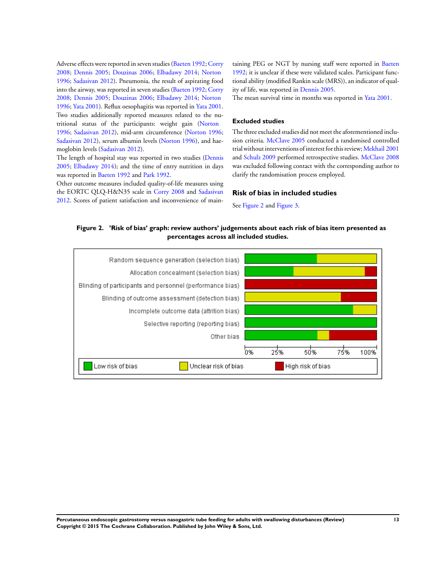<span id="page-15-0"></span>Adverse effects were reported in seven studies [\(Baeten 1992;](#page-24-0) [Corry](#page-24-0) [2008](#page-24-0); [Dennis 2005](#page-24-0); [Douzinas 2006;](#page-24-0) [Elbadawy 2014](#page-24-0); [Norton](#page-24-0) [1996](#page-24-0); [Sadasivan 2012\)](#page-24-0). Pneumonia, the result of aspirating food into the airway, was reported in seven studies [\(Baeten 1992](#page-24-0); [Corry](#page-24-0) [2008](#page-24-0); [Dennis 2005](#page-24-0); [Douzinas 2006;](#page-24-0) [Elbadawy 2014](#page-24-0); [Norton](#page-24-0) [1996](#page-24-0); [Yata 2001](#page-24-0)). Reflux oesophagitis was reported in [Yata 2001.](#page-24-0) Two studies additionally reported measures related to the nutritional status of the participants: weight gain ([Norton](#page-24-0) [1996](#page-24-0); [Sadasivan 2012\)](#page-24-0), mid-arm circumference ([Norton 1996;](#page-24-0) [Sadasivan 2012](#page-24-0)), serum albumin levels ([Norton 1996](#page-24-0)), and haemoglobin levels [\(Sadasivan 2012](#page-24-0)).

The length of hospital stay was reported in two studies ([Dennis](#page-24-0) [2005](#page-24-0); [Elbadawy 2014\)](#page-24-0); and the time of entry nutrition in days was reported in [Baeten 1992](#page-24-0) and [Park 1992.](#page-24-0)

Other outcome measures included quality-of-life measures using the EORTC QLQ-H&N35 scale in [Corry 2008](#page-24-0) and [Sadasivan](#page-24-0) [2012](#page-24-0). Scores of patient satisfaction and inconvenience of maintaining PEG or NGT by nursing staff were reported in [Baeten](#page-24-0) [1992](#page-24-0); it is unclear if these were validated scales. Participant functional ability (modified Rankin scale (MRS)), an indicator of quality of life, was reported in [Dennis 2005](#page-24-0).

The mean survival time in months was reported in [Yata 2001](#page-24-0).

#### **Excluded studies**

The three excluded studies did not meet the aforementioned inclusion criteria. [McClave 2005](#page-24-0) conducted a randomised controlled trial without interventions of interest for this review; [Mekhail 2001](#page-24-0) and [Schulz 2009](#page-24-0) performed retrospective studies. [McClave 2008](#page-24-0) was excluded following contact with the corresponding author to clarify the randomisation process employed.

#### **Risk of bias in included studies**

See Figure 2 and [Figure 3.](#page-16-0)

**Figure 2. 'Risk of bias' graph: review authors' judgements about each risk of bias item presented as percentages across all included studies.**

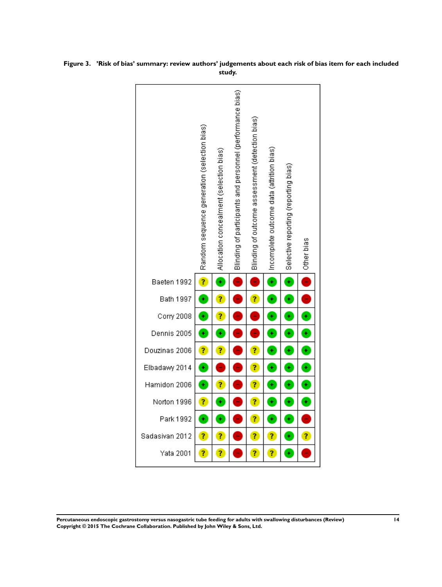

<span id="page-16-0"></span>**Figure 3. 'Risk of bias' summary: review authors' judgements about each risk of bias item for each included study.**

**Percutaneous endoscopic gastrostomy versus nasogastric tube feeding for adults with swallowing disturbances (Review) 14 Copyright © 2015 The Cochrane Collaboration. Published by John Wiley & Sons, Ltd.**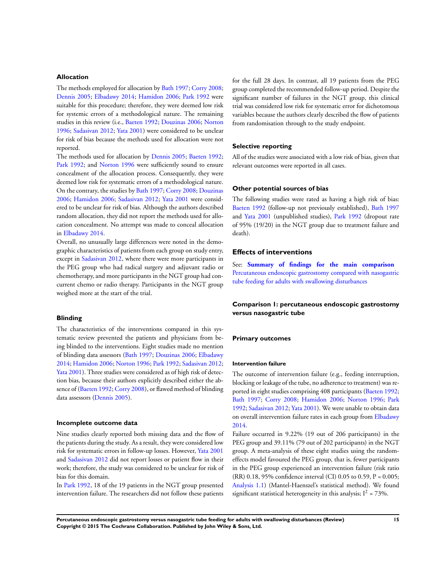## <span id="page-17-0"></span>**Allocation**

The methods employed for allocation by [Bath 1997](#page-24-0); [Corry 2008;](#page-24-0) [Dennis 2005](#page-24-0); [Elbadawy 2014;](#page-24-0) [Hamidon 2006](#page-24-0); [Park 1992](#page-24-0) were suitable for this procedure; therefore, they were deemed low risk for systemic errors of a methodological nature. The remaining studies in this review (i.e., [Baeten 1992;](#page-24-0) [Douzinas 2006;](#page-24-0) [Norton](#page-24-0) [1996](#page-24-0); [Sadasivan 2012;](#page-24-0) [Yata 2001\)](#page-24-0) were considered to be unclear for risk of bias because the methods used for allocation were not reported.

The methods used for allocation by [Dennis 2005;](#page-24-0) [Baeten 1992;](#page-24-0) [Park 1992;](#page-24-0) and [Norton 1996](#page-24-0) were sufficiently sound to ensure concealment of the allocation process. Consequently, they were deemed low risk for systematic errors of a methodological nature. On the contrary, the studies by [Bath 1997;](#page-24-0) [Corry 2008](#page-24-0); [Douzinas](#page-24-0) [2006](#page-24-0); [Hamidon 2006](#page-24-0); [Sadasivan 2012;](#page-24-0) [Yata 2001](#page-24-0) were considered to be unclear for risk of bias. Although the authors described random allocation, they did not report the methods used for allocation concealment. No attempt was made to conceal allocation in [Elbadawy 2014](#page-24-0).

Overall, no unusually large differences were noted in the demographic characteristics of patients from each group on study entry, except in [Sadasivan 2012](#page-24-0), where there were more participants in the PEG group who had radical surgery and adjuvant radio or chemotherapy, and more participants in the NGT group had concurrent chemo or radio therapy. Participants in the NGT group weighed more at the start of the trial.

#### **Blinding**

The characteristics of the interventions compared in this systematic review prevented the patients and physicians from being blinded to the interventions. Eight studies made no mention of blinding data assessors [\(Bath 1997](#page-24-0); [Douzinas 2006](#page-24-0); [Elbadawy](#page-24-0) [2014](#page-24-0); [Hamidon 2006](#page-24-0); [Norton 1996](#page-24-0); [Park 1992](#page-24-0); [Sadasivan 2012;](#page-24-0) [Yata 2001\)](#page-24-0). Three studies were considered as of high risk of detection bias, because their authors explicitly described either the absence of ([Baeten 1992;](#page-24-0) [Corry 2008](#page-24-0)), or flawed method of blinding data assessors [\(Dennis 2005\)](#page-24-0).

#### **Incomplete outcome data**

Nine studies clearly reported both missing data and the flow of the patients during the study. As a result, they were considered low risk for systematic errors in follow-up losses. However, [Yata 2001](#page-24-0) and [Sadasivan 2012](#page-24-0) did not report losses or patient flow in their work; therefore, the study was considered to be unclear for risk of bias for this domain.

In [Park 1992,](#page-24-0) 18 of the 19 patients in the NGT group presented intervention failure. The researchers did not follow these patients for the full 28 days. In contrast, all 19 patients from the PEG group completed the recommended follow-up period. Despite the significant number of failures in the NGT group, this clinical trial was considered low risk for systematic error for dichotomous variables because the authors clearly described the flow of patients from randomisation through to the study endpoint.

#### **Selective reporting**

All of the studies were associated with a low risk of bias, given that relevant outcomes were reported in all cases.

#### **Other potential sources of bias**

The following studies were rated as having a high risk of bias: [Baeten 1992](#page-24-0) (follow-up not previously established), [Bath 1997](#page-24-0) and [Yata 2001](#page-24-0) (unpublished studies), [Park 1992](#page-24-0) (dropout rate of 95% (19/20) in the NGT group due to treatment failure and death).

#### **Effects of interventions**

See: **[Summary of findings for the main comparison](#page-6-0)** [Percutaneous endoscopic gastrostomy compared with nasogastric](#page-6-0) [tube feeding for adults with swallowing disturbances](#page-6-0)

## **Comparison 1: percutaneous endoscopic gastrostomy versus nasogastric tube**

#### **Primary outcomes**

#### **Intervention failure**

The outcome of intervention failure (e.g., feeding interruption, blocking or leakage of the tube, no adherence to treatment) was reported in eight studies comprising 408 participants ([Baeten 1992;](#page-24-0) [Bath 1997](#page-24-0); [Corry 2008](#page-24-0); [Hamidon 2006](#page-24-0); [Norton 1996;](#page-24-0) [Park](#page-24-0) [1992](#page-24-0); [Sadasivan 2012;](#page-24-0) [Yata 2001](#page-24-0)). We were unable to obtain data on overall intervention failure rates in each group from [Elbadawy](#page-24-0) [2014](#page-24-0).

Failure occurred in 9.22% (19 out of 206 participants) in the PEG group and 39.11% (79 out of 202 participants) in the NGT group. A meta-analysis of these eight studies using the randomeffects model favoured the PEG group, that is, fewer participants in the PEG group experienced an intervention failure (risk ratio (RR) 0.18, 95% confidence interval (CI) 0.05 to 0.59, P = 0.005; [Analysis 1.1](#page-46-0)) (Mantel-Haenszel's statistical method). We found significant statistical heterogeneity in this analysis;  $I^2 = 73\%$ .

**Percutaneous endoscopic gastrostomy versus nasogastric tube feeding for adults with swallowing disturbances (Review) 15 Copyright © 2015 The Cochrane Collaboration. Published by John Wiley & Sons, Ltd.**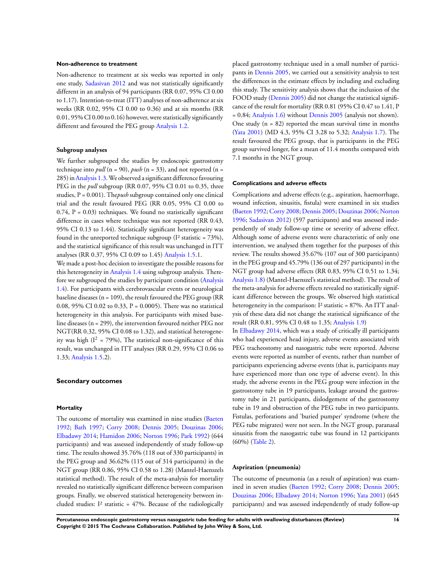#### **Non-adherence to treatment**

Non-adherence to treatment at six weeks was reported in only one study, [Sadasivan 2012](#page-24-0) and was not statistically significantly different in an analysis of 94 participants (RR 0.07, 95% CI 0.00 to 1.17). Intention-to-treat (ITT) analyses of non-adherence at six weeks (RR 0.02, 95% CI 0.00 to 0.36) and at six months (RR 0.01, 95% CI 0.00 to 0.16) however, were statistically significantly different and favoured the PEG group [Analysis 1.2](#page-47-0).

#### **Subgroup analyses**

We further subgrouped the studies by endoscopic gastrostomy technique into *pull* ( $n = 90$ ), *push* ( $n = 33$ ), and not reported ( $n =$ 285) in[Analysis 1.3.](#page-48-0)We observed a significant difference favouring PEG in the *pull* subgroup (RR 0.07, 95% CI 0.01 to 0.35, three studies, P = 0.001). The*push* subgroup contained only one clinical trial and the result favoured PEG (RR 0.05, 95% CI 0.00 to  $0.74$ ,  $P = 0.03$ ) techniques. We found no statistically significant difference in cases where technique was not reported (RR 0.43, 95% CI 0.13 to 1.44). Statistically significant heterogeneity was found in the unreported technique subgroup ( $I<sup>2</sup>$  statistic = 73%), and the statistical significance of this result was unchanged in ITT analyses (RR 0.37, 95% CI 0.09 to 1.45) [Analysis 1.5](#page-50-0).1.

We made a post-hoc decision to investigate the possible reasons for this heterogeneity in [Analysis 1.4](#page-49-0) using subgroup analysis. Therefore we subgrouped the studies by participant condition ([Analysis](#page-49-0) [1.4](#page-49-0)). For participants with cerebrovascular events or neurological baseline diseases ( $n = 109$ ), the result favoured the PEG group (RR 0.08, 95% CI 0.02 to 0.33, P = 0.0005). There was no statistical heterogeneity in this analysis. For participants with mixed baseline diseases (n = 299), the intervention favoured neither PEG nor NGT(RR 0.32, 95% CI 0.08 to 1.32), and statistical heterogeneity was high  $(I^2 = 79\%)$ , The statistical non-significance of this result, was unchanged in ITT analyses (RR 0.29, 95% CI 0.06 to 1.33; [Analysis 1.5](#page-50-0).2).

#### **Secondary outcomes**

#### **Mortality**

The outcome of mortality was examined in nine studies ([Baeten](#page-24-0) [1992](#page-24-0); [Bath 1997](#page-24-0); [Corry 2008](#page-24-0); [Dennis 2005;](#page-24-0) [Douzinas 2006;](#page-24-0) [Elbadawy 2014](#page-24-0); [Hamidon 2006;](#page-24-0) [Norton 1996;](#page-24-0) [Park 1992\)](#page-24-0) (644 participants) and was assessed independently of study follow-up time. The results showed 35.76% (118 out of 330 participants) in the PEG group and 36.62% (115 out of 314 participants) in the NGT group (RR 0.86, 95% CI 0.58 to 1.28) (Mantel-Haenszels statistical method). The result of the meta-analysis for mortality revealed no statistically significant difference between comparison groups. Finally, we observed statistical heterogeneity between included studies:  $I^2$  statistic = 47%. Because of the radiologically

placed gastrostomy technique used in a small number of participants in [Dennis 2005](#page-24-0), we carried out a sensitivity analysis to test the differences in the estimate effects by including and excluding this study. The sensitivity analysis shows that the inclusion of the FOOD study ([Dennis 2005\)](#page-24-0) did not change the statistical significance of the result for mortality (RR 0.81 (95% CI 0.47 to 1.41, P = 0.84; [Analysis 1.6\)](#page-51-0) without [Dennis 2005](#page-24-0) (analysis not shown). One study  $(n = 82)$  reported the mean survival time in months [\(Yata 2001](#page-24-0)) (MD 4.3, 95% CI 3.28 to 5.32; [Analysis 1.7](#page-52-0)). The result favoured the PEG group, that is participants in the PEG group survived longer, for a mean of 11.4 months compared with 7.1 months in the NGT group.

#### **Complications and adverse effects**

Complications and adverse effects (e.g., aspiration, haemorrhage, wound infection, sinusitis, fistula) were examined in six studies [\(Baeten 1992](#page-24-0); [Corry 2008](#page-24-0); [Dennis 2005](#page-24-0); [Douzinas 2006](#page-24-0); [Norton](#page-24-0) [1996](#page-24-0); [Sadasivan 2012](#page-24-0)) (597 participants) and was assessed independently of study follow-up time or severity of adverse effect. Although some of adverse events were characteristic of only one intervention, we analysed them together for the purposes of this review. The results showed 35.67% (107 out of 300 participants) in the PEG group and 45.79% (136 out of 297 participants) in the NGT group had adverse effects (RR 0.83, 95% CI 0.51 to 1.34; [Analysis 1.8](#page-53-0)) (Mantel-Haenszel's statistical method). The result of the meta-analysis for adverse effects revealed no statistically significant difference between the groups. We observed high statistical heterogeneity in the comparison: I<sup>2</sup> statistic = 87%. An ITT analysis of these data did not change the statistical significance of the result (RR 0.81, 95% CI 0.48 to 1.35; [Analysis 1.9](#page-54-0))

In [Elbadawy 2014](#page-24-0), which was a study of critically ill participants who had experienced head injury, adverse events associated with PEG tracheostomy and nasogastric tube were reported. Adverse events were reported as number of events, rather than number of participants experiencing adverse events (that is, participants may have experienced more than one type of adverse event). In this study, the adverse events in the PEG group were infection in the gastrostomy tube in 19 participants, leakage around the gastrostomy tube in 21 participants, dislodgement of the gastrostomy tube in 19 and obstruction of the PEG tube in two participants. Fistulas, perforations and 'buried pumper' syndrome (where the PEG tube migrates) were not seen. In the NGT group, paranasal sinusitis from the nasogastric tube was found in 12 participants (60%) ([Table 2](#page-69-0)).

#### **Aspriration (pneumonia)**

The outcome of pneumonia (as a result of aspiration) was examined in seven studies ([Baeten 1992](#page-24-0); [Corry 2008](#page-24-0); [Dennis 2005;](#page-24-0) [Douzinas 2006;](#page-24-0) [Elbadawy 2014](#page-24-0); [Norton 1996;](#page-24-0) [Yata 2001](#page-24-0)) (645 participants) and was assessed independently of study follow-up

**Percutaneous endoscopic gastrostomy versus nasogastric tube feeding for adults with swallowing disturbances (Review) 16 Copyright © 2015 The Cochrane Collaboration. Published by John Wiley & Sons, Ltd.**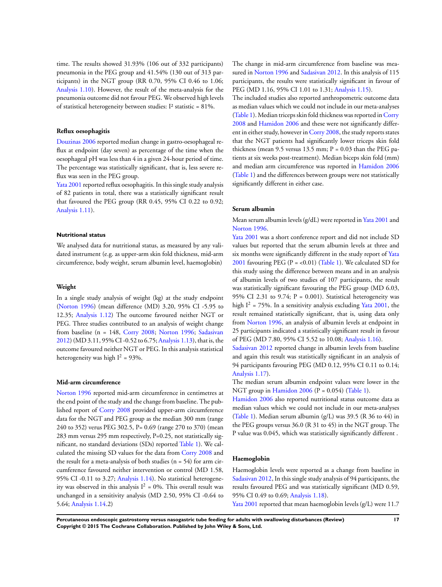time. The results showed 31.93% (106 out of 332 participants) pneumonia in the PEG group and 41.54% (130 out of 313 participants) in the NGT group (RR 0.70, 95% CI 0.46 to 1.06; [Analysis 1.10](#page-55-0)). However, the result of the meta-analysis for the pneumonia outcome did not favour PEG. We observed high levels of statistical heterogeneity between studies: I² statistic = 81%.

#### **Reflux oesophagitis**

[Douzinas 2006](#page-24-0) reported median change in gastro-oesophageal reflux at endpoint (day seven) as percentage of the time when the oesophageal pH was less than 4 in a given 24-hour period of time. The percentage was statistically significant, that is, less severe reflux was seen in the PEG group.

[Yata 2001](#page-24-0) reported reflux oesophagitis. In this single study analysis of 82 patients in total, there was a statistically significant result that favoured the PEG group (RR 0.45, 95% CI 0.22 to 0.92; [Analysis 1.11](#page-56-0)).

#### **Nutritional status**

We analysed data for nutritional status, as measured by any validated instrument (e.g. as upper-arm skin fold thickness, mid-arm circumference, body weight, serum albumin level, haemoglobin)

#### **Weight**

In a single study analysis of weight (kg) at the study endpoint [\(Norton 1996](#page-24-0)) (mean difference (MD) 3.20, 95% CI -5.95 to 12.35; [Analysis 1.12](#page-56-0)) The outcome favoured neither NGT or PEG. Three studies contributed to an analysis of weight change from baseline (n = 148, [Corry 2008](#page-24-0); [Norton 1996;](#page-24-0) [Sadasivan](#page-24-0) [2012](#page-24-0)) (MD 3.11, 95% CI -0.52 to 6.75; [Analysis 1.13\)](#page-56-0), that is, the outcome favoured neither NGT or PEG. In this analysis statistical heterogeneity was high  $I^2 = 93\%$ .

#### **Mid-arm circumference**

[Norton 1996](#page-24-0) reported mid-arm circumference in centimetres at the end point of the study and the change from baseline. The published report of [Corry 2008](#page-24-0) provided upper-arm circumference data for the NGT and PEG group as the median 300 mm (range 240 to 352) verus PEG 302.5, P= 0.69 (range 270 to 370) (mean 283 mm versus 295 mm respectively, P=0.25, not statistically significant, no standard deviations (SDs) reported [Table 1\)](#page-67-0). We calculated the missing SD values for the data from [Corry 2008](#page-24-0) and the result for a meta-analysis of both studies  $(n = 54)$  for arm circumference favoured neither intervention or control (MD 1.58, 95% CI -0.11 to 3.27; [Analysis 1.14\)](#page-58-0). No statistical heterogeneity was observed in this analysis  $I^2 = 0\%$ . This overall result was unchanged in a sensitivity analysis (MD 2.50, 95% CI -0.64 to 5.64; [Analysis 1.14.](#page-58-0)2)

The change in mid-arm circumference from baseline was measured in [Norton 1996](#page-24-0) and [Sadasivan 2012](#page-24-0). In this analysis of 115 participants, the results were statistically significant in favour of PEG (MD 1.16, 95% CI 1.01 to 1.31; [Analysis 1.15](#page-59-0)).

The included studies also reported anthropometric outcome data as median values which we could not include in our meta-analyses [\(Table 1\)](#page-67-0). Median triceps skin fold thickness was reported in [Corry](#page-24-0) [2008](#page-24-0) and [Hamidon 2006](#page-24-0) and these were not significantly different in either study, however in [Corry 2008](#page-24-0), the study reports states that the NGT patients had significantly lower triceps skin fold thickness (mean 9.5 versus 13.5 mm; P = 0.03 than the PEG patients at six weeks post-treatment). Median biceps skin fold (mm) and median arm circumference was reported in [Hamidon 2006](#page-24-0) [\(Table 1](#page-67-0)) and the differences between groups were not statistically significantly different in either case.

#### **Serum albumin**

Mean serum albumin levels (g/dL) were reported in [Yata 2001](#page-24-0) and [Norton 1996.](#page-24-0)

[Yata 2001](#page-24-0) was a short conference report and did not include SD values but reported that the serum albumin levels at three and six months were significantly different in the study report of [Yata](#page-24-0) [2001](#page-24-0) favouring PEG (P = <0.01) ([Table 1](#page-67-0)). We calculated SD for this study using the difference between means and in an analysis of albumin levels of two studies of 107 participants, the result was statistically significant favouring the PEG group (MD 6.03, 95% CI 2.31 to 9.74;  $P = 0.001$ ). Statistical heterogeneity was high  $I^2 = 75\%$ . In a sensitivity analysis excluding [Yata 2001](#page-24-0), the result remained statistically significant, that is, using data only from [Norton 1996,](#page-24-0) an analysis of albumin levels at endpoint in 25 participants indicated a statistically significant result in favour of PEG (MD 7.80, 95% CI 5.52 to 10.08; [Analysis 1.16\)](#page-60-0).

[Sadasivan 2012](#page-24-0) reported change in albumin levels from baseline and again this result was statistically significant in an analysis of 94 participants favouring PEG (MD 0.12, 95% CI 0.11 to 0.14; [Analysis 1.17](#page-61-0)).

The median serum albumin endpoint values were lower in the NGT group in Hamidon  $2006$  (P = 0.054) ([Table 1](#page-67-0)).

[Hamidon 2006](#page-24-0) also reported nutritional status outcome data as median values which we could not include in our meta-analyses [\(Table 1\)](#page-67-0). Median serum albumin (g/L) was 39.5 (R 36 to 44) in the PEG groups versus 36.0 (R 31 to 45) in the NGT group. The P value was 0.045, which was statistically significantly different .

#### **Haemoglobin**

Haemoglobin levels were reported as a change from baseline in [Sadasivan 2012](#page-24-0), In this single study analysis of 94 participants, the results favoured PEG and was statistically significant (MD 0.59, 95% CI 0.49 to 0.69; [Analysis 1.18\)](#page-61-0).

[Yata 2001](#page-24-0) reported that mean haemoglobin levels (g/L) were 11.7

**Percutaneous endoscopic gastrostomy versus nasogastric tube feeding for adults with swallowing disturbances (Review) 17 Copyright © 2015 The Cochrane Collaboration. Published by John Wiley & Sons, Ltd.**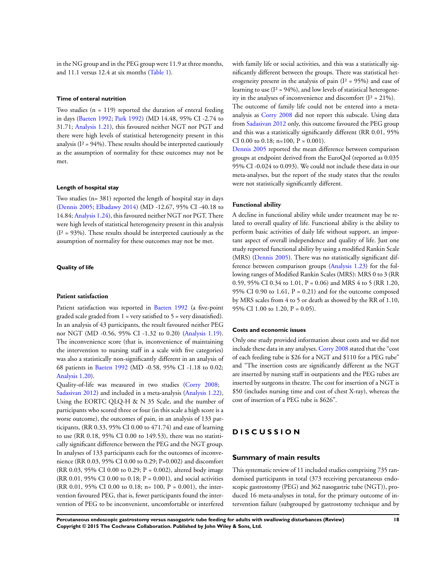in the NG group and in the PEG group were 11.9 at three months, and 11.1 versus 12.4 at six months [\(Table 1\)](#page-67-0).

## **Time of enteral nutrition**

Two studies  $(n = 119)$  reported the duration of enteral feeding in days [\(Baeten 1992](#page-24-0); [Park 1992](#page-24-0)) (MD 14.48, 95% CI -2.74 to 31.71; [Analysis 1.21\)](#page-63-0), this favoured neither NGT nor PGT and there were high levels of statistical heterogeneity present in this analysis ( $I^2 = 94\%$ ). These results should be interpreted cautiously as the assumption of normality for these outcomes may not be met.

#### **Length of hospital stay**

Two studies (n= 381) reported the length of hospital stay in days [\(Dennis 2005;](#page-24-0) [Elbadawy 2014\)](#page-24-0) (MD -12.67, 95% CI -40.18 to 14.84; [Analysis 1.24](#page-67-0)), this favoured neither NGT nor PGT. There were high levels of statistical heterogeneity present in this analysis  $(I<sup>2</sup> = 93%)$ . These results should be interpreted cautiously as the assumption of normality for these outcomes may not be met.

#### **Quality of life**

#### **Patient satisfaction**

Patient satisfaction was reported in [Baeten 1992](#page-24-0) (a five-point graded scale graded from  $1 = \text{very satisfied}$  to  $5 = \text{very dissatisfied}$ ). In an analysis of 43 participants, the result favoured neither PEG nor NGT (MD -0.56, 95% CI -1.32 to 0.20) ([Analysis 1.19](#page-62-0)). The inconvenience score (that is, inconvenience of maintaining the intervention to nursing staff in a scale with five categories) was also a statistically non-significantly different in an analysis of 68 patients in [Baeten 1992](#page-24-0) (MD -0.58, 95% CI -1.18 to 0.02; [Analysis 1.20](#page-62-0)).

Quality-of-life was measured in two studies ([Corry 2008;](#page-24-0) [Sadasivan 2012](#page-24-0)) and included in a meta-analysis ([Analysis 1.22](#page-64-0)), Using the EORTC QLQ-H & N 35 Scale, and the number of participants who scored three or four (in this scale a high score is a worse outcome), the outcomes of pain, in an analysis of 133 participants, (RR 0.33, 95% CI 0.00 to 471.74) and ease of learning to use (RR 0.18, 95% CI 0.00 to 149.53), there was no statistically significant difference between the PEG and the NGT group. In analyses of 133 participants each for the outcomes of inconvenience (RR 0.03, 95% CI 0.00 to 0.29; P=0.002) and discomfort (RR 0.03, 95% CI 0.00 to 0.29; P = 0.002), altered body image (RR 0.01, 95% CI 0.00 to 0.18;  $P = 0.001$ ), and social activities (RR 0.01, 95% CI 0.00 to 0.18; n= 100, P = 0.001), the intervention favoured PEG, that is, fewer participants found the intervention of PEG to be inconvenient, uncomfortable or interfered

with family life or social activities, and this was a statistically significantly different between the groups. There was statistical heterogeneity present in the analysis of pain  $(I^2 = 95\%)$  and ease of learning to use  $(I^2 = 94\%)$ , and low levels of statistical heterogeneity in the analyses of inconvenience and discomfort  $(I^2 = 21\%)$ .

The outcome of family life could not be entered into a metaanalysis as [Corry 2008](#page-24-0) did not report this subscale. Using data from [Sadasivan 2012](#page-24-0) only, this outcome favoured the PEG group and this was a statistically significantly different (RR 0.01, 95% CI 0.00 to 0.18; n=100,  $P = 0.001$ ).

[Dennis 2005](#page-24-0) reported the mean difference between comparison groups at endpoint derived from the EuroQol (reported as 0.035 95% CI -0.024 to 0.093). We could not include these data in our meta-analyses, but the report of the study states that the results were not statistically significantly different.

#### **Functional ability**

A decline in functional ability while under treatment may be related to overall quality of life. Functional ability is the ability to perform basic activities of daily life without support, an important aspect of overall independence and quality of life. Just one study reported functional ability by using a modified Rankin Scale (MRS) ([Dennis 2005\)](#page-24-0). There was no statistically significant difference between comparison groups ([Analysis 1.23\)](#page-66-0) for the following ranges of Modified Rankin Scales (MRS): MRS 0 to 3 (RR 0.59, 95% CI 0.34 to 1.01, P = 0.06) and MRS 4 to 5 (RR 1.20, 95% CI 0.90 to 1.61,  $P = 0.21$ ) and for the outcome composed by MRS scales from 4 to 5 or death as showed by the RR of 1.10, 95% CI 1.00 to 1.20,  $P = 0.05$ ).

#### **Costs and economic issues**

Only one study provided information about costs and we did not include these data in any analyses. [Corry 2008](#page-24-0) stated that the "cost of each feeding tube is \$26 for a NGT and \$110 for a PEG tube" and "The insertion costs are significantly different as the NGT are inserted by nursing staff in outpatients and the PEG tubes are inserted by surgeons in theatre. The cost for insertion of a NGT is \$50 (includes nursing time and cost of chest X-ray), whereas the cost of insertion of a PEG tube is \$626".

## **D I S C U S S I O N**

#### **Summary of main results**

This systematic review of 11 included studies comprising 735 randomised participants in total (373 receiving percutaneous endoscopic gastrostomy (PEG) and 362 nasogastric tube (NGT)), produced 16 meta-analyses in total, for the primary outcome of intervention failure (subgrouped by gastrostomy technique and by

**Percutaneous endoscopic gastrostomy versus nasogastric tube feeding for adults with swallowing disturbances (Review) 18 Copyright © 2015 The Cochrane Collaboration. Published by John Wiley & Sons, Ltd.**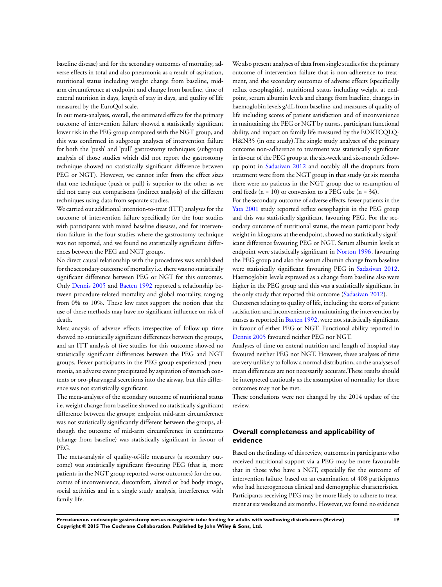baseline disease) and for the secondary outcomes of mortality, adverse effects in total and also pneumonia as a result of aspiration, nutritional status including weight change from baseline, midarm circumference at endpoint and change from baseline, time of enteral nutrition in days, length of stay in days, and quality of life measured by the EuroQol scale.

In our meta-analyses, overall, the estimated effects for the primary outcome of intervention failure showed a statistically significant lower risk in the PEG group compared with the NGT group, and this was confirmed in subgroup analyses of intervention failure for both the 'push' and 'pull' gastrostomy techniques (subgroup analysis of those studies which did not report the gastrostomy technique showed no statistically significant difference between PEG or NGT). However, we cannot infer from the effect sizes that one technique (push or pull) is superior to the other as we did not carry out comparisons (indirect analysis) of the different techniques using data from separate studies.

We carried out additional intention-to-treat (ITT) analyses for the outcome of intervention failure specifically for the four studies with participants with mixed baseline diseases, and for intervention failure in the four studies where the gastrostomy technique was not reported, and we found no statistically significant differences between the PEG and NGT groups.

No direct causal relationship with the procedures was established for the secondary outcome of mortality i.e. there was no statistically significant difference between PEG or NGT for this outcomes. Only [Dennis 2005](#page-24-0) and [Baeten 1992](#page-24-0) reported a relationship between procedure-related mortality and global mortality, ranging from 0% to 10%. These low rates support the notion that the use of these methods may have no significant influence on risk of death.

Meta-anaysis of adverse effects irrespective of follow-up time showed no statistically significant differences between the groups, and an ITT analysis of five studies for this outcome showed no statistically significant differences between the PEG and NGT groups. Fewer participants in the PEG group experienced pneumonia, an adverse event precipitated by aspiration of stomach contents or oro-pharyngeal secretions into the airway, but this difference was not statistically significant.

The meta-analyses of the secondary outcome of nutritional status i.e. weight change from baseline showed no statistically significant difference between the groups; endpoint mid-arm circumference was not statistically significantly different between the groups, although the outcome of mid-arm circumference in centimetres (change from baseline) was statistically significant in favour of PEG.

The meta-analysis of quality-of-life measures (a secondary outcome) was statistically significant favouring PEG (that is, more patients in the NGT group reported worse outcomes) for the outcomes of inconvenience, discomfort, altered or bad body image, social activities and in a single study analysis, interference with family life.

We also present analyses of data from single studies for the primary outcome of intervention failure that is non-adherence to treatment, and the secondary outcomes of adverse effects (specifically reflux oesophagitis), nutritional status including weight at endpoint, serum albumin levels and change from baseline, changes in haemoglobin levels g/dL from baseline, and measures of quality of life including scores of patient satisfaction and of inconvenience in maintaining the PEG or NGT by nurses, participant functional ability, and impact on family life measured by the EORTCQLQ-H&N35 (in one study).The single study analyses of the primary outcome non-adherence to treatment was statistically significant in favour of the PEG group at the six-week and six-month followup point in [Sadasivan 2012](#page-24-0) and notably all the dropouts from treatment were from the NGT group in that study (at six months there were no patients in the NGT group due to resumption of oral feeds ( $n = 10$ ) or conversion to a PEG tube ( $n = 34$ ).

For the secondary outcome of adverse effects, fewer patients in the [Yata 2001](#page-24-0) study reported reflux oesophagitis in the PEG group and this was statistically significant favouring PEG. For the secondary outcome of nutritional status, the mean participant body weight in kilograms at the endpoint, showed no statistically significant difference favouring PEG or NGT. Serum albumin levels at endpoint were statistically significant in [Norton 1996](#page-24-0), favouring the PEG group and also the serum albumin change from baseline were statistically significant favouring PEG in [Sadasivan 2012.](#page-24-0) Haemoglobin levels expressed as a change from baseline also were higher in the PEG group and this was a statistically significant in the only study that reported this outcome ([Sadasivan 2012\)](#page-24-0).

Outcomes relating to quality of life, including the scores of patient satisfaction and inconvenience in maintaining the intervention by nurses as reported in [Baeten 1992,](#page-24-0) were not statistically significant in favour of either PEG or NGT. Functional ability reported in [Dennis 2005](#page-24-0) favoured neither PEG nor NGT.

Analyses of time on enteral nutrition and length of hospital stay favoured neither PEG nor NGT. However, these analyses of time are very unlikely to follow a normal distribution, so the analyses of mean differences are not necessarily accurate.These results should be interpreted cautiously as the assumption of normality for these outcomes may not be met.

These conclusions were not changed by the 2014 update of the review.

## **Overall completeness and applicability of evidence**

Based on the findings of this review, outcomes in participants who received nutritional support via a PEG may be more favourable that in those who have a NGT, especially for the outcome of intervention failure, based on an examination of 408 participants who had heterogeneous clinical and demographic characteristics. Participants receiving PEG may be more likely to adhere to treatment at six weeks and six months. However, we found no evidence

**Percutaneous endoscopic gastrostomy versus nasogastric tube feeding for adults with swallowing disturbances (Review) 19 Copyright © 2015 The Cochrane Collaboration. Published by John Wiley & Sons, Ltd.**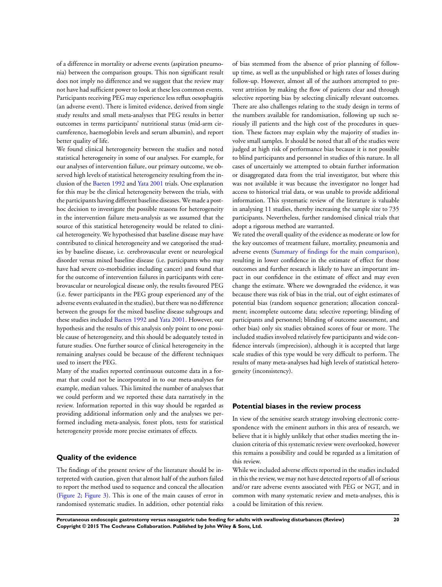of a difference in mortality or adverse events (aspiration pneumonia) between the comparison groups. This non significant result does not imply no difference and we suggest that the review may not have had sufficient power to look at these less common events. Participants receiving PEG may experience less reflux oesophagitis (an adverse event). There is limited evidence, derived from single study results and small meta-analyses that PEG results in better outcomes in terms participants' nutritional status (mid-arm circumference, haemoglobin levels and serum albumin), and report better quality of life.

We found clinical heterogeneity between the studies and noted statistical heterogeneity in some of our analyses. For example, for our analyses of intervention failure, our primary outcome, we observed high levels of statistical heterogeneity resulting from the inclusion of the [Baeten 1992](#page-24-0) and [Yata 2001](#page-24-0) trials. One explanation for this may be the clinical heterogeneity between the trials, with the participants having different baseline diseases. We made a posthoc decision to investigate the possible reasons for heterogeneity in the intervention failure meta-analysis as we assumed that the source of this statistical heterogeneity would be related to clinical heterogeneity. We hypothesised that baseline disease may have contributed to clinical heterogeneity and we categorised the studies by baseline disease, i.e. cerebrovascular event or neurological disorder versus mixed baseline disease (i.e. participants who may have had severe co-morbidities including cancer) and found that for the outcome of intervention failures in participants with cerebrovascular or neurological disease only, the results favoured PEG (i.e. fewer participants in the PEG group experienced any of the adverse events evaluated in the studies), but there was no difference between the groups for the mixed baseline disease subgroups and these studies included [Baeten 1992](#page-24-0) and [Yata 2001.](#page-24-0) However, our hypothesis and the results of this analysis only point to one possible cause of heterogeneity, and this should be adequately tested in future studies. One further source of clinical heterogeneity in the remaining analyses could be because of the different techniques used to insert the PEG.

Many of the studies reported continuous outcome data in a format that could not be incorporated in to our meta-analyses for example, median values. This limited the number of analyses that we could perform and we reported these data narratively in the review. Information reported in this way should be regarded as providing additional information only and the analyses we performed including meta-analysis, forest plots, tests for statistical heterogeneity provide more precise estimates of effects.

## **Quality of the evidence**

The findings of the present review of the literature should be interpreted with caution, given that almost half of the authors failed to report the method used to sequence and conceal the allocation [\(Figure 2;](#page-15-0) [Figure 3](#page-16-0)). This is one of the main causes of error in randomised systematic studies. In addition, other potential risks

of bias stemmed from the absence of prior planning of followup time, as well as the unpublished or high rates of losses during follow-up. However, almost all of the authors attempted to prevent attrition by making the flow of patients clear and through selective reporting bias by selecting clinically relevant outcomes. There are also challenges relating to the study design in terms of the numbers available for randomisation, following up such seriously ill patients and the high cost of the procedures in question. These factors may explain why the majority of studies involve small samples. It should be noted that all of the studies were judged at high risk of performance bias because it is not possible to blind participants and personnel in studies of this nature. In all cases of uncertainly we attempted to obtain further information or disaggregated data from the trial investigator, but where this was not available it was because the investigator no longer had access to historical trial data, or was unable to provide additional information. This systematic review of the literature is valuable in analysing 11 studies, thereby increasing the sample size to 735 participants. Nevertheless, further randomised clinical trials that adopt a rigorous method are warranted.

We rated the overall quality of the evidence as moderate or low for the key outcomes of treatment failure, mortality, pneumonia and adverse events [\(Summary of findings for the main comparison](#page-6-0)), resulting in lower confidence in the estimate of effect for those outcomes and further research is likely to have an important impact in our confidence in the estimate of effect and may even change the estimate. Where we downgraded the evidence, it was because there was risk of bias in the trial, out of eight estimates of potential bias (random sequence generation; allocation concealment; incomplete outcome data; selective reporting; blinding of participants and personnel; blinding of outcome assessment, and other bias) only six studies obtained scores of four or more. The included studies involved relatively few participants and wide confidence intervals (imprecision), although it is accepted that large scale studies of this type would be very difficult to perform. The results of many meta-analyses had high levels of statistical heterogeneity (inconsistency).

#### **Potential biases in the review process**

In view of the sensitive search strategy involving electronic correspondence with the eminent authors in this area of research, we believe that it is highly unlikely that other studies meeting the inclusion criteria of this systematic review were overlooked, however this remains a possibility and could be regarded as a limitation of this review.

While we included adverse effects reported in the studies included in this the review, we may not have detected reports of all of serious and/or rare adverse events associated with PEG or NGT, and in common with many systematic review and meta-analyses, this is a could be limitation of this review.

**Percutaneous endoscopic gastrostomy versus nasogastric tube feeding for adults with swallowing disturbances (Review) 20 Copyright © 2015 The Cochrane Collaboration. Published by John Wiley & Sons, Ltd.**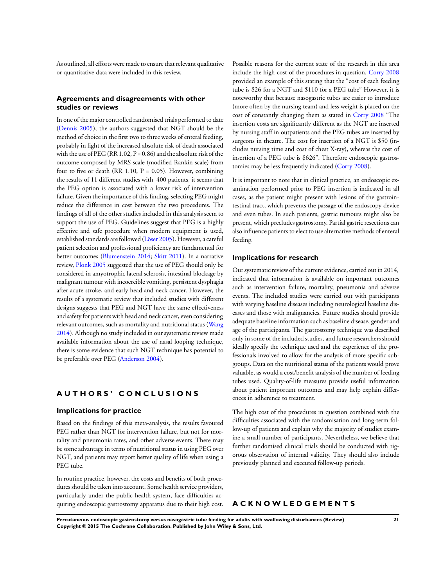As outlined, all efforts were made to ensure that relevant qualitative or quantitative data were included in this review.

## **Agreements and disagreements with other studies or reviews**

In one of the major controlled randomised trials performed to date [\(Dennis 2005](#page-24-0)), the authors suggested that NGT should be the method of choice in the first two to three weeks of enteral feeding, probably in light of the increased absolute risk of death associated with the use of PEG (RR 1.02,  $P = 0.86$ ) and the absolute risk of the outcome composed by MRS scale (modified Rankin scale) from four to five or death (RR 1.10,  $P = 0.05$ ). However, combining the results of 11 different studies with 400 patients, it seems that the PEG option is associated with a lower risk of intervention failure. Given the importance of this finding, selecting PEG might reduce the difference in cost between the two procedures. The findings of all of the other studies included in this analysis seem to support the use of PEG. Guidelines suggest that PEG is a highly effective and safe procedure when modern equipment is used, established standards are followed [\(Löser 2005](#page-24-0)). However, a careful patient selection and professional proficiency are fundamental for better outcomes [\(Blumenstein 2014](#page-24-0); [Skitt 2011\)](#page-24-0). In a narrative review, [Plonk 2005](#page-24-0) suggested that the use of PEG should only be considered in amyotrophic lateral sclerosis, intestinal blockage by malignant tumour with incoercible vomiting, persistent dysphagia after acute stroke, and early head and neck cancer. However, the results of a systematic review that included studies with different designs suggests that PEG and NGT have the same effectiveness and safety for patients with head and neck cancer, even considering relevant outcomes, such as mortality and nutritional status ([Wang](#page-24-0) [2014](#page-24-0)). Although no study included in our systematic review made available information about the use of nasal looping technique, there is some evidence that such NGT technique has potential to be preferable over PEG ([Anderson 2004](#page-24-0)).

## **A U T H O R S ' C O N C L U S I O N S**

#### **Implications for practice**

Based on the findings of this meta-analysis, the results favoured PEG rather than NGT for intervention failure, but not for mortality and pneumonia rates, and other adverse events. There may be some advantage in terms of nutritional status in using PEG over NGT, and patients may report better quality of life when using a PEG tube.

In routine practice, however, the costs and benefits of both procedures should be taken into account. Some health service providers, particularly under the public health system, face difficulties acquiring endoscopic gastrostomy apparatus due to their high cost. Possible reasons for the current state of the research in this area include the high cost of the procedures in question. [Corry 2008](#page-24-0) provided an example of this stating that the "cost of each feeding tube is \$26 for a NGT and \$110 for a PEG tube" However, it is noteworthy that because nasogastric tubes are easier to introduce (more often by the nursing team) and less weight is placed on the cost of constantly changing them as stated in [Corry 2008](#page-24-0) "The insertion costs are significantly different as the NGT are inserted by nursing staff in outpatients and the PEG tubes are inserted by surgeons in theatre. The cost for insertion of a NGT is \$50 (includes nursing time and cost of chest X-ray), whereas the cost of insertion of a PEG tube is \$626". Therefore endoscopic gastrostomies may be less frequently indicated [\(Corry 2008](#page-24-0)).

It is important to note that in clinical practice, an endoscopic examination performed prior to PEG insertion is indicated in all cases, as the patient might present with lesions of the gastrointestinal tract, which prevents the passage of the endoscopy device and even tubes. In such patients, gastric tumours might also be present, which precludes gastrostomy. Partial gastric resections can also influence patients to elect to use alternative methods of enteral feeding.

#### **Implications for research**

Our systematic review of the current evidence, carried out in 2014, indicated that information is available on important outcomes such as intervention failure, mortality, pneumonia and adverse events. The included studies were carried out with participants with varying baseline diseases including neurological baseline diseases and those with malignancies. Future studies should provide adequate baseline information such as baseline disease, gender and age of the participants. The gastrostomy technique was described only in some of the included studies, and future researchers should ideally specify the technique used and the experience of the professionals involved to allow for the analysis of more specific subgroups. Data on the nutritional status of the patients would prove valuable, as would a cost/benefit analysis of the number of feeding tubes used. Quality-of-life measures provide useful information about patient important outcomes and may help explain differences in adherence to treatment.

The high cost of the procedures in question combined with the difficulties associated with the randomisation and long-term follow-up of patients and explain why the majority of studies examine a small number of participants. Nevertheless, we believe that further randomised clinical trials should be conducted with rigorous observation of internal validity. They should also include previously planned and executed follow-up periods.

## **A C K N O W L E D G E M E N T S**

**Percutaneous endoscopic gastrostomy versus nasogastric tube feeding for adults with swallowing disturbances (Review) 21 Copyright © 2015 The Cochrane Collaboration. Published by John Wiley & Sons, Ltd.**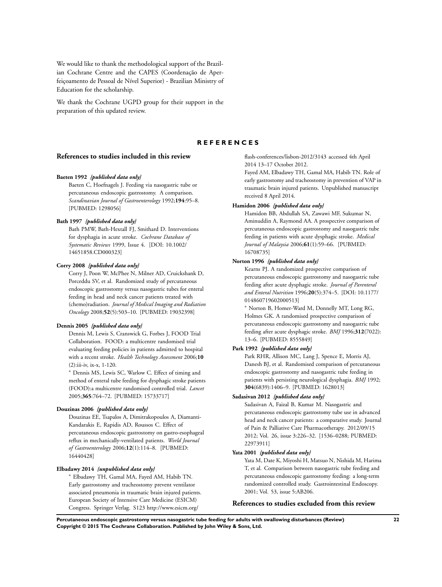<span id="page-24-0"></span>We would like to thank the methodological support of the Brazilian Cochrane Centre and the CAPES (Coordenação de Aperfeiçoamento de Pessoal de Nível Superior) - Brazilian Ministry of Education for the scholarship.

We thank the Cochrane UGPD group for their support in the preparation of this updated review.

#### **R E F E R E N C E S**

#### **References to studies included in this review**

#### **Baeten 1992** *{published data only}*

Baeten C, Hoefnagels J. Feeding via nasogastric tube or percutaneous endoscopic gastrostomy. A comparison. *Scandinavian Journal of Gastroenterology* 1992;**194**:95–8. [PUBMED: 1298056]

#### **Bath 1997** *{published data only}*

Bath PMW, Bath-Hextall FJ, Smithard D. Interventions for dysphagia in acute stroke. *Cochrane Database of Systematic Reviews* 1999, Issue 4. [DOI: 10.1002/ 14651858.CD000323]

#### **Corry 2008** *{published data only}*

Corry J, Poon W, McPhee N, Milner AD, Cruickshank D, Porceddu SV, et al. Randomized study of percutaneous endoscopic gastrostomy versus nasogastric tubes for enteral feeding in head and neck cancer patients treated with (chemo)radiation. *Journal of Medical Imaging and Radiation Oncology* 2008;**52**(5):503–10. [PUBMED: 19032398]

#### **Dennis 2005** *{published data only}*

Dennis M, Lewis S, Cranswick G, Forbes J, FOOD Trial Collaboration. FOOD: a multicentre randomised trial evaluating feeding policies in patients admitted to hospital with a recent stroke. *Health Technology Assessment* 2006;**10** (2):iii-iv, ix-x, 1-120.

<sup>∗</sup> Dennis MS, Lewis SC, Warlow C. Effect of timing and method of enteral tube feeding for dysphagic stroke patients (FOOD):a multicentre randomised controlled trial. *Lancet* 2005;**365**:764–72. [PUBMED: 15733717]

#### **Douzinas 2006** *{published data only}*

Douzinas EE, Tsapalos A, Dimitrakopoulos A, Diamanti-Kandarakis E, Rapidis AD, Roussos C. Effect of percutaneous endoscopic gastrostomy on gastro-esophageal reflux in mechanically-ventilated patients. *World Journal of Gastroenterology* 2006;**12**(1):114–8. [PUBMED: 16440428]

#### **Elbadawy 2014** *{unpublished data only}*

<sup>∗</sup> Elbadawy TH, Gamal MA, Fayed AM, Habib TN. Early gastrostomy and tracheostomy prevent ventilator associated pneumonia in traumatic brain injured patients. European Society of Intensive Care Medicine (ESICM) Congress. Springer Verlag. S123 http://www.esicm.org/

flash-conferences/lisbon-2012/3143 accessed 4th April 2014 13–17 October 2012.

Fayed AM, Elbadawy TH, Gamal MA, Habib TN. Role of early gastrostomy and tracheostomy in prevention of VAP in traumatic brain injured patients. Unpublished manuscript received 8 April 2014.

#### **Hamidon 2006** *{published data only}*

Hamidon BB, Abdullah SA, Zawawi MF, Sukumar N, Aminuddin A, Raymond AA. A prospective comparison of percutaneous endoscopic gastrostomy and nasogastric tube feeding in patients with acute dysphagic stroke. *Medical Journal of Malaysia* 2006;**61**(1):59–66. [PUBMED: 16708735]

## **Norton 1996** *{published data only}*

Kearns PJ. A randomized prospective comparison of percutaneous endoscopic gastrostomy and nasogastric tube feeding after acute dysphagic stroke. *Journal of Parenteral and Enteral Nutrition* 1996;**20**(5):374–5. [DOI: 10.1177/ 014860719602000513]

<sup>∗</sup> Norton B, Homer-Ward M, Donnelly MT, Long RG, Holmes GK. A randomised prospective comparison of percutaneous endoscopic gastrostomy and nasogastric tube feeding after acute dysphagic stroke. *BMJ* 1996;**312**(7022): 13–6. [PUBMED: 8555849]

#### **Park 1992** *{published data only}*

Park RHR, Allison MC, Lang J, Spence E, Morris AJ, Danesh BJ, et al. Randomised comparison of percutaneous endoscopic gastrostomy and nasogastric tube feeding in patients with persisting neurological dysphagia. *BMJ* 1992; **304**(6839):1406–9. [PUBMED: 1628013]

#### **Sadasivan 2012** *{published data only}*

Sadasivan A, Faizal B, Kumar M. Nasogastric and percutaneous endoscopic gastrostomy tube use in advanced head and neck cancer patients: a comparative study. Journal of Pain & Palliative Care Pharmacotherapy. 2012/09/15 2012; Vol. 26, issue 3:226–32. [1536–0288; PUBMED: 22973911]

#### **Yata 2001** *{published data only}*

Yata M, Date K, Miyoshi H, Matsuo N, Nishida M, Harima T, et al. Comparison between nasogastric tube feeding and percutaneous endoscopic gastrostomy feeding: a long-term randomized controlled study. Gastrointestinal Endoscopy. 2001; Vol. 53, issue 5:AB206.

## **References to studies excluded from this review**

**Percutaneous endoscopic gastrostomy versus nasogastric tube feeding for adults with swallowing disturbances (Review) 22 Copyright © 2015 The Cochrane Collaboration. Published by John Wiley & Sons, Ltd.**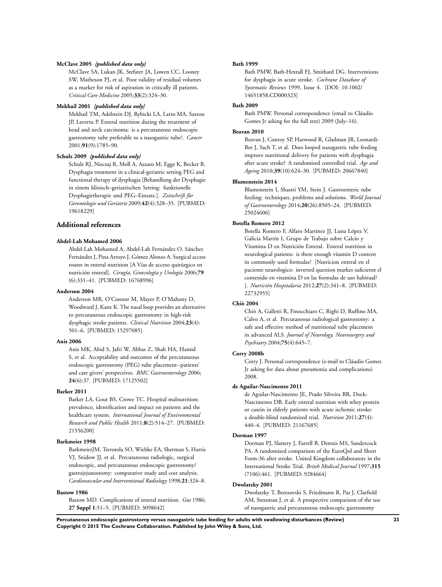#### **McClave 2005** *{published data only}*

McClave SA, Lukan JK, Stefater JA, Lowen CC, Looney SW, Matheson PJ, et al. Poor validity of residual volumes as a marker for risk of aspiration in critically ill patients. *Critical Care Medicine* 2005;**33**(2):324–30.

#### **Mekhail 2001** *{published data only}*

Mekhail TM, Adelstein DJ, Rybicki LA, Larto MA, Saxton JP, Lavertu P. Enteral nutrition during the treatment of head and neck carcinoma: is a percutaneous endoscopic gastrostomy tube preferable to a nasogastric tube?. *Cancer* 2001;**91**(9):1785–90.

#### **Schulz 2009** *{published data only}*

Schulz RJ, Nieczaj R, Moll A, Azzaro M, Egge K, Becker R. Dysphagia treatment in a clinical-geriatric setting PEG and functional therapy of dysphagia [Behandlung der Dysphagie in einem klinisch–geriatrischen Setting: funktionelle Dysphagietherapie und PEG–Einsatz.]. *Zeitschrift für Gerontologie und Geriatrie* 2009;**42**(4):328–35. [PUBMED: 19618229]

## **Additional references**

#### **Abdel-Lah Mohamed 2006**

Abdel-Lah Mohamed A, Abdel-Lah Fernández O, Sánchez Fernández J, Pina Arroyo J, Gómez Alonso A. Surgical access routes in enteral nutrition [A Vías de acceso quirúrgico en nutrición enteral]. *Cirugía, Ginecología y Urología* 2006;**79** (6):331–41. [PUBMED: 16768996]

#### **Anderson 2004**

Anderson MR, O'Connor M, Mayer P, O'Mahony D, Woodward J, Kane K. The nasal loop provides an alternative to percutaneous endoscopic gastrostomy in high-risk dysphagic stroke patients. *Clinical Nutrition* 2004;**23**(4): 501–6. [PUBMED: 15297085]

#### **Anis 2006**

Anis MK, Abid S, Jafri W, Abbas Z, Shah HA, Hamid S, et al. Acceptability and outcomes of the percutaneous endoscopic gastrostomy (PEG) tube placement--patients' and care givers' perspectives. *BMC Gastroenterology* 2006; **24**(6):37. [PUBMED: 17125502]

#### **Barker 2011**

Barker LA, Gout BS, Crowe TC. Hospital malnutrition: prevalence, identification and impact on patients and the healthcare system. *International Journal of Environmental Research and Public Health* 2011;**8**(2):514–27. [PUBMED: 21556200]

#### **Barkmeier 1998**

BarkmeierJM, Trerotola SO, Wiebke EA, Sherman S, Harris VJ, Snidow JJ, et al. Percutaneous radiologic, surgical endoscopic, and percutaneous endoscopic gastrostomy/ gastrojejunostomy: comparative study and cost analysis. *Cardiovascular and Interventional Radiology* 1998;**21**:324–8.

#### **Bastow 1986**

Bastow MD. Complications of enteral nutrition. *Gut* 1986; **27 Suppl 1**:51–5. [PUBMED: 3098642]

#### **Bath 1999**

Bath PMW, Bath-Hextall FJ, Smithard DG. Interventions for dysphagia in acute stroke. *Cochrane Database of Systematic Reviews* 1999, Issue 4. [DOI: 10.1002/ 14651858.CD000323]

#### **Bath 2009**

Bath PMW. Personal correspondence (email to Cláudio Gomes Jr asking for the full text) 2009 (July–16).

#### **Beavan 2010**

Beavan J, Conroy SP, Harwood R, Gladman JR, Leonardi-Bee J, Sach T, et al. Does looped nasogastric tube feeding improve nutritional delivery for patients with dysphagia after acute stroke? A randomised controlled trial. *Age and Ageing* 2010;**39**(10):624–30. [PUBMED: 20667840]

#### **Blumenstein 2014**

Blumenstein I, Shastri YM, Stein J. Gastroenteric tube feeding: techniques, problems and solutions. *World Journal of Gastroenterology* 2014;**20**(26):8505–24. [PUBMED: 25024606]

#### **Botella Romero 2012**

Botella Romero F, Alfaro Martínez JJ, Luna López V, Galicia Martín I, Grupo de Trabajo sobre Calcio y Vitamina D en Nutrición Enteral. Enteral nutrition in neurological patients: is there enough vitamin D content in commonly used formulas? [Nutricion enteral en el paciente neurologico: inverted question markes suficiente el contenido en vitamina D en las formulas de uso habitual? ]. *Nutrición Hospitalaria* 2012;**27**(2):341–8. [PUBMED: 22732955]

### **Chiò 2004**

Chiò A, Galletti R, Finocchiaro C, Righi D, Ruffino MA, Calvo A, et al. Percutaneous radiological gastrostomy: a safe and effective method of nutritional tube placement in advanced ALS. *Journal of Neurology, Neurosurgery and Psychiatry* 2004;**75**(4):645–7.

#### **Corry 2008b**

Corry J. Personal correspondence (e-mail to Cláudio Gomes Jr asking for data about pneumonia and complications) 2008.

#### **de Aguilar-Nascimento 2011**

de Aguilar-Nascimento JE, Prado Silveira BR, Dock-Nascimento DB. Early enteral nutrition with whey protein or casein in elderly patients with acute ischemic stroke: a double-blind randomized trial. *Nutrition* 2011;**27**(4): 440–4. [PUBMED: 21167685]

#### **Dorman 1997**

Dorman PJ, Slattery J, Farrell B, Dennis MS, Sandercock PA. A randomised comparison of the EuroQol and Short Form-36 after stroke. United Kingdom collaborators in the International Stroke Trial. *Britsh Medical Journal* 1997;**315** (7106):461. [PUBMED: 9284664]

#### **Dwolatzky 2001**

Dwolatzky T, Berezovski S, Friedmann R, Paz J, Clarfield AM, Stessman J, et al. A prospective comparison of the use of nasogastric and percutaneous endoscopic gastrostomy

**Percutaneous endoscopic gastrostomy versus nasogastric tube feeding for adults with swallowing disturbances (Review) 23 Copyright © 2015 The Cochrane Collaboration. Published by John Wiley & Sons, Ltd.**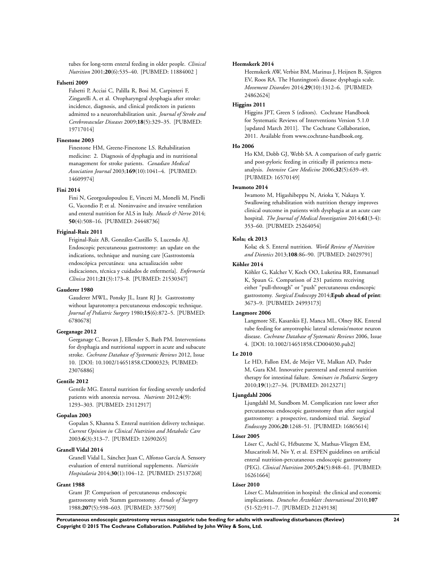tubes for long-term enteral feeding in older people. *Clinical Nutrition* 2001;**20**(6):535–40. [PUBMED: 11884002 ]

#### **Falsetti 2009**

Falsetti P, Acciai C, Palilla R, Bosi M, Carpinteri F, Zingarelli A, et al. Oropharyngeal dysphagia after stroke: incidence, diagnosis, and clinical predictors in patients admitted to a neurorehabilitation unit. *Journal of Stroke and Cerebrovascular Diseases* 2009;**18**(5):329–35. [PUBMED: 19717014]

## **Finestone 2003**

Finestone HM, Greene-Finestone LS. Rehabilitation medicine: 2. Diagnosis of dysphagia and its nutritional management for stroke patients. *Canadian Medical Association Journal* 2003;**169**(10):1041–4. [PUBMED: 14609974]

#### **Fini 2014**

Fini N, Georgoulopoulou E, Vinceti M, Monelli M, Pinelli G, Vacondio P, et al. Noninvasive and invasive ventilation and enteral nutrition for ALS in Italy. *Muscle & Nerve* 2014; **50**(4):508–16. [PUBMED: 24448736]

## **Friginal-Ruiz 2011**

Friginal-Ruiz AB, González-Castillo S, Lucendo AJ. Endoscopic percutaneous gastrostomy: an update on the indications, technique and nursing care [Gastrostomía endoscópica percutánea: una actualización sobre indicaciones, técnica y cuidados de enfermería]. *Enfermería Clínica* 2011;**21**(3):173–8. [PUBMED: 21530347]

## **Gauderer 1980**

Gauderer MWL, Ponsky JL, Izant RJ Jr. Gastrostomy without laparotomy:a percutaneous endoscopic technique. *Journal of Pediatric Surgery* 1980;**15**(6):872–5. [PUBMED: 6780678]

## **Geeganage 2012**

Geeganage C, Beavan J, Ellender S, Bath PM. Interventions for dysphagia and nutritional support in acute and subacute stroke. *Cochrane Database of Systematic Reviews* 2012, Issue 10. [DOI: 10.1002/14651858.CD000323; PUBMED: 23076886]

#### **Gentile 2012**

Gentile MG. Enteral nutrition for feeding severely underfed patients with anorexia nervosa. *Nutrients* 2012;**4**(9): 1293–303. [PUBMED: 23112917]

## **Gopalan 2003**

Gopalan S, Khanna S. Enteral nutrition delivery technique. *Current Opinion in Clinical Nutrition and Metabolic Care* 2003;**6**(3):313–7. [PUBMED: 12690265]

#### **Granell Vidal 2014**

Granell Vidal L, Sánchez Juan C, Alfonso García A. Sensory evaluation of enteral nutritional supplements. *Nutrición Hospitalaria* 2014;**30**(1):104–12. [PUBMED: 25137268]

#### **Grant 1988**

Grant JP. Comparison of percutaneous endoscopic gastrostomy with Stamm gastrostomy. *Annals of Surgery* 1988;**207**(5):598–603. [PUBMED: 3377569]

#### **Heemskerk 2014**

Heemskerk AW, Verbist BM, Marinus J, Heijnen B, Sjögren EV, Roos RA. The Huntington's disease dysphagia scale. *Movement Disorders* 2014;**29**(10):1312–6. [PUBMED: 24862624]

#### **Higgins 2011**

Higgins JPT, Green S (editors). Cochrane Handbook for Systematic Reviews of Interventions Version 5.1.0 [updated March 2011]. The Cochrane Collaboration, 2011. Available from www.cochrane-handbook.org.

#### **Ho 2006**

Ho KM, Dobb GJ, Webb SA. A comparison of early gastric and post-pyloric feeding in critically ill patients:a metaanalysis. *Intensive Care Medicine* 2006;**32**(5):639–49. [PUBMED: 16570149]

#### **Iwamoto 2014**

Iwamoto M, Higashibeppu N, Arioka Y, Nakaya Y. Swallowing rehabilitation with nutrition therapy improves clinical outcome in patients with dysphagia at an acute care hospital. *The Journal of Medical Investigation* 2014;**61**(3-4): 353–60. [PUBMED: 25264054]

#### **Kola ek 2013**

Kolač ek S. Enteral nutrition. World Review of Nutrition *and Dietetics* 2013;**108**:86–90. [PUBMED: 24029791]

#### **Köhler 2014**

Köhler G, Kalcher V, Koch OO, Luketina RR, Emmanuel K, Spaun G. Comparison of 231 patients receiving either "pull-through" or "push" percutaneous endoscopic gastrostomy. *Surgical Endoscopy* 2014;**Epub ahead of print**: 3673–9. [PUBMED: 24993173]

#### **Langmore 2006**

Langmore SE, Kasarskis EJ, Manca ML, Olney RK. Enteral tube feeding for amyotrophic lateral sclerosis/motor neuron disease. *Cochrane Database of Systematic Reviews* 2006, Issue 4. [DOI: 10.1002/14651858.CD004030.pub2]

#### **Le 2010**

Le HD, Fallon EM, de Meijer VE, Malkan AD, Puder M, Gura KM. Innovative parenteral and enteral nutrition therapy for intestinal failure. *Seminars in Pediatric Surgery* 2010;**19**(1):27–34. [PUBMED: 20123271]

#### **Ljungdahl 2006**

Ljungdahl M, Sundbom M. Complication rate lower after percutaneous endoscopic gastrostomy than after surgical gastrostomy: a prospective, randomized trial. *Surgical Endoscopy* 2006;**20**:1248–51. [PUBMED: 16865614]

#### **Löser 2005**

Löser C, Aschl G, Hébuteme X, Mathus-Vliegen EM, Muscaritoli M, Niv Y, et al. ESPEN guidelines on artificial enteral nutrition-percutaneous endoscopic gastrostomy (PEG). *Clinical Nutrition* 2005;**24**(5):848–61. [PUBMED: 16261664]

#### **Löser 2010**

Löser C. Malnutrition in hospital: the clinical and economic implications. *Deutsches Ärzteblatt :International* 2010;**107** (51-52):911–7. [PUBMED: 21249138]

**Percutaneous endoscopic gastrostomy versus nasogastric tube feeding for adults with swallowing disturbances (Review) 24 Copyright © 2015 The Cochrane Collaboration. Published by John Wiley & Sons, Ltd.**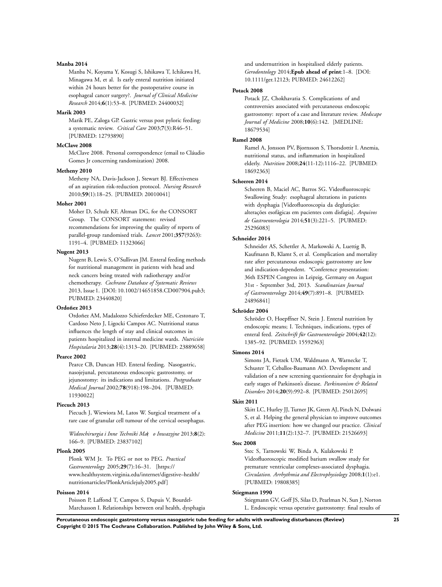#### **Manba 2014**

Manba N, Koyama Y, Kosugi S, Ishikawa T, Ichikawa H, Minagawa M, et al. Is early enteral nutrition initiated within 24 hours better for the postoperative course in esophageal cancer surgery?. *Journal of Clinical Medicine Research* 2014;**6**(1):53–8. [PUBMED: 24400032]

#### **Marik 2003**

Marik PE, Zaloga GP. Gastric versus post pyloric feeding: a systematic review. *Critical Care* 2003;**7**(3):R46–51. [PUBMED: 12793890]

### **McClave 2008**

McClave 2008. Personal correspondence (email to Cláudio Gomes Jr concerning randomization) 2008.

## **Metheny 2010**

Metheny NA, Davis-Jackson J, Stewart BJ. Effectiveness of an aspiration risk-reduction protocol. *Nursing Research* 2010;**59**(1):18–25. [PUBMED: 20010041]

### **Moher 2001**

Moher D, Schulz KF, Altman DG, for the CONSORT Group. The CONSORT statement: revised recommendations for improving the quality of reports of parallel-group randomised trials. *Lancet* 2001;**357**(9263): 1191–4. [PUBMED: 11323066]

#### **Nugent 2013**

Nugent B, Lewis S, O'Sullivan JM. Enteral feeding methods for nutritional management in patients with head and neck cancers being treated with radiotherapy and/or chemotherapy. *Cochrane Database of Systematic Reviews* 2013, Issue 1. [DOI: 10.1002/14651858.CD007904.pub3; PUBMED: 23440820]

#### **Ordoñez 2013**

Ordoñez AM, Madalozzo Schieferdecker ME, Cestonaro T, Cardoso Neto J, Ligocki Campos AC. Nutritional status influences the length of stay and clinical outcomes in patients hospitalized in internal medicine wards. *Nutrición Hospitalaria* 2013;**28**(4):1313–20. [PUBMED: 23889658]

#### **Pearce 2002**

Pearce CB, Duncan HD. Enteral feeding. Nasogastric, nasojejunal, percutaneous endoscopic gastrostomy, or jejunostomy: its indications and limitations. *Postgraduate Medical Journal* 2002;**78**(918):198–204. [PUBMED: 11930022]

#### **Piecuch 2013**

Piecuch J, Wiewiora M, Latos W. Surgical treatment of a rare case of granular cell tumour of the cervical oesophagus.

*Wideochirurgia i Inne Techniki Ma o Inwazyjne* 2013;**8**(2): 166–9. [PUBMED: 23837102]

#### **Plonk 2005**

Plonk WM Jr. To PEG or not to PEG. *Practical Gastroenterology* 2005;**29**(7):16–31. [https:// www.healthsystem.virginia.edu/internet/digestive–health/ nutritionarticles/PlonkArticlejuly2005.pdf]

#### **Poisson 2014**

Poisson P, Laffond T, Campos S, Dupuis V, Bourdel-Marchasson I. Relationships between oral health, dysphagia and undernutrition in hospitalised elderly patients. *Gerodontology* 2014;**Epub ahead of print**:1–8. [DOI: 10.1111/ger.12123; PUBMED: 24612262]

#### **Potack 2008**

Potack JZ, Chokhavatia S. Complications of and controversies associated with percutaneous endoscopic gastrostomy: report of a case and literature review. *Medscape Journal of Medicine* 2008;**10**(6):142. [MEDLINE: 18679534]

#### **Ramel 2008**

Ramel A, Jonsson PV, Bjornsson S, Thorsdottir I. Anemia, nutritional status, and inflammation in hospitalized elderly. *Nutrition* 2008;**24**(11-12):1116–22. [PUBMED: 18692363]

#### **Scheeren 2014**

Scheeren B, Maciel AC, Barros SG. Videofluoroscopic Swallowing Study: esophageal alterations in patients with dysphagia [Videofluoroscopia da deglutição: alterações esofágicas em pacientes com disfagia]. *Arquivos de Gastroenterologia* 2014;**51**(3):221–5. [PUBMED: 25296083]

#### **Schneider 2014**

Schneider AS, Schettler A, Markowski A, Luettig B, Kaufmann B, Klamt S, et al. Complication and mortality rate after percutaneous endoscopic gastrostomy are low and indication-dependent. \*Conference presentation: 36th ESPEN Congress in Leipzig, Germany on August 31st - September 3rd, 2013. *Scandinavian Journal of Gastroenterology* 2014;**49**(7):891–8. [PUBMED: 24896841]

## **Schröder 2004**

Schröder O, Hoepffner N, Stein J. Enteral nutrition by endoscopic means; I. Techniques, indications, types of enteral feed. *Zeitschrift für Gastroenterologie* 2004;**42**(12): 1385–92. [PUBMED: 15592963]

#### **Simons 2014**

Simons JA, Fietzek UM, Waldmann A, Warnecke T, Schuster T, Ceballos-Baumann AO. Development and validation of a new screening questionnaire for dysphagia in early stages of Parkinson's disease. *Parkinsonism & Related Disorders* 2014;**20**(9):992–8. [PUBMED: 25012695]

#### **Skitt 2011**

Skitt LC, Hurley JJ, Turner JK, Green AJ, Pinch N, Dolwani S, et al. Helping the general physician to improve outcomes after PEG insertion: how we changed our practice. *Clinical Medicine* 2011;**11**(2):132–7. [PUBMED: 21526693]

#### **Stec 2008**

Stec S, Tarnowski W, Binda A, Kulakowski P. Videofluoroscopic modified barium swallow study for premature ventricular complexes-associated dysphagia. *Circulation. Arrhythmia and Electrophysiology* 2008;**1**(1):e1. [PUBMED: 19808385]

#### **Stiegmann 1990**

Stiegmann GV, Goff JS, Silas D, Pearlman N, Sun J, Norton L. Endoscopic versus operative gastrostomy: final results of

**Percutaneous endoscopic gastrostomy versus nasogastric tube feeding for adults with swallowing disturbances (Review) 25 Copyright © 2015 The Cochrane Collaboration. Published by John Wiley & Sons, Ltd.**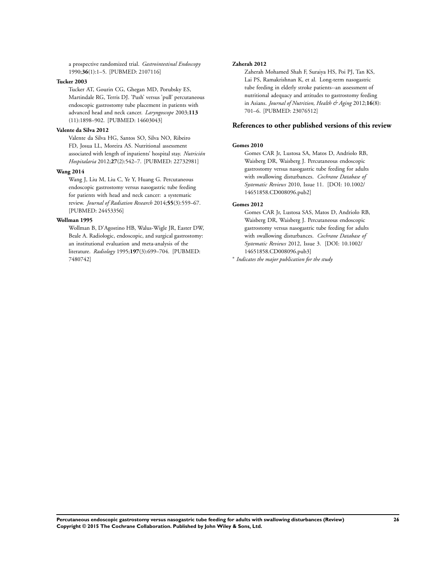a prospective randomized trial. *Gastrointestinal Endoscopy* 1990;**36**(1):1–5. [PUBMED: 2107116]

#### **Tucker 2003**

Tucker AT, Gourin CG, Ghegan MD, Porubsky ES, Martindale RG, Terris DJ. 'Push' versus 'pull' percutaneous endoscopic gastrostomy tube placement in patients with advanced head and neck cancer. *Laryngoscope* 2003;**113** (11):1898–902. [PUBMED: 14603043]

## **Valente da Silva 2012**

Valente da Silva HG, Santos SO, Silva NO, Ribeiro FD, Josua LL, Moreira AS. Nutritional assessment associated with length of inpatients' hospital stay. *Nutrición Hospitalaria* 2012;**27**(2):542–7. [PUBMED: 22732981]

#### **Wang 2014**

Wang J, Liu M, Liu C, Ye Y, Huang G. Percutaneous endoscopic gastrostomy versus nasogastric tube feeding for patients with head and neck cancer: a systematic review. *Journal of Radiation Research* 2014;**55**(3):559–67. [PUBMED: 24453356]

#### **Wollman 1995**

Wollman B, D'Agostino HB, Walus-Wigle JR, Easter DW, Beale A. Radiologic, endoscopic, and surgical gastrostomy: an institutional evaluation and meta-analysis of the literature. *Radiology* 1995;**197**(3):699–704. [PUBMED: 7480742]

#### **Zaherah 2012**

Zaherah Mohamed Shah F, Suraiya HS, Poi PJ, Tan KS, Lai PS, Ramakrishnan K, et al. Long-term nasogastric tube feeding in elderly stroke patients--an assessment of nutritional adequacy and attitudes to gastrostomy feeding in Asians. *Journal of Nutrition, Health & Aging* 2012;**16**(8): 701–6. [PUBMED: 23076512]

## **References to other published versions of this review**

#### **Gomes 2010**

Gomes CAR Jr, Lustosa SA, Matos D, Andriolo RB, Waisberg DR, Waisberg J. Percutaneous endoscopic gastrostomy versus nasogastric tube feeding for adults with swallowing disturbances. *Cochrane Database of Systematic Reviews* 2010, Issue 11. [DOI: 10.1002/ 14651858.CD008096.pub2]

#### **Gomes 2012**

Gomes CAR Jr, Lustosa SAS, Matos D, Andriolo RB, Waisberg DR, Waisberg J. Percutaneous endoscopic gastrostomy versus nasogastric tube feeding for adults with swallowing disturbances. *Cochrane Database of Systematic Reviews* 2012, Issue 3. [DOI: 10.1002/ 14651858.CD008096.pub3]

∗ *Indicates the major publication for the study*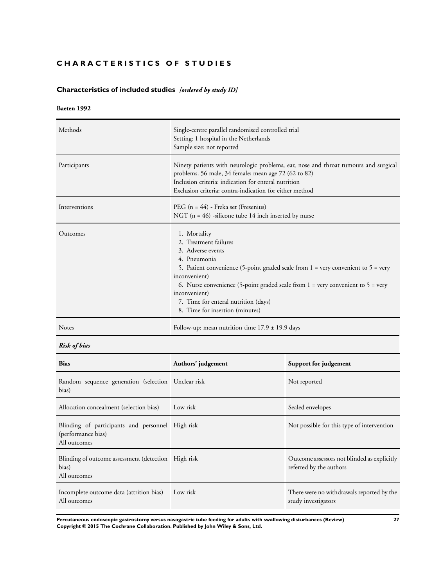## <span id="page-29-0"></span>**CHARACTERISTICS OF STUDIES**

## **Characteristics of included studies** *[ordered by study ID]*

## **Baeten 1992**

| Methods       | Single-centre parallel randomised controlled trial<br>Setting: 1 hospital in the Netherlands<br>Sample size: not reported                                                                                                                                                                                                                                                            |
|---------------|--------------------------------------------------------------------------------------------------------------------------------------------------------------------------------------------------------------------------------------------------------------------------------------------------------------------------------------------------------------------------------------|
| Participants  | Ninety patients with neurologic problems, ear, nose and throat tumours and surgical<br>problems. 56 male, 34 female; mean age 72 (62 to 82)<br>Inclusion criteria: indication for enteral nutrition<br>Exclusion criteria: contra-indication for either method                                                                                                                       |
| Interventions | PEG $(n = 44)$ - Freka set (Fresenius)<br>NGT ( $n = 46$ ) -silicone tube 14 inch inserted by nurse                                                                                                                                                                                                                                                                                  |
| Outcomes      | 1. Mortality<br>2. Treatment failures<br>3. Adverse events<br>4. Pneumonia<br>5. Patient convenience (5-point graded scale from $1$ = very convenient to $5$ = very<br>inconvenient)<br>6. Nurse convenience (5-point graded scale from $1 = \text{very convenient to } 5 = \text{very}$<br>inconvenient)<br>7. Time for enteral nutrition (days)<br>8. Time for insertion (minutes) |
| <b>Notes</b>  | Follow-up: mean nutrition time $17.9 \pm 19.9$ days                                                                                                                                                                                                                                                                                                                                  |

## *Risk of bias*

| <b>Bias</b>                                                                            | Authors' judgement | Support for judgement                                                  |
|----------------------------------------------------------------------------------------|--------------------|------------------------------------------------------------------------|
| Random sequence generation (selection Unclear risk<br>bias)                            |                    | Not reported                                                           |
| Allocation concealment (selection bias)                                                | Low risk           | Sealed envelopes                                                       |
| Blinding of participants and personnel High risk<br>(performance bias)<br>All outcomes |                    | Not possible for this type of intervention                             |
| Blinding of outcome assessment (detection High risk<br>bias)<br>All outcomes           |                    | Outcome assessors not blinded as explicitly<br>referred by the authors |
| Incomplete outcome data (attrition bias) Low risk<br>All outcomes                      |                    | There were no withdrawals reported by the<br>study investigators       |

**Percutaneous endoscopic gastrostomy versus nasogastric tube feeding for adults with swallowing disturbances (Review) 27 Copyright © 2015 The Cochrane Collaboration. Published by John Wiley & Sons, Ltd.**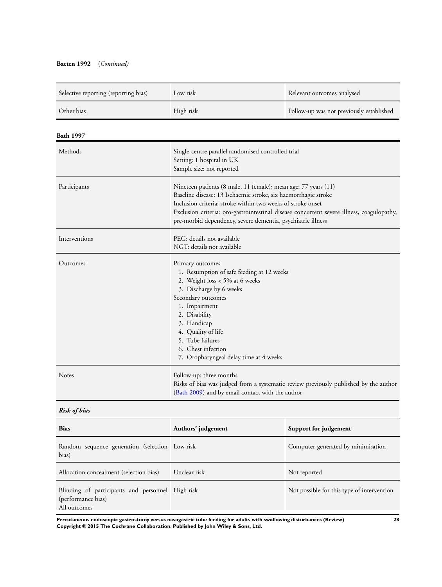## **Baeten 1992** (*Continued)*

| Selective reporting (reporting bias)                    | Low risk                                                                                                                                                                                                                                                                                                                                                    | Relevant outcomes analysed               |  |
|---------------------------------------------------------|-------------------------------------------------------------------------------------------------------------------------------------------------------------------------------------------------------------------------------------------------------------------------------------------------------------------------------------------------------------|------------------------------------------|--|
| Other bias                                              | High risk                                                                                                                                                                                                                                                                                                                                                   | Follow-up was not previously established |  |
| Bath 1997                                               |                                                                                                                                                                                                                                                                                                                                                             |                                          |  |
| Methods                                                 | Single-centre parallel randomised controlled trial<br>Setting: 1 hospital in UK<br>Sample size: not reported                                                                                                                                                                                                                                                |                                          |  |
| Participants                                            | Nineteen patients (8 male, 11 female); mean age: 77 years (11)<br>Baseline disease: 13 Ischaemic stroke, six haemorrhagic stroke<br>Inclusion criteria: stroke within two weeks of stroke onset<br>Exclusion criteria: oro-gastrointestinal disease concurrent severe illness, coagulopathy,<br>pre-morbid dependency, severe dementia, psychiatric illness |                                          |  |
| Interventions                                           | PEG: details not available<br>NGT: details not available                                                                                                                                                                                                                                                                                                    |                                          |  |
| Outcomes                                                | Primary outcomes<br>1. Resumption of safe feeding at 12 weeks<br>2. Weight loss < 5% at 6 weeks<br>3. Discharge by 6 weeks<br>Secondary outcomes<br>1. Impairment<br>2. Disability<br>3. Handicap<br>4. Quality of life<br>5. Tube failures<br>6. Chest infection<br>7. Oropharyngeal delay time at 4 weeks                                                 |                                          |  |
| Notes                                                   | Follow-up: three months<br>Risks of bias was judged from a systematic review previously published by the author<br>(Bath 2009) and by email contact with the author                                                                                                                                                                                         |                                          |  |
| <b>Risk of bias</b>                                     |                                                                                                                                                                                                                                                                                                                                                             |                                          |  |
| <b>Bias</b>                                             | Authors' judgement                                                                                                                                                                                                                                                                                                                                          | Support for judgement                    |  |
| Random sequence generation (selection Low risk<br>bias) |                                                                                                                                                                                                                                                                                                                                                             | Computer-generated by minimisation       |  |

**Percutaneous endoscopic gastrostomy versus nasogastric tube feeding for adults with swallowing disturbances (Review) 28 Copyright © 2015 The Cochrane Collaboration. Published by John Wiley & Sons, Ltd.**

Allocation concealment (selection bias) Unclear risk Not reported

Blinding of participants and personnel High risk

(performance bias) All outcomes

Not possible for this type of intervention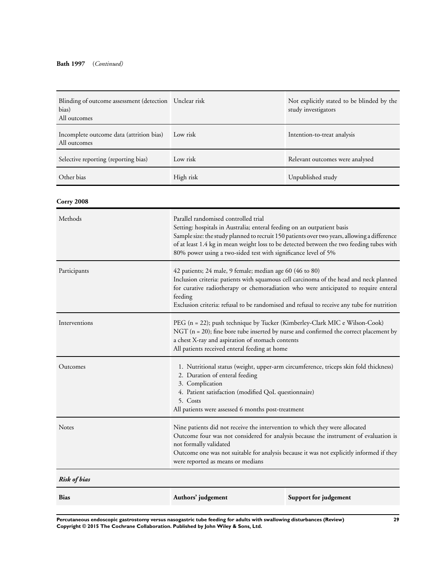| Blinding of outcome assessment (detection Unclear risk<br>bias)<br>All outcomes |           | Not explicitly stated to be blinded by the<br>study investigators |
|---------------------------------------------------------------------------------|-----------|-------------------------------------------------------------------|
| Incomplete outcome data (attrition bias)<br>All outcomes                        | Low risk  | Intention-to-treat analysis                                       |
| Selective reporting (reporting bias)                                            | Low risk  | Relevant outcomes were analysed                                   |
| Other bias                                                                      | High risk | Unpublished study                                                 |

**Corry 2008**

| Methods             | Parallel randomised controlled trial<br>Setting: hospitals in Australia; enteral feeding on an outpatient basis<br>Sample size: the study planned to recruit 150 patients over two years, allowing a difference<br>of at least 1.4 kg in mean weight loss to be detected between the two feeding tubes with<br>80% power using a two-sided test with significance level of 5% |                       |  |
|---------------------|-------------------------------------------------------------------------------------------------------------------------------------------------------------------------------------------------------------------------------------------------------------------------------------------------------------------------------------------------------------------------------|-----------------------|--|
| Participants        | 42 patients; 24 male, 9 female; median age 60 (46 to 80)<br>Inclusion criteria: patients with squamous cell carcinoma of the head and neck planned<br>for curative radiotherapy or chemoradiation who were anticipated to require enteral<br>feeding<br>Exclusion criteria: refusal to be randomised and refusal to receive any tube for nutrition                            |                       |  |
| Interventions       | PEG (n = 22); push technique by Tucker (Kimberley-Clark MIC e Wilson-Cook)<br>NGT ( $n = 20$ ); fine bore tube inserted by nurse and confirmed the correct placement by<br>a chest X-ray and aspiration of stomach contents<br>All patients received enteral feeding at home                                                                                                  |                       |  |
| Outcomes            | 1. Nutritional status (weight, upper-arm circumference, triceps skin fold thickness)<br>2. Duration of enteral feeding<br>3. Complication<br>4. Patient satisfaction (modified QoL questionnaire)<br>5. Costs<br>All patients were assessed 6 months post-treatment                                                                                                           |                       |  |
| <b>Notes</b>        | Nine patients did not receive the intervention to which they were allocated<br>Outcome four was not considered for analysis because the instrument of evaluation is<br>not formally validated<br>Outcome one was not suitable for analysis because it was not explicitly informed if they<br>were reported as means or medians                                                |                       |  |
| <b>Risk of bias</b> |                                                                                                                                                                                                                                                                                                                                                                               |                       |  |
| <b>Bias</b>         | Authors' judgement                                                                                                                                                                                                                                                                                                                                                            | Support for judgement |  |

**Percutaneous endoscopic gastrostomy versus nasogastric tube feeding for adults with swallowing disturbances (Review) 29 Copyright © 2015 The Cochrane Collaboration. Published by John Wiley & Sons, Ltd.**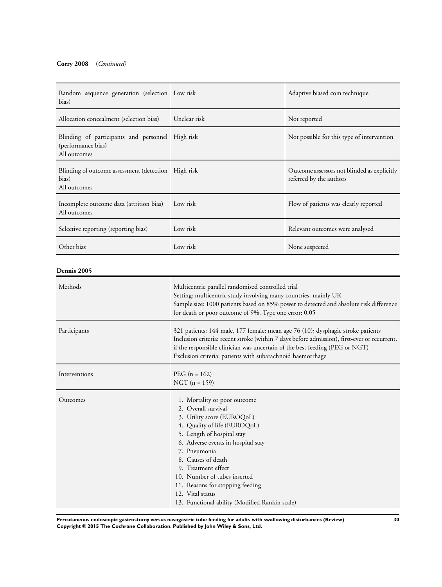## **Corry 2008** (*Continued)*

| Random sequence generation (selection Low risk<br>bias)                                |              | Adaptive biased coin technique                                         |
|----------------------------------------------------------------------------------------|--------------|------------------------------------------------------------------------|
| Allocation concealment (selection bias)                                                | Unclear risk | Not reported                                                           |
| Blinding of participants and personnel High risk<br>(performance bias)<br>All outcomes |              | Not possible for this type of intervention                             |
| Blinding of outcome assessment (detection High risk<br>bias)<br>All outcomes           |              | Outcome assessors not blinded as explicitly<br>referred by the authors |
| Incomplete outcome data (attrition bias)<br>All outcomes                               | Low risk     | Flow of patients was clearly reported                                  |
| Selective reporting (reporting bias)                                                   | Low risk     | Relevant outcomes were analysed                                        |
| Other bias                                                                             | Low risk     | None suspected                                                         |

## **Dennis 2005**

| Methods       | Multicentric parallel randomised controlled trial<br>Setting: multicentric study involving many countries, mainly UK<br>Sample size: 1000 patients based on 85% power to detected and absolute risk difference<br>for death or poor outcome of 9%. Type one error: 0.05                                                                                                                      |
|---------------|----------------------------------------------------------------------------------------------------------------------------------------------------------------------------------------------------------------------------------------------------------------------------------------------------------------------------------------------------------------------------------------------|
| Participants  | 321 patients: 144 male, 177 female; mean age 76 (10); dysphagic stroke patients<br>Inclusion criteria: recent stroke (within 7 days before admission), first-ever or recurrent,<br>if the responsible clinician was uncertain of the best feeding (PEG or NGT)<br>Exclusion criteria: patients with subarachnoid haemorrhage                                                                 |
| Interventions | $PEG (n = 162)$<br>$NGT (n = 159)$                                                                                                                                                                                                                                                                                                                                                           |
| Outcomes      | 1. Mortality or poor outcome<br>2. Overall survival<br>3. Utility score (EUROQoL)<br>4. Quality of life (EUROQoL)<br>5. Length of hospital stay<br>6. Adverse events in hospital stay<br>7. Pneumonia<br>8. Causes of death<br>9. Treatment effect<br>10. Number of tubes inserted<br>11. Reasons for stopping feeding<br>12. Vital status<br>13. Functional ability (Modified Rankin scale) |

**Percutaneous endoscopic gastrostomy versus nasogastric tube feeding for adults with swallowing disturbances (Review) 30 Copyright © 2015 The Cochrane Collaboration. Published by John Wiley & Sons, Ltd.**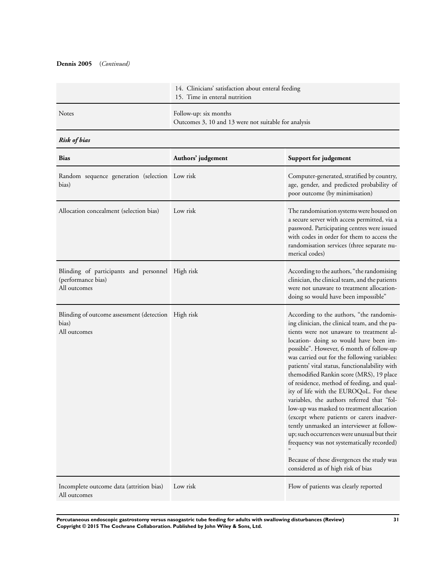## **Dennis 2005** (*Continued)*

|              | 14. Clinicians' satisfaction about enteral feeding<br>15. Time in enteral nutrition |
|--------------|-------------------------------------------------------------------------------------|
| <b>Notes</b> | Follow-up: six months<br>Outcomes 3, 10 and 13 were not suitable for analysis       |

## *Risk of bias*

| <b>Bias</b>                                                                            | Authors' judgement | Support for judgement                                                                                                                                                                                                                                                                                                                                                                                                                                                                                                                                                                                                                                                                                                                                                                                                                    |
|----------------------------------------------------------------------------------------|--------------------|------------------------------------------------------------------------------------------------------------------------------------------------------------------------------------------------------------------------------------------------------------------------------------------------------------------------------------------------------------------------------------------------------------------------------------------------------------------------------------------------------------------------------------------------------------------------------------------------------------------------------------------------------------------------------------------------------------------------------------------------------------------------------------------------------------------------------------------|
| Random sequence generation (selection Low risk<br>bias)                                |                    | Computer-generated, stratified by country,<br>age, gender, and predicted probability of<br>poor outcome (by minimisation)                                                                                                                                                                                                                                                                                                                                                                                                                                                                                                                                                                                                                                                                                                                |
| Allocation concealment (selection bias)                                                | Low risk           | The randomisation systems were housed on<br>a secure server with access permitted, via a<br>password. Participating centres were issued<br>with codes in order for them to access the<br>randomisation services (three separate nu-<br>merical codes)                                                                                                                                                                                                                                                                                                                                                                                                                                                                                                                                                                                    |
| Blinding of participants and personnel High risk<br>(performance bias)<br>All outcomes |                    | According to the authors, "the randomising<br>clinician, the clinical team, and the patients<br>were not unaware to treatment allocation-<br>doing so would have been impossible"                                                                                                                                                                                                                                                                                                                                                                                                                                                                                                                                                                                                                                                        |
| Blinding of outcome assessment (detection High risk<br>bias)<br>All outcomes           |                    | According to the authors, "the randomis-<br>ing clinician, the clinical team, and the pa-<br>tients were not unaware to treatment al-<br>location- doing so would have been im-<br>possible". However, 6 month of follow-up<br>was carried out for the following variables:<br>patients' vital status, functionalability with<br>themodified Rankin score (MRS), 19 place<br>of residence, method of feeding, and qual-<br>ity of life with the EUROQoL. For these<br>variables, the authors referred that "fol-<br>low-up was masked to treatment allocation<br>(except where patients or carers inadver-<br>tently unmasked an interviewer at follow-<br>up; such occurrences were unusual but their<br>frequency was not systematically recorded)<br>Because of these divergences the study was<br>considered as of high risk of bias |
| Incomplete outcome data (attrition bias)<br>All outcomes                               | Low risk           | Flow of patients was clearly reported                                                                                                                                                                                                                                                                                                                                                                                                                                                                                                                                                                                                                                                                                                                                                                                                    |

**Percutaneous endoscopic gastrostomy versus nasogastric tube feeding for adults with swallowing disturbances (Review) 31 Copyright © 2015 The Cochrane Collaboration. Published by John Wiley & Sons, Ltd.**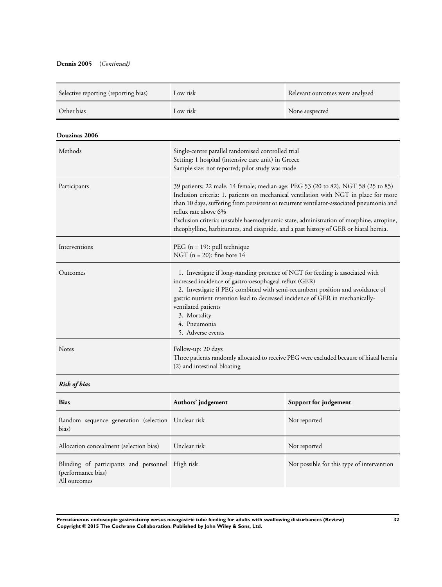## **Dennis 2005** (*Continued)*

| Selective reporting (reporting bias)                                                   | Low risk                                                                                                                                                                                                                                                                                                                                                                                                                                                                          | Relevant outcomes were analysed            |
|----------------------------------------------------------------------------------------|-----------------------------------------------------------------------------------------------------------------------------------------------------------------------------------------------------------------------------------------------------------------------------------------------------------------------------------------------------------------------------------------------------------------------------------------------------------------------------------|--------------------------------------------|
| Other bias                                                                             | Low risk                                                                                                                                                                                                                                                                                                                                                                                                                                                                          | None suspected                             |
| Douzinas 2006                                                                          |                                                                                                                                                                                                                                                                                                                                                                                                                                                                                   |                                            |
| Methods                                                                                | Single-centre parallel randomised controlled trial<br>Setting: 1 hospital (intensive care unit) in Greece<br>Sample size: not reported; pilot study was made                                                                                                                                                                                                                                                                                                                      |                                            |
| Participants                                                                           | 39 patients; 22 male, 14 female; median age: PEG 53 (20 to 82), NGT 58 (25 to 85)<br>Inclusion criteria: 1. patients on mechanical ventilation with NGT in place for more<br>than 10 days, suffering from persistent or recurrent ventilator-associated pneumonia and<br>reflux rate above 6%<br>Exclusion criteria: unstable haemodynamic state, administration of morphine, atropine,<br>theophylline, barbiturates, and cisapride, and a past history of GER or hiatal hernia. |                                            |
| Interventions                                                                          | PEG ( $n = 19$ ): pull technique<br>NGT ( $n = 20$ ): fine bore 14                                                                                                                                                                                                                                                                                                                                                                                                                |                                            |
| Outcomes                                                                               | 1. Investigate if long-standing presence of NGT for feeding is associated with<br>increased incidence of gastro-oesophageal reflux (GER)<br>2. Investigate if PEG combined with semi-recumbent position and avoidance of<br>gastric nutrient retention lead to decreased incidence of GER in mechanically-<br>ventilated patients<br>3. Mortality<br>4. Pneumonia<br>5. Adverse events                                                                                            |                                            |
| Notes                                                                                  | Follow-up: 20 days<br>Three patients randomly allocated to receive PEG were excluded because of hiatal hernia<br>(2) and intestinal bloating                                                                                                                                                                                                                                                                                                                                      |                                            |
| <b>Risk of bias</b>                                                                    |                                                                                                                                                                                                                                                                                                                                                                                                                                                                                   |                                            |
| <b>Bias</b>                                                                            | Authors' judgement                                                                                                                                                                                                                                                                                                                                                                                                                                                                | Support for judgement                      |
| Random sequence generation (selection Unclear risk<br>bias)                            |                                                                                                                                                                                                                                                                                                                                                                                                                                                                                   | Not reported                               |
| Allocation concealment (selection bias)                                                | Unclear risk                                                                                                                                                                                                                                                                                                                                                                                                                                                                      | Not reported                               |
| Blinding of participants and personnel High risk<br>(performance bias)<br>All outcomes |                                                                                                                                                                                                                                                                                                                                                                                                                                                                                   | Not possible for this type of intervention |

**Percutaneous endoscopic gastrostomy versus nasogastric tube feeding for adults with swallowing disturbances (Review) 32 Copyright © 2015 The Cochrane Collaboration. Published by John Wiley & Sons, Ltd.**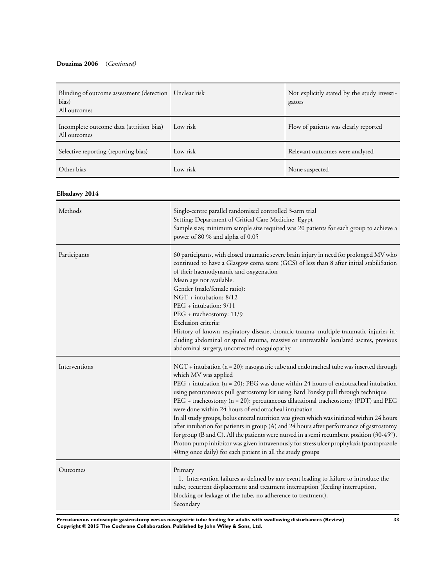## **Douzinas 2006** (*Continued)*

| Blinding of outcome assessment (detection Unclear risk<br>bias)<br>All outcomes |          | Not explicitly stated by the study investi-<br>gators |
|---------------------------------------------------------------------------------|----------|-------------------------------------------------------|
| Incomplete outcome data (attrition bias)<br>All outcomes                        | Low risk | Flow of patients was clearly reported                 |
| Selective reporting (reporting bias)                                            | Low risk | Relevant outcomes were analysed                       |
| Other bias                                                                      | Low risk | None suspected                                        |

## **Elbadawy 2014**

| Methods       | Single-centre parallel randomised controlled 3-arm trial<br>Setting: Department of Critical Care Medicine, Egypt<br>Sample size; minimum sample size required was 20 patients for each group to achieve a<br>power of 80 % and alpha of 0.05                                                                                                                                                                                                                                                                                                                                                                                                                                                                                                                                                                                                                                                   |
|---------------|------------------------------------------------------------------------------------------------------------------------------------------------------------------------------------------------------------------------------------------------------------------------------------------------------------------------------------------------------------------------------------------------------------------------------------------------------------------------------------------------------------------------------------------------------------------------------------------------------------------------------------------------------------------------------------------------------------------------------------------------------------------------------------------------------------------------------------------------------------------------------------------------|
| Participants  | 60 participants, with closed traumatic severe brain injury in need for prolonged MV who<br>continued to have a Glasgow coma score (GCS) of less than 8 after initial stabiliSation<br>of their haemodynamic and oxygenation<br>Mean age not available.<br>Gender (male/female ratio):<br>NGT + intubation: 8/12<br>$PEG + intubation: 9/11$<br>PEG + tracheostomy: 11/9<br>Exclusion criteria:<br>History of known respiratory disease, thoracic trauma, multiple traumatic injuries in-<br>cluding abdominal or spinal trauma, massive or untreatable loculated ascites, previous<br>abdominal surgery, uncorrected coagulopathy                                                                                                                                                                                                                                                              |
| Interventions | NGT + intubation (n = 20): nasogastric tube and endotracheal tube was inserted through<br>which MV was applied<br>$PEG + intubation$ ( $n = 20$ ): PEG was done within 24 hours of endotracheal intubation<br>using percutaneous pull gastrostomy kit using Bard Ponsky pull through technique<br>PEG + tracheostomy (n = 20): percutaneous dilatational tracheostomy (PDT) and PEG<br>were done within 24 hours of endotracheal intubation<br>In all study groups, bolus enteral nutrition was given which was initiated within 24 hours<br>after intubation for patients in group (A) and 24 hours after performance of gastrostomy<br>for group (B and C). All the patients were nursed in a semi recumbent position $(30-45^o)$ .<br>Proton pump inhibitor was given intravenously for stress ulcer prophylaxis (pantoprazole<br>40mg once daily) for each patient in all the study groups |
| Outcomes      | Primary<br>1. Intervention failures as defined by any event leading to failure to introduce the<br>tube, recurrent displacement and treatment interruption (feeding interruption,<br>blocking or leakage of the tube, no adherence to treatment).<br>Secondary                                                                                                                                                                                                                                                                                                                                                                                                                                                                                                                                                                                                                                 |

**Percutaneous endoscopic gastrostomy versus nasogastric tube feeding for adults with swallowing disturbances (Review) 33 Copyright © 2015 The Cochrane Collaboration. Published by John Wiley & Sons, Ltd.**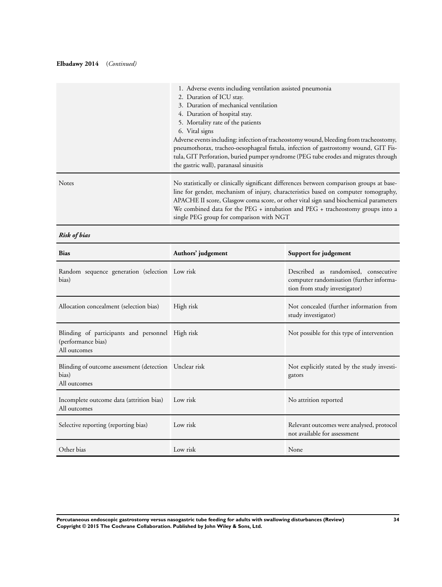### **Elbadawy 2014** (*Continued)*

|              | 1. Adverse events including ventilation assisted pneumonia<br>2. Duration of ICU stay.<br>3. Duration of mechanical ventilation<br>4. Duration of hospital stay.<br>5. Mortality rate of the patients<br>6. Vital signs<br>Adverse events including: infection of tracheostomy wound, bleeding from tracheostomy,<br>pneumothorax, tracheo-oesophageal fistula, infection of gastrostomy wound, GIT Fis-<br>tula, GIT Perforation, buried pumper syndrome (PEG tube erodes and migrates through<br>the gastric wall), paranasal sinusitis |
|--------------|-------------------------------------------------------------------------------------------------------------------------------------------------------------------------------------------------------------------------------------------------------------------------------------------------------------------------------------------------------------------------------------------------------------------------------------------------------------------------------------------------------------------------------------------|
| <b>Notes</b> | No statistically or clinically significant differences between comparison groups at base-<br>line for gender, mechanism of injury, characteristics based on computer tomography,<br>APACHE II score, Glasgow coma score, or other vital sign sand biochemical parameters<br>We combined data for the PEG $+$ intubation and PEG $+$ tracheostomy groups into a<br>single PEG group for comparison with NGT                                                                                                                                |

# *Risk of bias*

| <b>Bias</b>                                                                            | Authors' judgement | Support for judgement                                                                                             |
|----------------------------------------------------------------------------------------|--------------------|-------------------------------------------------------------------------------------------------------------------|
| Random sequence generation (selection Low risk<br>bias)                                |                    | Described as randomised, consecutive<br>computer randomisation (further informa-<br>tion from study investigator) |
| Allocation concealment (selection bias)                                                | High risk          | Not concealed (further information from<br>study investigator)                                                    |
| Blinding of participants and personnel High risk<br>(performance bias)<br>All outcomes |                    | Not possible for this type of intervention                                                                        |
| Blinding of outcome assessment (detection Unclear risk<br>bias)<br>All outcomes        |                    | Not explicitly stated by the study investi-<br>gators                                                             |
| Incomplete outcome data (attrition bias)<br>All outcomes                               | Low risk           | No attrition reported                                                                                             |
| Selective reporting (reporting bias)                                                   | Low risk           | Relevant outcomes were analysed, protocol<br>not available for assessment                                         |
| Other bias                                                                             | Low risk           | None                                                                                                              |

**Percutaneous endoscopic gastrostomy versus nasogastric tube feeding for adults with swallowing disturbances (Review) 34 Copyright © 2015 The Cochrane Collaboration. Published by John Wiley & Sons, Ltd.**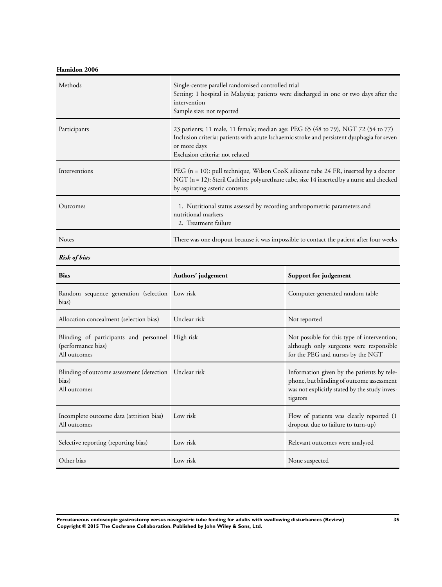**Hamidon 2006**

| Methods                                                                                | Single-centre parallel randomised controlled trial<br>Setting: 1 hospital in Malaysia; patients were discharged in one or two days after the<br>intervention<br>Sample size: not reported                                           |                                                                                                                                                      |
|----------------------------------------------------------------------------------------|-------------------------------------------------------------------------------------------------------------------------------------------------------------------------------------------------------------------------------------|------------------------------------------------------------------------------------------------------------------------------------------------------|
| Participants                                                                           | 23 patients; 11 male, 11 female; median age: PEG 65 (48 to 79), NGT 72 (54 to 77)<br>Inclusion criteria: patients with acute Ischaemic stroke and persistent dysphagia for seven<br>or more days<br>Exclusion criteria: not related |                                                                                                                                                      |
| Interventions                                                                          | PEG $(n = 10)$ : pull technique, Wilson CooK silicone tube 24 FR, inserted by a doctor<br>NGT (n = 12): Steril Cathline polyurethane tube, size 14 inserted by a nurse and checked<br>by aspirating asteric contents                |                                                                                                                                                      |
| Outcomes                                                                               | 1. Nutritional status assessed by recording anthropometric parameters and<br>nutritional markers<br>2. Treatment failure                                                                                                            |                                                                                                                                                      |
| Notes                                                                                  | There was one dropout because it was impossible to contact the patient after four weeks                                                                                                                                             |                                                                                                                                                      |
| <b>Risk of bias</b>                                                                    |                                                                                                                                                                                                                                     |                                                                                                                                                      |
| <b>Bias</b>                                                                            | Authors' judgement                                                                                                                                                                                                                  | Support for judgement                                                                                                                                |
| Random sequence generation (selection Low risk<br>bias)                                |                                                                                                                                                                                                                                     | Computer-generated random table                                                                                                                      |
| Allocation concealment (selection bias)                                                | Unclear risk                                                                                                                                                                                                                        | Not reported                                                                                                                                         |
| Blinding of participants and personnel High risk<br>(performance bias)<br>All outcomes |                                                                                                                                                                                                                                     | Not possible for this type of intervention;<br>although only surgeons were responsible<br>for the PEG and nurses by the NGT                          |
| Blinding of outcome assessment (detection Unclear risk<br>bias)<br>All outcomes        |                                                                                                                                                                                                                                     | Information given by the patients by tele-<br>phone, but blinding of outcome assessment<br>was not explicitly stated by the study inves-<br>tigators |
| Incomplete outcome data (attrition bias)<br>All outcomes                               | Low risk                                                                                                                                                                                                                            | Flow of patients was clearly reported (1<br>dropout due to failure to turn-up)                                                                       |
| Selective reporting (reporting bias)                                                   | Low risk                                                                                                                                                                                                                            | Relevant outcomes were analysed                                                                                                                      |
| Other bias                                                                             | Low risk                                                                                                                                                                                                                            | None suspected                                                                                                                                       |

**Percutaneous endoscopic gastrostomy versus nasogastric tube feeding for adults with swallowing disturbances (Review) 35 Copyright © 2015 The Cochrane Collaboration. Published by John Wiley & Sons, Ltd.**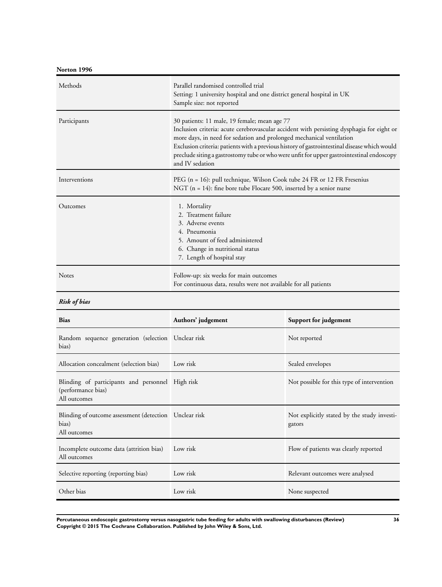**Norton 1996**

| Methods       | Parallel randomised controlled trial<br>Setting: 1 university hospital and one district general hospital in UK<br>Sample size: not reported                                                                                                                                                                                                                                                                                       |
|---------------|-----------------------------------------------------------------------------------------------------------------------------------------------------------------------------------------------------------------------------------------------------------------------------------------------------------------------------------------------------------------------------------------------------------------------------------|
| Participants  | 30 patients: 11 male, 19 female; mean age 77<br>Inclusion criteria: acute cerebrovascular accident with persisting dysphagia for eight or<br>more days, in need for sedation and prolonged mechanical ventilation<br>Exclusion criteria: patients with a previous history of gastrointestinal disease which would<br>preclude siting a gastrostomy tube or who were unfit for upper gastrointestinal endoscopy<br>and IV sedation |
| Interventions | PEG (n = 16): pull technique, Wilson Cook tube 24 FR or 12 FR Fresenius<br>NGT ( $n = 14$ ): fine bore tube Flocare 500, inserted by a senior nurse                                                                                                                                                                                                                                                                               |
| Outcomes      | 1. Mortality<br>2. Treatment failure<br>3. Adverse events<br>4. Pneumonia<br>5. Amount of feed administered<br>6. Change in nutritional status<br>7. Length of hospital stay                                                                                                                                                                                                                                                      |
| <b>Notes</b>  | Follow-up: six weeks for main outcomes<br>For continuous data, results were not available for all patients                                                                                                                                                                                                                                                                                                                        |

*Risk of bias*

| <b>Bias</b>                                                                            | Authors' judgement | Support for judgement                                 |
|----------------------------------------------------------------------------------------|--------------------|-------------------------------------------------------|
| Random sequence generation (selection Unclear risk<br>bias)                            |                    | Not reported                                          |
| Allocation concealment (selection bias)                                                | Low risk           | Sealed envelopes                                      |
| Blinding of participants and personnel High risk<br>(performance bias)<br>All outcomes |                    | Not possible for this type of intervention            |
| Blinding of outcome assessment (detection Unclear risk<br>bias)<br>All outcomes        |                    | Not explicitly stated by the study investi-<br>gators |
| Incomplete outcome data (attrition bias)<br>All outcomes                               | Low risk           | Flow of patients was clearly reported                 |
| Selective reporting (reporting bias)                                                   | Low risk           | Relevant outcomes were analysed                       |
| Other bias                                                                             | Low risk           | None suspected                                        |

**Percutaneous endoscopic gastrostomy versus nasogastric tube feeding for adults with swallowing disturbances (Review) 36 Copyright © 2015 The Cochrane Collaboration. Published by John Wiley & Sons, Ltd.**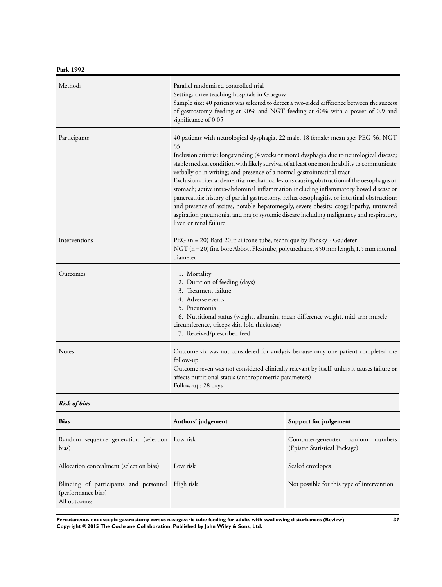| Methods       | Parallel randomised controlled trial<br>Setting: three teaching hospitals in Glasgow<br>Sample size: 40 patients was selected to detect a two-sided difference between the success<br>of gastrostomy feeding at 90% and NGT feeding at 40% with a power of 0.9 and<br>significance of 0.05                                                                                                                                                                                                                                                                                                                                                                                                                                                                                                                                                                           |
|---------------|----------------------------------------------------------------------------------------------------------------------------------------------------------------------------------------------------------------------------------------------------------------------------------------------------------------------------------------------------------------------------------------------------------------------------------------------------------------------------------------------------------------------------------------------------------------------------------------------------------------------------------------------------------------------------------------------------------------------------------------------------------------------------------------------------------------------------------------------------------------------|
| Participants  | 40 patients with neurological dysphagia, 22 male, 18 female; mean age: PEG 56, NGT<br>65<br>Inclusion criteria: longstanding (4 weeks or more) dysphagia due to neurological disease;<br>stable medical condition with likely survival of at least one month; ability to communicate<br>verbally or in writing; and presence of a normal gastrointestinal tract<br>Exclusion criteria: dementia; mechanical lesions causing obstruction of the oesophagus or<br>stomach; active intra-abdominal inflammation including inflammatory bowel disease or<br>pancreatitis; history of partial gastrectomy, reflux oesophagitis, or intestinal obstruction;<br>and presence of ascites, notable hepatomegaly, severe obesity, coagulopathy, untreated<br>aspiration pneumonia, and major systemic disease including malignancy and respiratory,<br>liver, or renal failure |
| Interventions | PEG (n = 20) Bard 20Fr silicone tube, technique by Ponsky - Gauderer<br>NGT (n = 20) fine bore Abbott Flexitube, polyurethane, 850 mm length, 1.5 mm internal<br>diameter                                                                                                                                                                                                                                                                                                                                                                                                                                                                                                                                                                                                                                                                                            |
| Outcomes      | 1. Mortality<br>2. Duration of feeding (days)<br>3. Treatment failure<br>4. Adverse events<br>5. Pneumonia<br>6. Nutritional status (weight, albumin, mean difference weight, mid-arm muscle<br>circumference, triceps skin fold thickness)<br>7. Received/prescribed feed                                                                                                                                                                                                                                                                                                                                                                                                                                                                                                                                                                                           |
| Notes         | Outcome six was not considered for analysis because only one patient completed the<br>follow-up<br>Outcome seven was not considered clinically relevant by itself, unless it causes failure or<br>affects nutritional status (anthropometric parameters)<br>Follow-up: 28 days                                                                                                                                                                                                                                                                                                                                                                                                                                                                                                                                                                                       |

## *Risk of bias*

| <b>Bias</b>                                                                            | Authors' judgement | Support for judgement                                              |
|----------------------------------------------------------------------------------------|--------------------|--------------------------------------------------------------------|
| Random sequence generation (selection Low risk<br>bias)                                |                    | Computer-generated random numbers<br>(Epistat Statistical Package) |
| Allocation concealment (selection bias)                                                | Low risk           | Sealed envelopes                                                   |
| Blinding of participants and personnel High risk<br>(performance bias)<br>All outcomes |                    | Not possible for this type of intervention                         |

**Percutaneous endoscopic gastrostomy versus nasogastric tube feeding for adults with swallowing disturbances (Review) 37 Copyright © 2015 The Cochrane Collaboration. Published by John Wiley & Sons, Ltd.**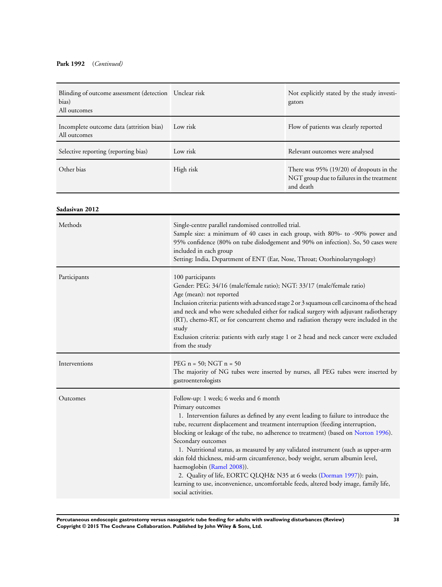### **Park 1992** (*Continued)*

| Blinding of outcome assessment (detection Unclear risk<br>bias)<br>All outcomes |                                                                                                                                                                                                                                                                                                                                                                                                                                                                                                                                                                                                                                                                                                                                              | Not explicitly stated by the study investi-<br>gators                                               |
|---------------------------------------------------------------------------------|----------------------------------------------------------------------------------------------------------------------------------------------------------------------------------------------------------------------------------------------------------------------------------------------------------------------------------------------------------------------------------------------------------------------------------------------------------------------------------------------------------------------------------------------------------------------------------------------------------------------------------------------------------------------------------------------------------------------------------------------|-----------------------------------------------------------------------------------------------------|
| Incomplete outcome data (attrition bias)<br>All outcomes                        | Low risk                                                                                                                                                                                                                                                                                                                                                                                                                                                                                                                                                                                                                                                                                                                                     | Flow of patients was clearly reported                                                               |
| Selective reporting (reporting bias)                                            | Low risk                                                                                                                                                                                                                                                                                                                                                                                                                                                                                                                                                                                                                                                                                                                                     | Relevant outcomes were analysed                                                                     |
| Other bias                                                                      | High risk                                                                                                                                                                                                                                                                                                                                                                                                                                                                                                                                                                                                                                                                                                                                    | There was 95% (19/20) of dropouts in the<br>NGT group due to failures in the treatment<br>and death |
| Sadasivan 2012                                                                  |                                                                                                                                                                                                                                                                                                                                                                                                                                                                                                                                                                                                                                                                                                                                              |                                                                                                     |
| Methods                                                                         | Single-centre parallel randomised controlled trial.<br>Sample size: a minimum of 40 cases in each group, with 80%- to -90% power and<br>95% confidence (80% on tube dislodgement and 90% on infection). So, 50 cases were<br>included in each group<br>Setting: India, Department of ENT (Ear, Nose, Throat; Otorhinolaryngology)                                                                                                                                                                                                                                                                                                                                                                                                            |                                                                                                     |
| Participants                                                                    | 100 participants<br>Gender: PEG: 34/16 (male/female ratio); NGT: 33/17 (male/female ratio)<br>Age (mean): not reported<br>Inclusion criteria: patients with advanced stage 2 or 3 squamous cell carcinoma of the head<br>and neck and who were scheduled either for radical surgery with adjuvant radiotherapy<br>(RT), chemo-RT, or for concurrent chemo and radiation therapy were included in the<br>study<br>Exclusion criteria: patients with early stage 1 or 2 head and neck cancer were excluded<br>from the study                                                                                                                                                                                                                   |                                                                                                     |
| Interventions                                                                   | PEG $n = 50$ ; NGT $n = 50$<br>The majority of NG tubes were inserted by nurses, all PEG tubes were inserted by<br>gastroenterologists                                                                                                                                                                                                                                                                                                                                                                                                                                                                                                                                                                                                       |                                                                                                     |
| Outcomes                                                                        | Follow-up: 1 week; 6 weeks and 6 month<br>Primary outcomes<br>1. Intervention failures as defined by any event leading to failure to introduce the<br>tube, recurrent displacement and treatment interruption (feeding interruption,<br>blocking or leakage of the tube, no adherence to treatment) (based on Norton 1996).<br>Secondary outcomes<br>1. Nutritional status, as measured by any validated instrument (such as upper-arm<br>skin fold thickness, mid-arm circumference, body weight, serum albumin level,<br>haemoglobin (Ramel 2008)).<br>2. Quality of life, EORTC QLQH& N35 at 6 weeks (Dorman 1997)): pain,<br>learning to use, inconvenience, uncomfortable feeds, altered body image, family life,<br>social activities. |                                                                                                     |

**Percutaneous endoscopic gastrostomy versus nasogastric tube feeding for adults with swallowing disturbances (Review) 38 Copyright © 2015 The Cochrane Collaboration. Published by John Wiley & Sons, Ltd.**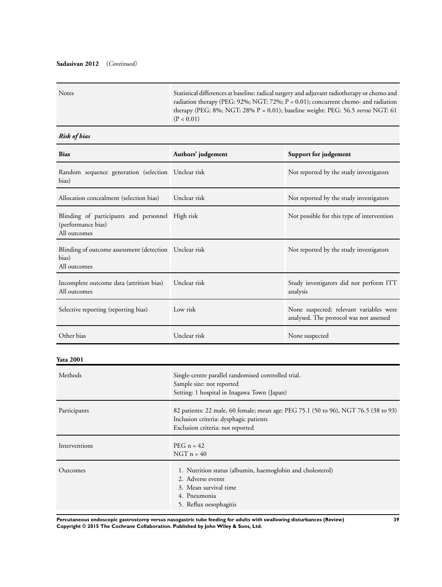### **Sadasivan 2012** (*Continued)*

### *Risk of bias*

| <b>Bias</b>                                                                            | Authors' judgement                                                                                                                                                | Support for judgement                                                              |  |
|----------------------------------------------------------------------------------------|-------------------------------------------------------------------------------------------------------------------------------------------------------------------|------------------------------------------------------------------------------------|--|
| Random sequence generation (selection Unclear risk<br>bias)                            |                                                                                                                                                                   | Not reported by the study investigators                                            |  |
| Allocation concealment (selection bias)                                                | Unclear risk                                                                                                                                                      | Not reported by the study investigators                                            |  |
| Blinding of participants and personnel High risk<br>(performance bias)<br>All outcomes |                                                                                                                                                                   | Not possible for this type of intervention                                         |  |
| Blinding of outcome assessment (detection Unclear risk<br>bias)<br>All outcomes        |                                                                                                                                                                   | Not reported by the study investigators                                            |  |
| Incomplete outcome data (attrition bias)<br>All outcomes                               | Unclear risk                                                                                                                                                      | Study investigators did not perform ITT<br>analysis                                |  |
| Selective reporting (reporting bias)                                                   | Low risk                                                                                                                                                          | None suspected: relevant variables were<br>analysed. The protocol was not assessed |  |
| Other bias                                                                             | Unclear risk                                                                                                                                                      | None suspected                                                                     |  |
| <b>Yata 2001</b>                                                                       |                                                                                                                                                                   |                                                                                    |  |
| Methods                                                                                | Single-centre parallel randomised controlled trial.<br>Sample size: not reported<br>Setting: 1 hospital in Inagawa Town (Japan)                                   |                                                                                    |  |
| Participants                                                                           | 82 patients: 22 male, 60 female; mean age: PEG 75.1 (50 to 96), NGT 76.5 (38 to 93)<br>Inclusion criteria: dysphagic patients<br>Exclusion criteria: not reported |                                                                                    |  |
| Interventions                                                                          | PEG $n = 42$<br>$NGT n = 40$                                                                                                                                      |                                                                                    |  |
| Outcomes                                                                               | 1. Nutrition status (albumin, haemoglobin and cholesterol)<br>2. Adverse events<br>3. Mean survival time<br>4. Pneumonia<br>5. Reflux oesophagitis                |                                                                                    |  |

**Percutaneous endoscopic gastrostomy versus nasogastric tube feeding for adults with swallowing disturbances (Review) 39 Copyright © 2015 The Cochrane Collaboration. Published by John Wiley & Sons, Ltd.**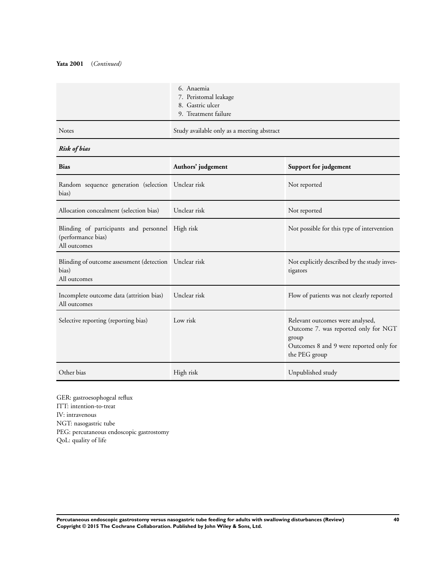#### **Yata 2001** (*Continued)*

|       | 6. Anaemia<br>7. Peristomal leakage<br>8. Gastric ulcer<br>9. Treatment failure |
|-------|---------------------------------------------------------------------------------|
| Notes | Study available only as a meeting abstract                                      |

## *Risk of bias*

| <b>Bias</b>                                                                            | Authors' judgement | Support for judgement                                                                                                                         |
|----------------------------------------------------------------------------------------|--------------------|-----------------------------------------------------------------------------------------------------------------------------------------------|
| Random sequence generation (selection Unclear risk<br>bias)                            |                    | Not reported                                                                                                                                  |
| Allocation concealment (selection bias)                                                | Unclear risk       | Not reported                                                                                                                                  |
| Blinding of participants and personnel High risk<br>(performance bias)<br>All outcomes |                    | Not possible for this type of intervention                                                                                                    |
| Blinding of outcome assessment (detection   Unclear risk<br>bias)<br>All outcomes      |                    | Not explicitly described by the study inves-<br>tigators                                                                                      |
| Incomplete outcome data (attrition bias)<br>All outcomes                               | Unclear risk       | Flow of patients was not clearly reported                                                                                                     |
| Selective reporting (reporting bias)                                                   | Low risk           | Relevant outcomes were analysed,<br>Outcome 7. was reported only for NGT<br>group<br>Outcomes 8 and 9 were reported only for<br>the PEG group |
| Other bias                                                                             | High risk          | Unpublished study                                                                                                                             |

GER: gastroesophogeal reflux ITT: intention-to-treat IV: intravenous NGT: nasogastric tube PEG: percutaneous endoscopic gastrostomy QoL: quality of life

**Percutaneous endoscopic gastrostomy versus nasogastric tube feeding for adults with swallowing disturbances (Review) 40 Copyright © 2015 The Cochrane Collaboration. Published by John Wiley & Sons, Ltd.**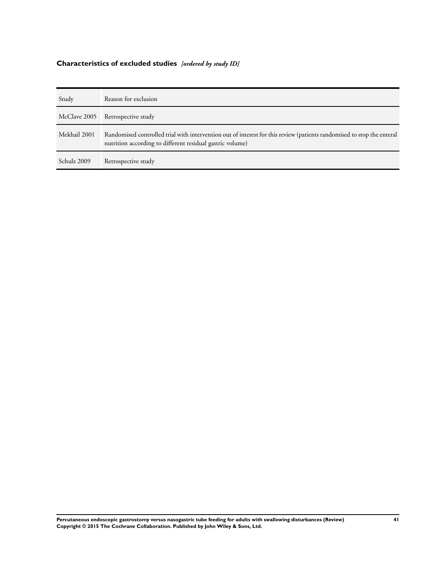# **Characteristics of excluded studies** *[ordered by study ID]*

| Study        | Reason for exclusion                                                                                                                                                                |
|--------------|-------------------------------------------------------------------------------------------------------------------------------------------------------------------------------------|
| McClave 2005 | Retrospective study                                                                                                                                                                 |
| Mekhail 2001 | Randomised controlled trial with intervention out of interest for this review (patients randomised to stop the enteral<br>nutrition according to different residual gastric volume) |
| Schulz 2009  | Retrospective study                                                                                                                                                                 |

**Percutaneous endoscopic gastrostomy versus nasogastric tube feeding for adults with swallowing disturbances (Review) 41 Copyright © 2015 The Cochrane Collaboration. Published by John Wiley & Sons, Ltd.**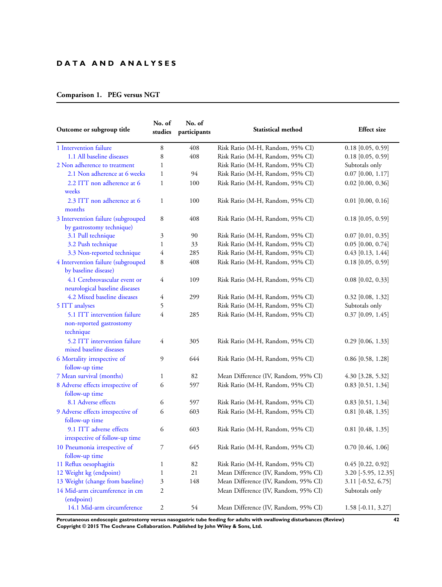## **D A T A A N D A N A L Y S E S**

## **Comparison 1. PEG versus NGT**

| Outcome or subgroup title                                             | No. of<br>studies | No. of<br>participants | <b>Statistical method</b>            | <b>Effect</b> size   |
|-----------------------------------------------------------------------|-------------------|------------------------|--------------------------------------|----------------------|
| 1 Intervention failure                                                | 8                 | 408                    | Risk Ratio (M-H, Random, 95% CI)     | $0.18$ [0.05, 0.59]  |
| 1.1 All baseline diseases                                             | 8                 | 408                    | Risk Ratio (M-H, Random, 95% CI)     | $0.18$ [0.05, 0.59]  |
| 2 Non adherence to treatment                                          | 1                 |                        | Risk Ratio (M-H, Random, 95% CI)     | Subtotals only       |
| 2.1 Non adherence at 6 weeks                                          | $\mathbf{1}$      | 94                     | Risk Ratio (M-H, Random, 95% CI)     | $0.07$ [0.00, 1.17]  |
| 2.2 ITT non adherence at 6<br>weeks                                   | $\mathbf{1}$      | 100                    | Risk Ratio (M-H, Random, 95% CI)     | $0.02$ [0.00, 0.36]  |
| 2.3 ITT non adherence at 6<br>months                                  | $\mathbf{1}$      | 100                    | Risk Ratio (M-H, Random, 95% CI)     | $0.01$ [0.00, 0.16]  |
| 3 Intervention failure (subgrouped<br>by gastrostomy technique)       | 8                 | 408                    | Risk Ratio (M-H, Random, 95% CI)     | $0.18$ [0.05, 0.59]  |
| 3.1 Pull technique                                                    | 3                 | 90                     | Risk Ratio (M-H, Random, 95% CI)     | $0.07$ [0.01, 0.35]  |
| 3.2 Push technique                                                    | $\mathbf{1}$      | 33                     | Risk Ratio (M-H, Random, 95% CI)     | $0.05$ [0.00, 0.74]  |
| 3.3 Non-reported technique                                            | 4                 | 285                    | Risk Ratio (M-H, Random, 95% CI)     | $0.43$ [0.13, 1.44]  |
| 4 Intervention failure (subgrouped<br>by baseline disease)            | 8                 | 408                    | Risk Ratio (M-H, Random, 95% CI)     | $0.18$ [0.05, 0.59]  |
| 4.1 Cerebrovascular event or<br>neurological baseline diseases        | 4                 | 109                    | Risk Ratio (M-H, Random, 95% CI)     | $0.08$ [0.02, 0.33]  |
| 4.2 Mixed baseline diseases                                           | 4                 | 299                    | Risk Ratio (M-H, Random, 95% CI)     | $0.32$ [0.08, 1.32]  |
| 5 ITT analyses                                                        | 5                 |                        | Risk Ratio (M-H, Random, 95% CI)     | Subtotals only       |
| 5.1 ITT intervention failure<br>non-reported gastrostomy<br>technique | 4                 | 285                    | Risk Ratio (M-H, Random, 95% CI)     | $0.37$ [0.09, 1.45]  |
| 5.2 ITT intervention failure<br>mixed baseline diseases               | 4                 | 305                    | Risk Ratio (M-H, Random, 95% CI)     | $0.29$ [0.06, 1.33]  |
| 6 Mortality irrespective of<br>follow-up time                         | 9                 | 644                    | Risk Ratio (M-H, Random, 95% CI)     | $0.86$ [0.58, 1.28]  |
| 7 Mean survival (months)                                              | $\mathbf{1}$      | 82                     | Mean Difference (IV, Random, 95% CI) | 4.30 [3.28, 5.32]    |
| 8 Adverse effects irrespective of<br>follow-up time                   | 6                 | 597                    | Risk Ratio (M-H, Random, 95% CI)     | $0.83$ [0.51, 1.34]  |
| 8.1 Adverse effects                                                   | 6                 | 597                    | Risk Ratio (M-H, Random, 95% CI)     | 0.83 [0.51, 1.34]    |
| 9 Adverse effects irrespective of<br>follow-up time                   | 6                 | 603                    | Risk Ratio (M-H, Random, 95% CI)     | $0.81$ [0.48, 1.35]  |
| 9.1 ITT adverse effects<br>irrespective of follow-up time             | 6                 | 603                    | Risk Ratio (M-H, Random, 95% CI)     | $0.81$ [0.48, 1.35]  |
| 10 Pneumonia irrespective of<br>follow-up time                        | 7                 | 645                    | Risk Ratio (M-H, Random, 95% CI)     | $0.70$ [0.46, 1.06]  |
| 11 Reflux oesophagitis                                                | 1                 | 82                     | Risk Ratio (M-H, Random, 95% CI)     | $0.45$ [0.22, 0.92]  |
| 12 Weight kg (endpoint)                                               | $\mathbf{1}$      | 21                     | Mean Difference (IV, Random, 95% CI) | 3.20 [-5.95, 12.35]  |
| 13 Weight (change from baseline)                                      | 3                 | 148                    | Mean Difference (IV, Random, 95% CI) | 3.11 [-0.52, 6.75]   |
| 14 Mid-arm circumference in cm<br>(endpoint)                          | $\overline{c}$    |                        | Mean Difference (IV, Random, 95% CI) | Subtotals only       |
| 14.1 Mid-arm circumference                                            | $\sqrt{2}$        | 54                     | Mean Difference (IV, Random, 95% CI) | $1.58$ [-0.11, 3.27] |

**Percutaneous endoscopic gastrostomy versus nasogastric tube feeding for adults with swallowing disturbances (Review) 42 Copyright © 2015 The Cochrane Collaboration. Published by John Wiley & Sons, Ltd.**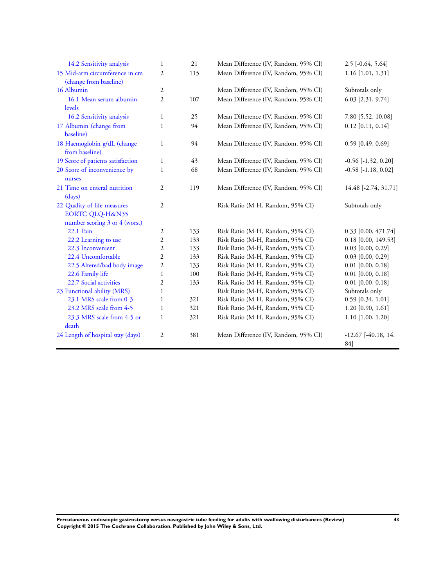| 14.2 Sensitivity analysis                                                                  | $\mathbf{1}$            | 21  | Mean Difference (IV, Random, 95% CI) | $2.5$ [ $-0.64$ , $5.64$ ]       |
|--------------------------------------------------------------------------------------------|-------------------------|-----|--------------------------------------|----------------------------------|
| 15 Mid-arm circumference in cm<br>(change from baseline)                                   | $\overline{2}$          | 115 | Mean Difference (IV, Random, 95% CI) | $1.16$ [1.01, 1.31]              |
| 16 Albumin                                                                                 | $\mathfrak{2}$          |     | Mean Difference (IV, Random, 95% CI) | Subtotals only                   |
| 16.1 Mean serum albumin<br>levels                                                          | $\overline{2}$          | 107 | Mean Difference (IV, Random, 95% CI) | 6.03 [2.31, 9.74]                |
| 16.2 Sensitivity analysis                                                                  | $\mathbf{1}$            | 25  | Mean Difference (IV, Random, 95% CI) | 7.80 [5.52, 10.08]               |
| 17 Albumin (change from<br>baseline)                                                       | $\mathbf{1}$            | 94  | Mean Difference (IV, Random, 95% CI) | $0.12$ [0.11, 0.14]              |
| 18 Haemoglobin g/dL (change<br>from baseline)                                              | $\mathbf{1}$            | 94  | Mean Difference (IV, Random, 95% CI) | $0.59$ [0.49, 0.69]              |
| 19 Score of patients satisfaction                                                          | $\mathbf{1}$            | 43  | Mean Difference (IV, Random, 95% CI) | $-0.56$ $[-1.32, 0.20]$          |
| 20 Score of inconvenience by<br>nurses                                                     | $\mathbf{1}$            | 68  | Mean Difference (IV, Random, 95% CI) | $-0.58$ [ $-1.18$ , $0.02$ ]     |
| 21 Time on enteral nutrition<br>(days)                                                     | $\mathfrak{2}$          | 119 | Mean Difference (IV, Random, 95% CI) | 14.48 [-2.74, 31.71]             |
| 22 Quality of life measures<br><b>EORTC QLQ-H&amp;N35</b><br>number scoring 3 or 4 (worst) | $\mathfrak{2}$          |     | Risk Ratio (M-H, Random, 95% CI)     | Subtotals only                   |
| 22.1 Pain                                                                                  | $\overline{\mathbf{c}}$ | 133 | Risk Ratio (M-H, Random, 95% CI)     | 0.33 [0.00, 471.74]              |
| 22.2 Learning to use                                                                       | $\overline{2}$          | 133 | Risk Ratio (M-H, Random, 95% CI)     | $0.18$ [0.00, 149.53]            |
| 22.3 Inconvenient                                                                          | 2                       | 133 | Risk Ratio (M-H, Random, 95% CI)     | $0.03$ [0.00, 0.29]              |
| 22.4 Uncomfortable                                                                         | $\overline{2}$          | 133 | Risk Ratio (M-H, Random, 95% CI)     | $0.03$ [0.00, 0.29]              |
| 22.5 Altered/bad body image                                                                | $\overline{\mathbf{c}}$ | 133 | Risk Ratio (M-H, Random, 95% CI)     | $0.01$ [0.00, 0.18]              |
| 22.6 Family life                                                                           | $\mathbf{1}$            | 100 | Risk Ratio (M-H, Random, 95% CI)     | $0.01$ [0.00, 0.18]              |
| 22.7 Social activities                                                                     | $\mathfrak{2}$          | 133 | Risk Ratio (M-H, Random, 95% CI)     | $0.01$ [0.00, 0.18]              |
| 23 Functional ability (MRS)                                                                | $\mathbf{1}$            |     | Risk Ratio (M-H, Random, 95% CI)     | Subtotals only                   |
| 23.1 MRS scale from 0-3                                                                    | 1                       | 321 | Risk Ratio (M-H, Random, 95% CI)     | $0.59$ [0.34, 1.01]              |
| 23.2 MRS scale from 4-5                                                                    | $\mathbf{1}$            | 321 | Risk Ratio (M-H, Random, 95% CI)     | $1.20$ [0.90, 1.61]              |
| 23.3 MRS scale from 4-5 or<br>death                                                        | $\mathbf{1}$            | 321 | Risk Ratio (M-H, Random, 95% CI)     | $1.10$ [1.00, 1.20]              |
| 24 Length of hospital stay (days)                                                          | $\mathfrak{2}$          | 381 | Mean Difference (IV, Random, 95% CI) | $-12.67$ [ $-40.18$ , 14.<br>84] |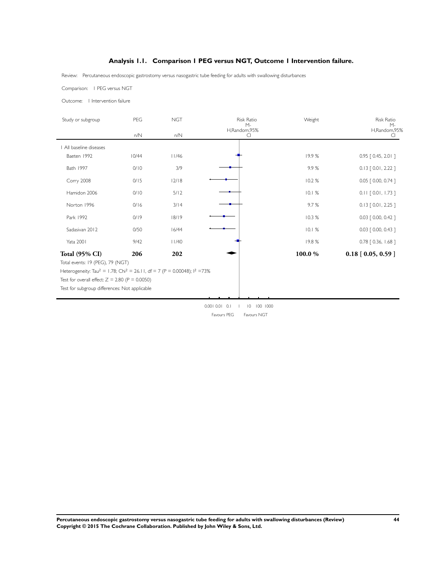## **Analysis 1.1. Comparison 1 PEG versus NGT, Outcome 1 Intervention failure.**

<span id="page-46-0"></span>Review: Percutaneous endoscopic gastrostomy versus nasogastric tube feeding for adults with swallowing disturbances

Comparison: 1 PEG versus NGT

Outcome: 1 Intervention failure

| Study or subgroup                                                                                                                                                                                                                                                      | PEG   | <b>NGT</b> | <b>Risk Ratio</b><br>$M -$<br>H,Random,95% | Weight  | <b>Risk Ratio</b><br>$M -$<br>H,Random,95% |
|------------------------------------------------------------------------------------------------------------------------------------------------------------------------------------------------------------------------------------------------------------------------|-------|------------|--------------------------------------------|---------|--------------------------------------------|
|                                                                                                                                                                                                                                                                        | n/N   | n/N        | C.                                         |         | CI.                                        |
| All baseline diseases                                                                                                                                                                                                                                                  |       |            |                                            |         |                                            |
| Baeten 1992                                                                                                                                                                                                                                                            | 10/44 | 11/46      |                                            | 19.9%   | $0.95$ $[0.45, 2.01]$                      |
| Bath 1997                                                                                                                                                                                                                                                              | 0/10  | 3/9        |                                            | 9.9%    | $0.13$ $[0.01, 2.22]$                      |
| Corry 2008                                                                                                                                                                                                                                                             | 0/15  | $12/18$    |                                            | 10.2 %  | $0.05$ $[0.00, 0.74]$                      |
| Hamidon 2006                                                                                                                                                                                                                                                           | 0/10  | 5/12       |                                            | 10.1%   | $0.11$ $[0.01, 1.73]$                      |
| Norton 1996                                                                                                                                                                                                                                                            | 0/16  | 3/14       |                                            | 9.7%    | $0.13$ $[0.01, 2.25]$                      |
| Park 1992                                                                                                                                                                                                                                                              | 0/19  | 18/19      |                                            | 10.3%   | $0.03$ $[0.00, 0.42]$                      |
| Sadasivan 2012                                                                                                                                                                                                                                                         | 0/50  | 16/44      |                                            | 10.1%   | $0.03$ $[0.00, 0.43]$                      |
| <b>Yata 2001</b>                                                                                                                                                                                                                                                       | 9/42  | 11/40      |                                            | 19.8%   | $0.78$ $[0.36, 1.68]$                      |
| Total (95% CI)<br>Total events: 19 (PEG), 79 (NGT)<br>Heterogeneity: Tau <sup>2</sup> = 1.78; Chi <sup>2</sup> = 26.11, df = 7 (P = 0.00048); l <sup>2</sup> =73%<br>Test for overall effect: $Z = 2.80$ (P = 0.0050)<br>Test for subgroup differences: Not applicable | 206   | 202        |                                            | 100.0 % | $0.18$ [ 0.05, 0.59 ]                      |

0.001 0.01 0.1 1 10 100 1000 Favours PEG Favours NGT

**Percutaneous endoscopic gastrostomy versus nasogastric tube feeding for adults with swallowing disturbances (Review) 44 Copyright © 2015 The Cochrane Collaboration. Published by John Wiley & Sons, Ltd.**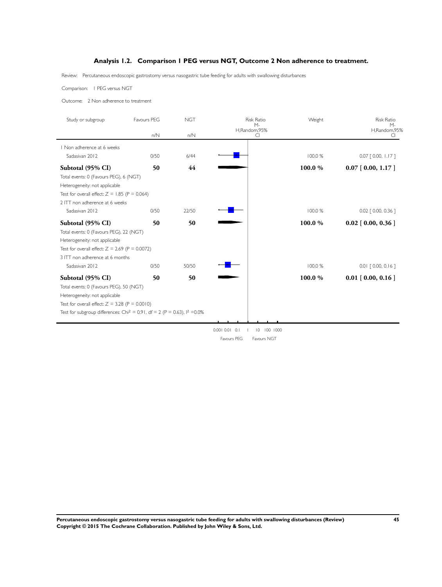### **Analysis 1.2. Comparison 1 PEG versus NGT, Outcome 2 Non adherence to treatment.**

<span id="page-47-0"></span>Review: Percutaneous endoscopic gastrostomy versus nasogastric tube feeding for adults with swallowing disturbances

Comparison: 1 PEG versus NGT

Outcome: 2 Non adherence to treatment

| Study or subgroup                                                                       | Favours PEG | <b>NGT</b> | <b>Risk Ratio</b><br>$M -$ | Weight  | <b>Risk Ratio</b><br>$M -$ |
|-----------------------------------------------------------------------------------------|-------------|------------|----------------------------|---------|----------------------------|
|                                                                                         | n/N         | n/N        | H,Random,95%<br>CI         |         | H,Random,95%<br>CI         |
| Non adherence at 6 weeks                                                                |             |            |                            |         |                            |
| Sadasivan 2012                                                                          | 0/50        | 6/44       |                            | 100.0 % | $0.07$ $[0.00, 1.17]$      |
| Subtotal (95% CI)                                                                       | 50          | 44         |                            | 100.0%  | $0.07$ [ 0.00, 1.17 ]      |
| Total events: 0 (Favours PEG), 6 (NGT)                                                  |             |            |                            |         |                            |
| Heterogeneity: not applicable                                                           |             |            |                            |         |                            |
| Test for overall effect: $Z = 1.85$ (P = 0.064)                                         |             |            |                            |         |                            |
| 2 ITT non adherence at 6 weeks                                                          |             |            |                            |         |                            |
| Sadasivan 2012                                                                          | 0/50        | 22/50      |                            | 100.0%  | $0.02$ $[0.00, 0.36]$      |
| Subtotal (95% CI)                                                                       | 50          | 50         |                            | 100.0%  | $0.02$ [ 0.00, 0.36 ]      |
| Total events: 0 (Favours PEG), 22 (NGT)                                                 |             |            |                            |         |                            |
| Heterogeneity: not applicable                                                           |             |            |                            |         |                            |
| Test for overall effect: $Z = 2.69$ (P = 0.0072)                                        |             |            |                            |         |                            |
| 3 ITT non adherence at 6 months                                                         |             |            |                            |         |                            |
| Sadasivan 2012                                                                          | 0/50        | 50/50      |                            | 100.0 % | $0.01$ $[0.00, 0.16]$      |
| Subtotal (95% CI)                                                                       | 50          | 50         |                            | 100.0%  | $0.01$ [ 0.00, 0.16 ]      |
| Total events: 0 (Favours PEG), 50 (NGT)                                                 |             |            |                            |         |                            |
| Heterogeneity: not applicable                                                           |             |            |                            |         |                            |
| Test for overall effect: $Z = 3.28$ (P = 0.0010)                                        |             |            |                            |         |                            |
| Test for subgroup differences: Chi <sup>2</sup> = 0.91, df = 2 (P = 0.63), $1^2$ = 0.0% |             |            |                            |         |                            |
|                                                                                         |             |            |                            |         |                            |

0.001 0.01 0.1 1 10 100 1000 Favours PEG Favours NGT

**Percutaneous endoscopic gastrostomy versus nasogastric tube feeding for adults with swallowing disturbances (Review) 45 Copyright © 2015 The Cochrane Collaboration. Published by John Wiley & Sons, Ltd.**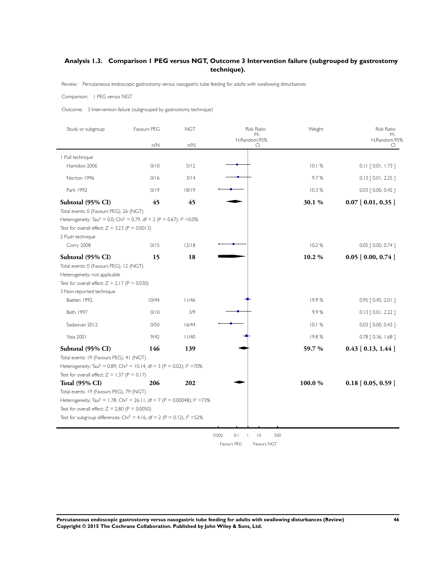## <span id="page-48-0"></span>**Analysis 1.3. Comparison 1 PEG versus NGT, Outcome 3 Intervention failure (subgrouped by gastrostomy technique).**

Review: Percutaneous endoscopic gastrostomy versus nasogastric tube feeding for adults with swallowing disturbances

#### Comparison: 1 PEG versus NGT

Outcome: 3 Intervention failure (subgrouped by gastrostomy technique)

| Study or subgroup                                                                                                                                                                                                                                                                                     | Favours PEG | <b>NGT</b>  | <b>Risk Ratio</b><br>М-                 | Weight         | <b>Risk Ratio</b><br>м-                        |
|-------------------------------------------------------------------------------------------------------------------------------------------------------------------------------------------------------------------------------------------------------------------------------------------------------|-------------|-------------|-----------------------------------------|----------------|------------------------------------------------|
|                                                                                                                                                                                                                                                                                                       | n/N         | n/N         | H,Random,95%<br>CI                      |                | H,Random,95%<br>CI                             |
| I Pull technique                                                                                                                                                                                                                                                                                      |             |             |                                         |                |                                                |
| Hamidon 2006                                                                                                                                                                                                                                                                                          | 0/10        | 5/12        |                                         | 10.1%          | $0.11$ $[0.01, 1.73]$                          |
| Norton 1996                                                                                                                                                                                                                                                                                           | 0/16        | 3/14        |                                         | 9.7%           | $0.13$ $[0.01, 2.25]$                          |
| Park 1992                                                                                                                                                                                                                                                                                             | 0/19        | 18/19       |                                         | 10.3%          | $0.03$ $[ 0.00, 0.42 ]$                        |
| Subtotal (95% CI)                                                                                                                                                                                                                                                                                     | 45          | 45          |                                         | 30.1%          | $0.07$ [ $0.01, 0.35$ ]                        |
| Total events: 0 (Favours PEG), 26 (NGT)<br>Heterogeneity: Tau <sup>2</sup> = 0.0; Chi <sup>2</sup> = 0.79, df = 2 (P = 0.67); l <sup>2</sup> = 0.0%<br>Test for overall effect: $Z = 3.23$ (P = 0.0013)<br>2 Push technique                                                                           |             |             |                                         |                |                                                |
| Corry 2008<br>Subtotal (95% CI)                                                                                                                                                                                                                                                                       | 0/15<br>15  | 12/18<br>18 |                                         | 10.2%<br>10.2% | 0.05 [ 0.00, 0.74 ]<br>$0.05$ [ $0.00, 0.74$ ] |
| Heterogeneity: not applicable<br>Test for overall effect: $Z = 2.17$ (P = 0.030)<br>3 Non-reported technique<br>Baeten 1992                                                                                                                                                                           | 10/44       | 11/46       |                                         | 19.9%          | 0.95 [ 0.45, 2.0   ]                           |
| Bath 1997                                                                                                                                                                                                                                                                                             | 0/10        | 3/9         |                                         | 9.9%           |                                                |
|                                                                                                                                                                                                                                                                                                       |             |             |                                         |                | $0.13$ $[0.01, 2.22]$                          |
| Sadasivan 2012                                                                                                                                                                                                                                                                                        | 0/50        | 16/44       |                                         | 10.1%          | $0.03$ $[ 0.00, 0.43 ]$                        |
| <b>Yata 2001</b>                                                                                                                                                                                                                                                                                      | 9/42        | 11/40       |                                         | 19.8%          | 0.78 [ 0.36, 1.68 ]                            |
| Subtotal (95% CI)<br>Total events: 19 (Favours PEG), 41 (NGT)<br>Heterogeneity: Tau <sup>2</sup> = 0.89; Chi <sup>2</sup> = 10.14, df = 3 (P = 0.02); l <sup>2</sup> = 70%<br>Test for overall effect: $Z = 1.37$ (P = 0.17)                                                                          | 146         | 139         |                                         | 59.7 %         | $0.43$ [ 0.13, 1.44 ]                          |
| <b>Total (95% CI)</b>                                                                                                                                                                                                                                                                                 | 206         | 202         |                                         | 100.0%         | $0.18$ [ 0.05, 0.59 ]                          |
| Total events: 19 (Favours PEG), 79 (NGT)<br>Heterogeneity: Tau <sup>2</sup> = 1.78; Chi <sup>2</sup> = 26.11, df = 7 (P = 0.00048); l <sup>2</sup> =73%<br>Test for overall effect: $Z = 2.80$ (P = 0.0050)<br>Test for subgroup differences: Chi <sup>2</sup> = 4.16, df = 2 (P = 0.12), $1^2$ = 52% |             |             |                                         |                |                                                |
|                                                                                                                                                                                                                                                                                                       |             |             | 0.002<br>0.1<br>$ 0\rangle$<br>500<br>T |                |                                                |

Favours PEG Favours NGT

**Percutaneous endoscopic gastrostomy versus nasogastric tube feeding for adults with swallowing disturbances (Review) 46 Copyright © 2015 The Cochrane Collaboration. Published by John Wiley & Sons, Ltd.**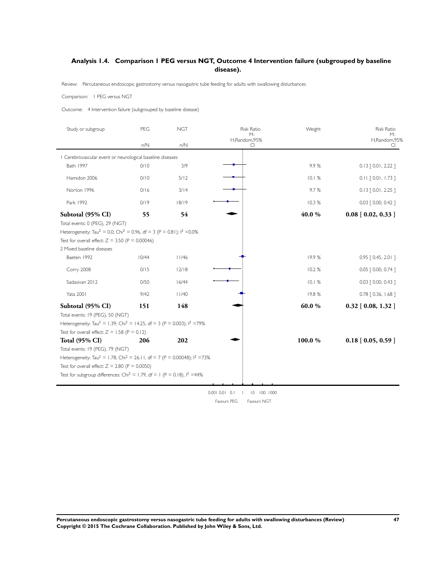### <span id="page-49-0"></span>**Analysis 1.4. Comparison 1 PEG versus NGT, Outcome 4 Intervention failure (subgrouped by baseline disease).**

Review: Percutaneous endoscopic gastrostomy versus nasogastric tube feeding for adults with swallowing disturbances

Comparison: 1 PEG versus NGT

Outcome: 4 Intervention failure (subgrouped by baseline disease)

| Study or subgroup                                                                                                                                                                                                                                                                                            | PEG   | <b>NGT</b> | <b>Risk Ratio</b>        | Weight | <b>Risk Ratio</b>          |
|--------------------------------------------------------------------------------------------------------------------------------------------------------------------------------------------------------------------------------------------------------------------------------------------------------------|-------|------------|--------------------------|--------|----------------------------|
|                                                                                                                                                                                                                                                                                                              | n/N   | n/N        | М-<br>H,Random,95%<br>CI |        | М-<br>H,Random,95%<br>CI.  |
| Cerebrovascular event or neurological baseline diseases                                                                                                                                                                                                                                                      |       |            |                          |        |                            |
| Bath 1997                                                                                                                                                                                                                                                                                                    | 0/10  | 3/9        |                          | 9.9%   | $0.13$ $[0.01, 2.22]$      |
| Hamidon 2006                                                                                                                                                                                                                                                                                                 | 0/10  | 5/12       |                          | 10.1%  | $0.11$ $[0.01, 1.73]$      |
| Norton 1996                                                                                                                                                                                                                                                                                                  | 0/16  | 3/14       |                          | 9.7%   | $0.13$ $[0.01, 2.25]$      |
| Park 1992                                                                                                                                                                                                                                                                                                    | 0/19  | 18/19      |                          | 10.3%  | 0.03 [ 0.00, 0.42 ]        |
| Subtotal (95% CI)<br>Total events: 0 (PEG), 29 (NGT)<br>Heterogeneity: Tau <sup>2</sup> = 0.0; Chi <sup>2</sup> = 0.96, df = 3 (P = 0.81); $1^2$ = 0.0%                                                                                                                                                      | 55    | 54         |                          | 40.0%  | $0.08$ [ $0.02$ , $0.33$ ] |
| Test for overall effect: $Z = 3.50$ (P = 0.00046)                                                                                                                                                                                                                                                            |       |            |                          |        |                            |
| 2 Mixed baseline diseases                                                                                                                                                                                                                                                                                    |       |            |                          |        |                            |
| Baeten 1992                                                                                                                                                                                                                                                                                                  | 10/44 | 11/46      |                          | 19.9%  | $0.95$ $[0.45, 2.01]$      |
| Corry 2008                                                                                                                                                                                                                                                                                                   | 0/15  | 12/18      |                          | 10.2%  | $0.05$ $[0.00, 0.74]$      |
| Sadasivan 2012                                                                                                                                                                                                                                                                                               | 0/50  | 16/44      |                          | 10.1%  | $0.03$ $[0.00, 0.43]$      |
| <b>Yata 2001</b>                                                                                                                                                                                                                                                                                             | 9/42  | 11/40      |                          | 19.8%  | $0.78$ $[0.36, 1.68]$      |
| Subtotal (95% CI)<br>Total events: 19 (PEG), 50 (NGT)<br>Heterogeneity: Tau <sup>2</sup> = 1.39; Chi <sup>2</sup> = 14.25, df = 3 (P = 0.003); l <sup>2</sup> =79%<br>Test for overall effect: $Z = 1.58$ (P = 0.12)                                                                                         | 151   | 148        |                          | 60.0%  | $0.32$ [ $0.08$ , 1.32 ]   |
| <b>Total (95% CI)</b><br>Total events: 19 (PEG), 79 (NGT)<br>Heterogeneity: Tau <sup>2</sup> = 1.78; Chi <sup>2</sup> = 26.11, df = 7 (P = 0.00048); $1^2$ =73%<br>Test for overall effect: $Z = 2.80$ (P = 0.0050)<br>Test for subgroup differences: Chi <sup>2</sup> = 1.79, df = 1 (P = 0.18), $1^2$ =44% | 206   | 202        |                          | 100.0% | $0.18$ [ 0.05, 0.59 ]      |

0.001 0.01 0.1 1 10 100 1000 Favours PEG Favours NGT

**Percutaneous endoscopic gastrostomy versus nasogastric tube feeding for adults with swallowing disturbances (Review) 47 Copyright © 2015 The Cochrane Collaboration. Published by John Wiley & Sons, Ltd.**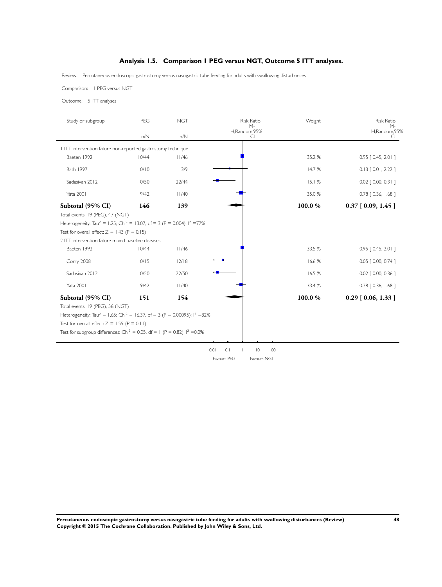## **Analysis 1.5. Comparison 1 PEG versus NGT, Outcome 5 ITT analyses.**

<span id="page-50-0"></span>Review: Percutaneous endoscopic gastrostomy versus nasogastric tube feeding for adults with swallowing disturbances

Comparison: 1 PEG versus NGT

Outcome: 5 ITT analyses

| Study or subgroup                                                                                         | PEG   | <b>NGT</b> | <b>Risk Ratio</b>                        | Weight | <b>Risk Ratio</b>       |
|-----------------------------------------------------------------------------------------------------------|-------|------------|------------------------------------------|--------|-------------------------|
|                                                                                                           | n/N   | n/N        | M-<br>H,Random,95%<br>CI.                |        | М-<br>H,Random,95%<br>C |
| I ITT intervention failure non-reported gastrostomy technique                                             |       |            |                                          |        |                         |
| Baeten 1992                                                                                               | 10/44 | 11/46      |                                          | 35.2 % | $0.95$ $[0.45, 2.01]$   |
| Bath 1997                                                                                                 | 0/10  | 3/9        |                                          | 14.7%  | $0.13$ $[0.01, 2.22]$   |
| Sadasivan 2012                                                                                            | 0/50  | 22/44      |                                          | 15.1%  | $0.02$ $[0.00, 0.31]$   |
| <b>Yata 2001</b>                                                                                          | 9/42  | 11/40      |                                          | 35.0%  | 0.78 [ 0.36, 1.68 ]     |
| Subtotal (95% CI)                                                                                         | 146   | 139        |                                          | 100.0% | $0.37$ [ 0.09, 1.45 ]   |
| Total events: 19 (PEG), 47 (NGT)                                                                          |       |            |                                          |        |                         |
| Heterogeneity: Tau <sup>2</sup> = 1.25; Chi <sup>2</sup> = 13.07, df = 3 (P = 0.004); l <sup>2</sup> =77% |       |            |                                          |        |                         |
| Test for overall effect: $Z = 1.43$ (P = 0.15)                                                            |       |            |                                          |        |                         |
| 2 ITT intervention failure mixed baseline diseases                                                        |       |            |                                          |        |                         |
| Baeten 1992                                                                                               | 10/44 | 11/46      |                                          | 33.5 % | 0.95 [ 0.45, 2.0   ]    |
| Corry 2008                                                                                                | 0/15  | 12/18      |                                          | 16.6%  | $0.05$ $[0.00, 0.74]$   |
| Sadasivan 2012                                                                                            | 0/50  | 22/50      |                                          | 16.5 % | $0.02$ $[$ 0.00, 0.36 ] |
| Yata 2001                                                                                                 | 9/42  | 11/40      |                                          | 33.4 % | $0.78$ $[0.36, 1.68]$   |
| Subtotal (95% CI)                                                                                         | 151   | 154        |                                          | 100.0% | $0.29$ [ 0.06, 1.33 ]   |
| Total events: 19 (PEG), 56 (NGT)                                                                          |       |            |                                          |        |                         |
| Heterogeneity: Tau <sup>2</sup> = 1.65; Chi <sup>2</sup> = 16.37, df = 3 (P = 0.00095); $1^2 = 82\%$      |       |            |                                          |        |                         |
| Test for overall effect: $Z = 1.59$ (P = 0.11)                                                            |       |            |                                          |        |                         |
| Test for subgroup differences: Chi <sup>2</sup> = 0.05, df = 1 (P = 0.82), $1^2$ = 0.0%                   |       |            |                                          |        |                         |
|                                                                                                           |       |            |                                          |        |                         |
|                                                                                                           |       |            | 0.01<br>0.1<br>$ 0\rangle$<br>100        |        |                         |
|                                                                                                           |       |            | <b>Eavours PEG</b><br><b>Eavours NGT</b> |        |                         |

**Percutaneous endoscopic gastrostomy versus nasogastric tube feeding for adults with swallowing disturbances (Review) 48 Copyright © 2015 The Cochrane Collaboration. Published by John Wiley & Sons, Ltd.**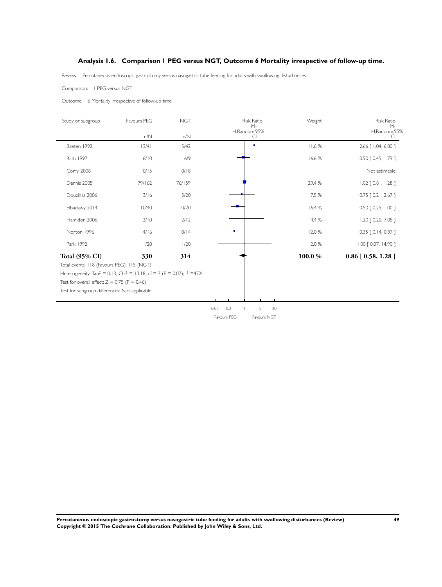### **Analysis 1.6. Comparison 1 PEG versus NGT, Outcome 6 Mortality irrespective of follow-up time.**

<span id="page-51-0"></span>Review: Percutaneous endoscopic gastrostomy versus nasogastric tube feeding for adults with swallowing disturbances

Comparison: 1 PEG versus NGT

j.

 $\overline{\phantom{a}}$ 

Outcome: 6 Mortality irrespective of follow-up time

| Study or subgroup                                                                                         | Favours PEG | <b>NGT</b> | <b>Risk Ratio</b><br>$M -$ | Weight | <b>Risk Ratio</b><br>$M -$ |
|-----------------------------------------------------------------------------------------------------------|-------------|------------|----------------------------|--------|----------------------------|
|                                                                                                           | n/N         | n/N        | H,Random,95%<br>CI         |        | H,Random,95%               |
| Baeten 1992                                                                                               | 13/41       | 5/42       |                            | 11.6%  | 2.66   1.04, 6.80 ]        |
| Bath 1997                                                                                                 | 6/10        | 6/9        |                            | 16.6%  | $0.90$ $[0.45, 1.79]$      |
| Corry 2008                                                                                                | 0/15        | 0/18       |                            |        | Not estimable              |
| Dennis 2005                                                                                               | 79/162      | 76/159     |                            | 29.4%  | $1.02$ [ 0.81, 1.28 ]      |
| Douzinas 2006                                                                                             | 3/16        | 5/20       |                            | 7.5 %  | $0.75$ $[0.21, 2.67]$      |
| Elbadawy 2014                                                                                             | 10/40       | 10/20      |                            | 16.4 % | 0.50 [ 0.25, 1.00 ]        |
| Hamidon 2006                                                                                              | 2/10        | 2/12       |                            | 4.4 %  | 1.20 [ 0.20, 7.05 ]        |
| Norton 1996                                                                                               | 4/16        | 10/14      |                            | 12.0%  | $0.35$ $[0.14, 0.87]$      |
| Park 1992                                                                                                 | 1/20        | 1/20       |                            | 2.0 %  | 1.00 [ 0.07, 14.90 ]       |
| Total (95% CI)                                                                                            | 330         | 314        |                            | 100.0% | $0.86$ [ $0.58$ , 1.28 ]   |
| Total events: 118 (Favours PEG), 115 (NGT)                                                                |             |            |                            |        |                            |
| Heterogeneity: Tau <sup>2</sup> = 0.13; Chi <sup>2</sup> = 13.18, df = 7 (P = 0.07); l <sup>2</sup> = 47% |             |            |                            |        |                            |
| Test for overall effect: $Z = 0.75$ (P = 0.46)                                                            |             |            |                            |        |                            |
| Test for subgroup differences: Not applicable                                                             |             |            |                            |        |                            |
|                                                                                                           |             |            |                            |        |                            |

0.05 0.2 1 5 20 Favours PEG Favours NGT

**Percutaneous endoscopic gastrostomy versus nasogastric tube feeding for adults with swallowing disturbances (Review) 49 Copyright © 2015 The Cochrane Collaboration. Published by John Wiley & Sons, Ltd.**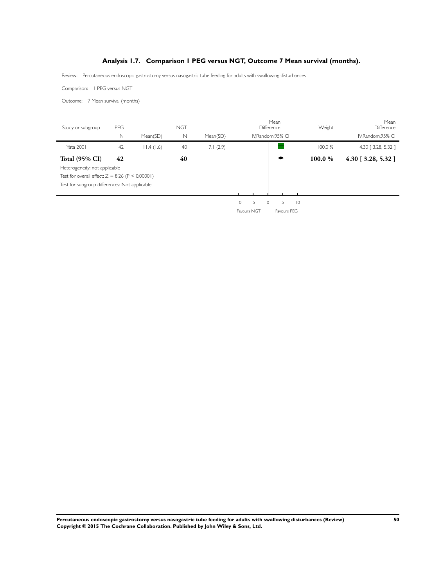### **Analysis 1.7. Comparison 1 PEG versus NGT, Outcome 7 Mean survival (months).**

<span id="page-52-0"></span>Review: Percutaneous endoscopic gastrostomy versus nasogastric tube feeding for adults with swallowing disturbances

Comparison: 1 PEG versus NGT

Outcome: 7 Mean survival (months)

| Study or subgroup                                 | PEG |           | <b>NGT</b> |          |                         | Mean<br>Difference | Weight  | Mean<br>Difference    |
|---------------------------------------------------|-----|-----------|------------|----------|-------------------------|--------------------|---------|-----------------------|
|                                                   | N   | Mean(SD)  | N          | Mean(SD) |                         | IV, Random, 95% CI |         | IV, Random, 95% CI    |
| <b>Yata 2001</b>                                  | 42  | 11.4(1.6) | 40         | 7.1(2.9) |                         |                    | 100.0%  | 4.30 [ 3.28, 5.32 ]   |
| <b>Total (95% CI)</b>                             | 42  |           | 40         |          |                         |                    | 100.0 % | $4.30$ [ 3.28, 5.32 ] |
| Heterogeneity: not applicable                     |     |           |            |          |                         |                    |         |                       |
| Test for overall effect: $Z = 8.26$ (P < 0.00001) |     |           |            |          |                         |                    |         |                       |
| Test for subgroup differences: Not applicable     |     |           |            |          |                         |                    |         |                       |
|                                                   |     |           |            |          |                         |                    |         |                       |
|                                                   |     |           |            |          | $-10$<br>$\Omega$<br>-5 | $ 0\rangle$<br>5   |         |                       |

Favours NGT Favours PEG

**Percutaneous endoscopic gastrostomy versus nasogastric tube feeding for adults with swallowing disturbances (Review) 50 Copyright © 2015 The Cochrane Collaboration. Published by John Wiley & Sons, Ltd.**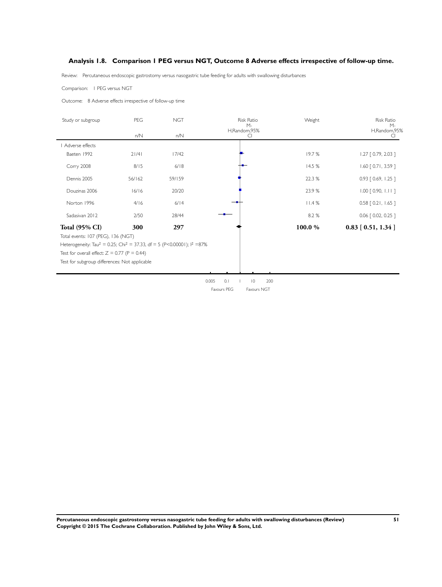### <span id="page-53-0"></span>**Analysis 1.8. Comparison 1 PEG versus NGT, Outcome 8 Adverse effects irrespective of follow-up time.**

Review: Percutaneous endoscopic gastrostomy versus nasogastric tube feeding for adults with swallowing disturbances

Comparison: 1 PEG versus NGT

Outcome: 8 Adverse effects irrespective of follow-up time

| Study or subgroup                                                                                         | PEG    | <b>NGT</b> | <b>Risk Ratio</b><br>$M -$         | Weight | Risk Ratio<br>$M -$   |
|-----------------------------------------------------------------------------------------------------------|--------|------------|------------------------------------|--------|-----------------------|
|                                                                                                           | n/N    | n/N        | H,Random,95%<br>CI                 |        | H,Random,95%<br>CI    |
| Adverse effects                                                                                           |        |            |                                    |        |                       |
| Baeten 1992                                                                                               | 21/41  | 17/42      |                                    | 19.7%  | $1.27$ $[0.79, 2.03]$ |
| Corry 2008                                                                                                | 8/15   | $6/18$     |                                    | 14.5%  | $1.60$ [ 0.71, 3.59 ] |
| Dennis 2005                                                                                               | 56/162 | 59/159     |                                    | 22.3 % | $0.93$ $[0.69, 1.25]$ |
| Douzinas 2006                                                                                             | 16/16  | 20/20      |                                    | 23.9%  | $1.00$ $[0.90, 1.11]$ |
| Norton 1996                                                                                               | 4/16   | 6/14       |                                    | 11.4%  | $0.58$ $[0.21, 1.65]$ |
| Sadasivan 2012                                                                                            | 2/50   | 28/44      |                                    | 8.2 %  | 0.06 [ 0.02, 0.25 ]   |
| <b>Total (95% CI)</b>                                                                                     | 300    | 297        |                                    | 100.0% | $0.83$ [ 0.51, 1.34 ] |
| Total events: 107 (PEG), 136 (NGT)                                                                        |        |            |                                    |        |                       |
| Heterogeneity: Tau <sup>2</sup> = 0.25; Chi <sup>2</sup> = 37.33, df = 5 (P<0.00001); l <sup>2</sup> =87% |        |            |                                    |        |                       |
| Test for overall effect: $Z = 0.77$ (P = 0.44)                                                            |        |            |                                    |        |                       |
| Test for subgroup differences: Not applicable                                                             |        |            |                                    |        |                       |
|                                                                                                           |        |            |                                    |        |                       |
|                                                                                                           |        |            | 0.005<br>0.1<br>$ 0\rangle$<br>200 |        |                       |
|                                                                                                           |        |            | Favours PEG<br>Favours NGT         |        |                       |

**Percutaneous endoscopic gastrostomy versus nasogastric tube feeding for adults with swallowing disturbances (Review) 51 Copyright © 2015 The Cochrane Collaboration. Published by John Wiley & Sons, Ltd.**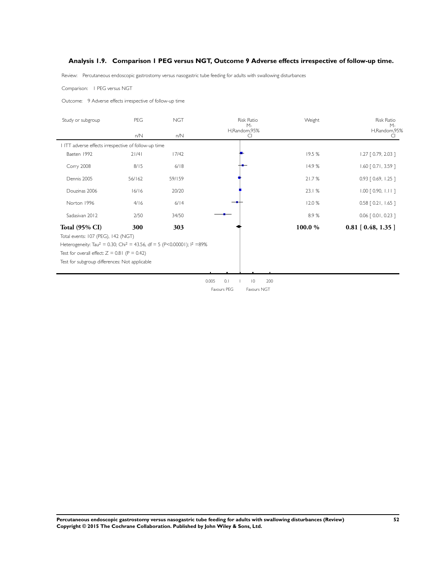### <span id="page-54-0"></span>**Analysis 1.9. Comparison 1 PEG versus NGT, Outcome 9 Adverse effects irrespective of follow-up time.**

Review: Percutaneous endoscopic gastrostomy versus nasogastric tube feeding for adults with swallowing disturbances

Comparison: 1 PEG versus NGT

Outcome: 9 Adverse effects irrespective of follow-up time

| Study or subgroup                                                                                | PEG    | <b>NGT</b> | <b>Risk Ratio</b><br>$M -$             | Weight | <b>Risk Ratio</b><br>$M -$ |
|--------------------------------------------------------------------------------------------------|--------|------------|----------------------------------------|--------|----------------------------|
|                                                                                                  | n/N    | n/N        | H,Random,95%<br>CI                     |        | H,Random,95%<br>C.         |
| ITT adverse effects irrespective of follow-up time                                               |        |            |                                        |        |                            |
| Baeten 1992                                                                                      | 21/41  | 17/42      |                                        | 19.5 % | $1.27$ [ 0.79, 2.03 ]      |
| Corry 2008                                                                                       | 8/15   | 6/18       |                                        | 14.9%  | $1.60$ [ 0.71, 3.59 ]      |
| Dennis 2005                                                                                      | 56/162 | 59/159     |                                        | 21.7%  | $0.93$ $[0.69, 1.25]$      |
| Douzinas 2006                                                                                    | 16/16  | 20/20      |                                        | 23.1%  | $1.00$ $[0.90, 1.11]$      |
| Norton 1996                                                                                      | 4/16   | 6/14       |                                        | 12.0 % | $0.58$ $[0.21, 1.65]$      |
| Sadasivan 2012                                                                                   | 2/50   | 34/50      |                                        | 8.9%   | $0.06$ $[0.01, 0.23]$      |
| <b>Total (95% CI)</b>                                                                            | 300    | 303        |                                        | 100.0% | $0.81$ [ $0.48$ , 1.35 ]   |
| Total events: 107 (PEG), 142 (NGT)                                                               |        |            |                                        |        |                            |
| Heterogeneity: Tau <sup>2</sup> = 0.30; Chi <sup>2</sup> = 43.56, df = 5 (P<0.00001); $1^2$ =89% |        |            |                                        |        |                            |
| Test for overall effect: $Z = 0.81$ (P = 0.42)                                                   |        |            |                                        |        |                            |
| Test for subgroup differences: Not applicable                                                    |        |            |                                        |        |                            |
|                                                                                                  |        |            |                                        |        |                            |
|                                                                                                  |        |            | 0.1<br>$\overline{10}$<br>200<br>0.005 |        |                            |
|                                                                                                  |        |            | Favours PEG<br>Favours NGT             |        |                            |

**Percutaneous endoscopic gastrostomy versus nasogastric tube feeding for adults with swallowing disturbances (Review) 52 Copyright © 2015 The Cochrane Collaboration. Published by John Wiley & Sons, Ltd.**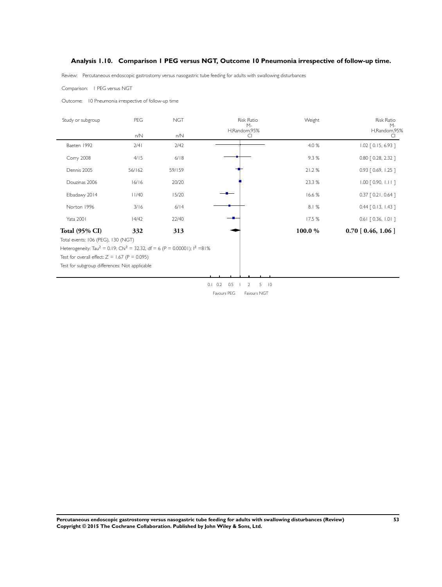### <span id="page-55-0"></span>**Analysis 1.10. Comparison 1 PEG versus NGT, Outcome 10 Pneumonia irrespective of follow-up time.**

Review: Percutaneous endoscopic gastrostomy versus nasogastric tube feeding for adults with swallowing disturbances

Comparison: 1 PEG versus NGT

Outcome: 10 Pneumonia irrespective of follow-up time

| Study or subgroup                                                                                           | PEG    | <b>NGT</b> | <b>Risk Ratio</b><br>$M -$                          | Weight | <b>Risk Ratio</b><br>$M -$ |
|-------------------------------------------------------------------------------------------------------------|--------|------------|-----------------------------------------------------|--------|----------------------------|
|                                                                                                             | n/N    | n/N        | H,Random,95%<br>CI.                                 |        | H,Random,95%<br>C          |
| Baeten 1992                                                                                                 | 2/4    | 2/42       |                                                     | 4.0 %  | $1.02$ $[0.15, 6.93]$      |
| <b>Corry 2008</b>                                                                                           | 4/15   | 6/18       |                                                     | 9.3%   | $0.80$ $[ 0.28, 2.32 ]$    |
| Dennis 2005                                                                                                 | 56/162 | 59/159     |                                                     | 21.2%  | $0.93$ $[0.69, 1.25]$      |
| Douzinas 2006                                                                                               | 16/16  | 20/20      |                                                     | 23.3 % | $1.00$ $[0.90, 1.11]$      |
| Elbadawy 2014                                                                                               | 11/40  | 15/20      |                                                     | 16.6%  | $0.37$ $[0.21, 0.64]$      |
| Norton 1996                                                                                                 | 3/16   | 6/14       |                                                     | 8.1%   | $0.44$ $[0.13, 1.43]$      |
| <b>Yata 2001</b>                                                                                            | 14/42  | 22/40      |                                                     | 17.5 % | $0.61$ $[0.36, 1.01]$      |
| <b>Total (95% CI)</b>                                                                                       | 332    | 313        |                                                     | 100.0% | $0.70$ [ $0.46$ , $1.06$ ] |
| Total events: 106 (PEG), 130 (NGT)                                                                          |        |            |                                                     |        |                            |
| Heterogeneity: Tau <sup>2</sup> = 0.19; Chi <sup>2</sup> = 32.32, df = 6 (P = 0.00001); l <sup>2</sup> =81% |        |            |                                                     |        |                            |
| Test for overall effect: $Z = 1.67$ (P = 0.095)                                                             |        |            |                                                     |        |                            |
| Test for subgroup differences: Not applicable                                                               |        |            |                                                     |        |                            |
|                                                                                                             |        |            |                                                     |        |                            |
|                                                                                                             |        |            | $\overline{10}$<br>$0.1 \quad 0.2$<br>0.5<br>5<br>2 |        |                            |
|                                                                                                             |        |            | Favours PEG<br>Favours NGT                          |        |                            |

**Percutaneous endoscopic gastrostomy versus nasogastric tube feeding for adults with swallowing disturbances (Review) 53 Copyright © 2015 The Cochrane Collaboration. Published by John Wiley & Sons, Ltd.**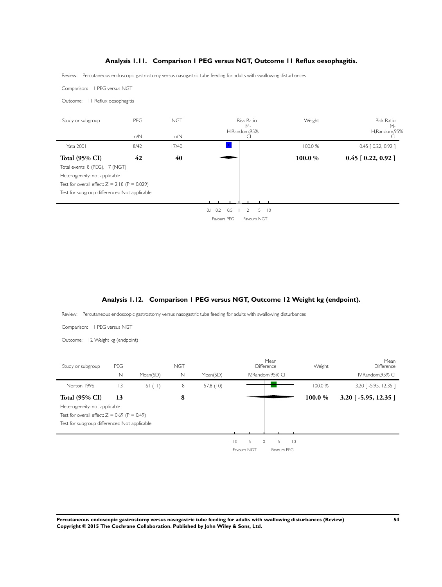### **Analysis 1.11. Comparison 1 PEG versus NGT, Outcome 11 Reflux oesophagitis.**

<span id="page-56-0"></span>Review: Percutaneous endoscopic gastrostomy versus nasogastric tube feeding for adults with swallowing disturbances

Comparison: 1 PEG versus NGT

Outcome: 11 Reflux oesophagitis

| Study or subgroup                               | PEG  | <b>NGT</b> | <b>Risk Ratio</b><br>М-<br>H,Random,95%        | Weight  | <b>Risk Ratio</b><br>$M -$<br>H,Random,95% |
|-------------------------------------------------|------|------------|------------------------------------------------|---------|--------------------------------------------|
|                                                 | n/N  | n/N        | C                                              |         |                                            |
| <b>Yata 2001</b>                                | 8/42 | 17/40      |                                                | 100.0%  | $0.45$ $[0.22, 0.92]$                      |
| <b>Total (95% CI)</b>                           | 42   | 40         |                                                | 100.0 % | $0.45$ [ $0.22, 0.92$ ]                    |
| Total events: 8 (PEG), 17 (NGT)                 |      |            |                                                |         |                                            |
| Heterogeneity: not applicable                   |      |            |                                                |         |                                            |
| Test for overall effect: $Z = 2.18$ (P = 0.029) |      |            |                                                |         |                                            |
| Test for subgroup differences: Not applicable   |      |            |                                                |         |                                            |
|                                                 |      |            |                                                |         |                                            |
|                                                 |      |            | 0.5<br>5.<br>$\overline{0}$<br>$0.1 \quad 0.2$ |         |                                            |

Favours PEG Favours NGT

#### **Analysis 1.12. Comparison 1 PEG versus NGT, Outcome 12 Weight kg (endpoint).**

Review: Percutaneous endoscopic gastrostomy versus nasogastric tube feeding for adults with swallowing disturbances

Comparison: 1 PEG versus NGT

Outcome: 12 Weight kg (endpoint)

| Study or subgroup                              | PEG         |          | <b>NGT</b> |             |       |             | Mean<br>Difference |             | Weight  | Mean<br>Difference      |
|------------------------------------------------|-------------|----------|------------|-------------|-------|-------------|--------------------|-------------|---------|-------------------------|
|                                                | $\mathbb N$ | Mean(SD) | N          | Mean(SD)    |       |             | IV, Random, 95% CI |             |         | IV, Random, 95% CI      |
| Norton 1996                                    | 3           | 61 (11)  | 8          | 57.8 $(10)$ |       |             |                    |             | 100.0 % | 3.20 [ -5.95, 12.35 ]   |
| <b>Total (95% CI)</b>                          | 13          |          | 8          |             |       |             |                    |             | 100.0%  | $3.20$ [ -5.95, 12.35 ] |
| Heterogeneity: not applicable                  |             |          |            |             |       |             |                    |             |         |                         |
| Test for overall effect: $Z = 0.69$ (P = 0.49) |             |          |            |             |       |             |                    |             |         |                         |
| Test for subgroup differences: Not applicable  |             |          |            |             |       |             |                    |             |         |                         |
|                                                |             |          |            |             |       |             |                    |             |         |                         |
|                                                |             |          |            |             | $-10$ | $-5$        | 5<br>$\circ$       | $ 0\rangle$ |         |                         |
|                                                |             |          |            |             |       | Favours NGT | Favours PEG        |             |         |                         |

**Percutaneous endoscopic gastrostomy versus nasogastric tube feeding for adults with swallowing disturbances (Review) 54 Copyright © 2015 The Cochrane Collaboration. Published by John Wiley & Sons, Ltd.**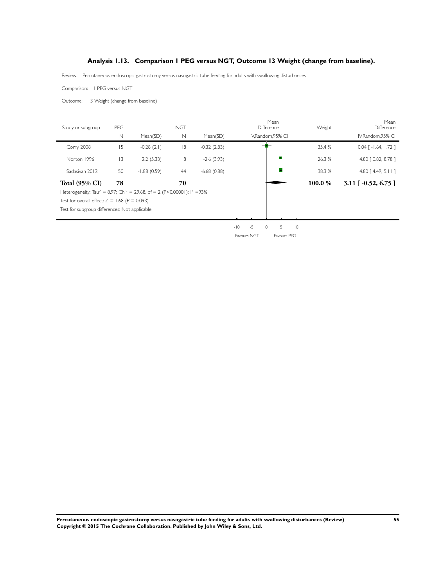### **Analysis 1.13. Comparison 1 PEG versus NGT, Outcome 13 Weight (change from baseline).**

Review: Percutaneous endoscopic gastrostomy versus nasogastric tube feeding for adults with swallowing disturbances

Comparison: 1 PEG versus NGT

Outcome: 13 Weight (change from baseline)

| Study or subgroup                                                                                          | <b>PEG</b>  |               | <b>NGT</b>   |               | Mean<br>Difference                                      | Weight | Mean<br>Difference                 |
|------------------------------------------------------------------------------------------------------------|-------------|---------------|--------------|---------------|---------------------------------------------------------|--------|------------------------------------|
|                                                                                                            | $\mathbb N$ | Mean(SD)      | $\mathsf{N}$ | Mean(SD)      | IV, Random, 95% CI                                      |        | IV, Random, 95% CI                 |
| Corry 2008                                                                                                 | 15          | $-0.28(2.1)$  | 8            | $-0.32(2.83)$ |                                                         | 35.4 % | $0.04$ $\lceil -1.64, 1.72 \rceil$ |
| Norton 1996                                                                                                | 3           | 2.2(5.33)     | 8            | $-2.6(3.93)$  |                                                         | 26.3 % | 4.80 [ 0.82, 8.78 ]                |
| Sadasivan 2012                                                                                             | 50          | $-1.88(0.59)$ | 44           | $-6.68(0.88)$ |                                                         | 38.3 % | 4.80 $[4.49, 5.11]$                |
| <b>Total (95% CI)</b>                                                                                      | 78          |               | 70           |               |                                                         | 100.0% | $3.11$ [ -0.52, 6.75 ]             |
| Heterogeneity: Tau <sup>2</sup> = 8.97; Chi <sup>2</sup> = 29.68, df = 2 (P<0.00001); l <sup>2</sup> = 93% |             |               |              |               |                                                         |        |                                    |
| Test for overall effect: $Z = 1.68$ (P = 0.093)                                                            |             |               |              |               |                                                         |        |                                    |
| Test for subgroup differences: Not applicable                                                              |             |               |              |               |                                                         |        |                                    |
|                                                                                                            |             |               |              |               |                                                         |        |                                    |
|                                                                                                            |             |               |              |               | $\sim$ $\sim$ $\sim$ $\sim$ $\sim$ $\sim$ $\sim$ $\sim$ |        |                                    |

-10 -5 0 5 10 Favours NGT Favours PEG

**Percutaneous endoscopic gastrostomy versus nasogastric tube feeding for adults with swallowing disturbances (Review) 55 Copyright © 2015 The Cochrane Collaboration. Published by John Wiley & Sons, Ltd.**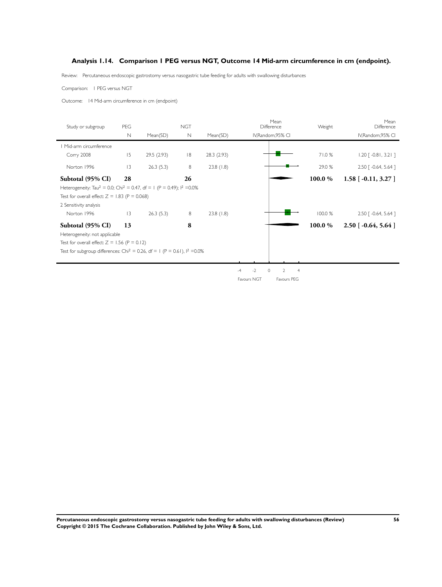### <span id="page-58-0"></span>**Analysis 1.14. Comparison 1 PEG versus NGT, Outcome 14 Mid-arm circumference in cm (endpoint).**

Review: Percutaneous endoscopic gastrostomy versus nasogastric tube feeding for adults with swallowing disturbances

Comparison: 1 PEG versus NGT

Outcome: 14 Mid-arm circumference in cm (endpoint)

| Study or subgroup                                                                                        | PEG            |            | <b>NGT</b>  |            |              | Mean<br>Difference                         | Weight  | Mean<br>Difference                 |
|----------------------------------------------------------------------------------------------------------|----------------|------------|-------------|------------|--------------|--------------------------------------------|---------|------------------------------------|
|                                                                                                          | $\mathbb N$    | Mean(SD)   | $\mathbb N$ | Mean(SD)   |              | IV, Random, 95% CI                         |         | IV, Random, 95% CI                 |
| Mid-arm circumference                                                                                    |                |            |             |            |              |                                            |         |                                    |
| Corry 2008                                                                                               | 15             | 29.5(2.93) | 8           | 28.3(2.93) |              |                                            | 71.0%   | $1.20$ [ -0.81, 3.21 ]             |
| Norton 1996                                                                                              | 3              | 26.3(5.3)  | 8           | 23.8(1.8)  |              |                                            | 29.0 %  | 2.50 [ -0.64, 5.64 ]               |
| Subtotal (95% CI)                                                                                        | 28             |            | 26          |            |              |                                            | 100.0 % | $1.58$ [ -0.11, 3.27 ]             |
| Heterogeneity: Tau <sup>2</sup> = 0.0; Chi <sup>2</sup> = 0.47, df = 1 (P = 0.49); l <sup>2</sup> = 0.0% |                |            |             |            |              |                                            |         |                                    |
| Test for overall effect: $Z = 1.83$ (P = 0.068)                                                          |                |            |             |            |              |                                            |         |                                    |
| 2 Sensitivity analysis                                                                                   |                |            |             |            |              |                                            |         |                                    |
| Norton 1996                                                                                              | $\overline{3}$ | 26.3(5.3)  | 8           | 23.8(1.8)  |              |                                            | 100.0 % | $2.50$ $\lceil -0.64, 5.64 \rceil$ |
| Subtotal (95% CI)                                                                                        | 13             |            | 8           |            |              |                                            | 100.0%  | $2.50$ [ -0.64, 5.64 ]             |
| Heterogeneity: not applicable                                                                            |                |            |             |            |              |                                            |         |                                    |
| Test for overall effect: $Z = 1.56$ (P = 0.12)                                                           |                |            |             |            |              |                                            |         |                                    |
| Test for subgroup differences: Chi <sup>2</sup> = 0.26, df = 1 (P = 0.61), $1^2$ = 0.0%                  |                |            |             |            |              |                                            |         |                                    |
|                                                                                                          |                |            |             |            |              |                                            |         |                                    |
|                                                                                                          |                |            |             |            | $-2$<br>$-4$ | $\circ$<br>$\overline{4}$<br>$\mathcal{D}$ |         |                                    |
|                                                                                                          |                |            |             |            | Favours NGT  | Favours PEG                                |         |                                    |

**Percutaneous endoscopic gastrostomy versus nasogastric tube feeding for adults with swallowing disturbances (Review) 56 Copyright © 2015 The Cochrane Collaboration. Published by John Wiley & Sons, Ltd.**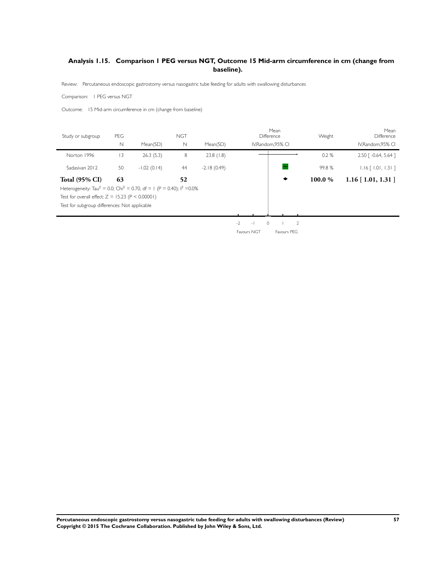## <span id="page-59-0"></span>**Analysis 1.15. Comparison 1 PEG versus NGT, Outcome 15 Mid-arm circumference in cm (change from baseline).**

Review: Percutaneous endoscopic gastrostomy versus nasogastric tube feeding for adults with swallowing disturbances

Comparison: 1 PEG versus NGT

Outcome: 15 Mid-arm circumference in cm (change from baseline)

| Study or subgroup                                                                              | PEG         |               | <b>NGT</b>  |               |                                   | Mean<br>Difference | Weight | Mean<br>Difference         |
|------------------------------------------------------------------------------------------------|-------------|---------------|-------------|---------------|-----------------------------------|--------------------|--------|----------------------------|
|                                                                                                | $\mathbb N$ | Mean(SD)      | $\mathbb N$ | Mean(SD)      |                                   | IV, Random, 95% CI |        | IV, Random, 95% CI         |
| Norton 1996                                                                                    | 13          | 26.3(5.3)     | 8           | 23.8(1.8)     |                                   |                    | 0.2%   | 2.50 [ -0.64, 5.64 ]       |
| Sadasivan 2012                                                                                 | 50          | $-1.02(0.14)$ | 44          | $-2.18(0.49)$ |                                   |                    | 99.8%  | $1.16$ [ $1.01$ , $1.31$ ] |
| <b>Total (95% CI)</b>                                                                          | 63          |               | 52          |               |                                   | ٠                  | 100.0% | $1.16$ [ 1.01, 1.31 ]      |
| Heterogeneity: Tau <sup>2</sup> = 0.0; Chi <sup>2</sup> = 0.70, df = 1 (P = 0.40); $1^2$ =0.0% |             |               |             |               |                                   |                    |        |                            |
| Test for overall effect: $Z = 15.23$ (P < 0.00001)                                             |             |               |             |               |                                   |                    |        |                            |
| Test for subgroup differences: Not applicable                                                  |             |               |             |               |                                   |                    |        |                            |
|                                                                                                |             |               |             |               |                                   |                    |        |                            |
|                                                                                                |             |               |             |               | $-2$<br>$\circ$<br>$\overline{a}$ | $\overline{2}$     |        |                            |
|                                                                                                |             |               |             |               | Favours NGT                       | Favours PEG        |        |                            |

**Percutaneous endoscopic gastrostomy versus nasogastric tube feeding for adults with swallowing disturbances (Review) 57 Copyright © 2015 The Cochrane Collaboration. Published by John Wiley & Sons, Ltd.**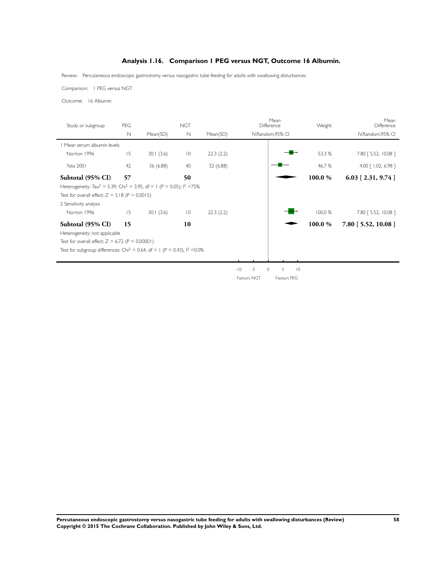## **Analysis 1.16. Comparison 1 PEG versus NGT, Outcome 16 Albumin.**

<span id="page-60-0"></span>Review: Percutaneous endoscopic gastrostomy versus nasogastric tube feeding for adults with swallowing disturbances

Comparison: 1 PEG versus NGT

Outcome: 16 Albumin

| Study or subgroup                                                                              | PEG<br>$\mathbb N$ | Mean(SD)  | <b>NGT</b><br>$\mathbb N$ | Mean(SD)  |               | Mean<br>Difference<br>IV, Random, 95% CI | Weight  | Mean<br>Difference<br>IV, Random, 95% CI |
|------------------------------------------------------------------------------------------------|--------------------|-----------|---------------------------|-----------|---------------|------------------------------------------|---------|------------------------------------------|
|                                                                                                |                    |           |                           |           |               |                                          |         |                                          |
| Mean serum albumin levels                                                                      |                    |           |                           |           |               |                                          |         |                                          |
| Norton 1996                                                                                    | 15                 | 30.1(3.6) | $\overline{10}$           | 22.3(2.2) |               |                                          | 53.3 %  | 7.80 [5.52, 10.08 ]                      |
| Yata 2001                                                                                      | 42                 | 36 (6.88) | 40                        | 32(6.88)  |               |                                          | 46.7 %  | 4.00 [ 1.02, 6.98 ]                      |
| Subtotal (95% CI)                                                                              | 57                 |           | 50                        |           |               |                                          | 100.0 % | $6.03$ [ 2.31, 9.74 ]                    |
| Heterogeneity: Tau <sup>2</sup> = 5.39; Chi <sup>2</sup> = 3.95, df = 1 (P = 0.05); $1^2$ =75% |                    |           |                           |           |               |                                          |         |                                          |
| Test for overall effect: $Z = 3.18$ (P = 0.0015)                                               |                    |           |                           |           |               |                                          |         |                                          |
| 2 Sensitivity analysis                                                                         |                    |           |                           |           |               |                                          |         |                                          |
| Norton 1996                                                                                    | 15                 | 30.1(3.6) | $\overline{10}$           | 22.3(2.2) |               |                                          | 100.0 % | 7.80 [ 5.52, 10.08 ]                     |
| Subtotal (95% CI)                                                                              | 15                 |           | 10                        |           |               |                                          | 100.0%  | $7.80$ [ 5.52, 10.08 ]                   |
| Heterogeneity: not applicable                                                                  |                    |           |                           |           |               |                                          |         |                                          |
| Test for overall effect: $Z = 6.72$ (P < 0.00001)                                              |                    |           |                           |           |               |                                          |         |                                          |
| Test for subgroup differences: Chi <sup>2</sup> = 0.64, df = 1 (P = 0.43), $1^2$ = 0.0%        |                    |           |                           |           |               |                                          |         |                                          |
|                                                                                                |                    |           |                           |           |               |                                          |         |                                          |
|                                                                                                |                    |           |                           |           | $-5$<br>$-10$ | $\circ$<br>5<br>$ 0\rangle$              |         |                                          |
|                                                                                                |                    |           |                           |           | Favours NGT   | Favours PEG                              |         |                                          |

**Percutaneous endoscopic gastrostomy versus nasogastric tube feeding for adults with swallowing disturbances (Review) 58 Copyright © 2015 The Cochrane Collaboration. Published by John Wiley & Sons, Ltd.**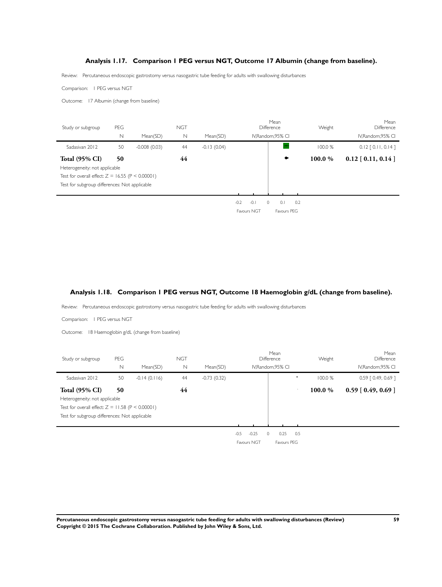### **Analysis 1.17. Comparison 1 PEG versus NGT, Outcome 17 Albumin (change from baseline).**

<span id="page-61-0"></span>Review: Percutaneous endoscopic gastrostomy versus nasogastric tube feeding for adults with swallowing disturbances

Comparison: 1 PEG versus NGT

Outcome: 17 Albumin (change from baseline)



#### **Analysis 1.18. Comparison 1 PEG versus NGT, Outcome 18 Haemoglobin g/dL (change from baseline).**

Review: Percutaneous endoscopic gastrostomy versus nasogastric tube feeding for adults with swallowing disturbances

Comparison: 1 PEG versus NGT

Outcome: 18 Haemoglobin g/dL (change from baseline)

| Study or subgroup                             | PEG                                                |                | <b>NGT</b> |               |                               | Mean<br>Difference | Weight  | Mean<br>Difference      |  |  |  |
|-----------------------------------------------|----------------------------------------------------|----------------|------------|---------------|-------------------------------|--------------------|---------|-------------------------|--|--|--|
|                                               | N                                                  | Mean(SD)       | N          | Mean(SD)      |                               | IV, Random, 95% CI |         | IV, Random, 95% CI      |  |  |  |
| Sadasiyan 2012                                | 50                                                 | $-0.14(0.116)$ | 44         | $-0.73(0.32)$ |                               | ٠                  | 100.0%  | $0.59$ $[0.49, 0.69]$   |  |  |  |
| <b>Total (95% CI)</b>                         | 50                                                 |                | 44         |               |                               |                    | 100.0 % | $0.59$ [ $0.49, 0.69$ ] |  |  |  |
| Heterogeneity: not applicable                 |                                                    |                |            |               |                               |                    |         |                         |  |  |  |
|                                               | Test for overall effect: $Z = 11.58$ (P < 0.00001) |                |            |               |                               |                    |         |                         |  |  |  |
| Test for subgroup differences: Not applicable |                                                    |                |            |               |                               |                    |         |                         |  |  |  |
|                                               |                                                    |                |            |               |                               |                    |         |                         |  |  |  |
|                                               |                                                    |                |            |               | $-0.5$<br>$-0.25$<br>$\Omega$ | 0.25<br>0.5        |         |                         |  |  |  |
|                                               |                                                    |                |            |               | Favours NGT                   | Favours PEG        |         |                         |  |  |  |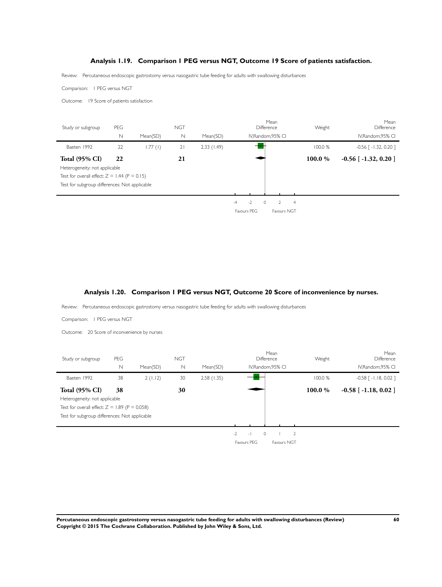#### **Analysis 1.19. Comparison 1 PEG versus NGT, Outcome 19 Score of patients satisfaction.**

<span id="page-62-0"></span>Review: Percutaneous endoscopic gastrostomy versus nasogastric tube feeding for adults with swallowing disturbances

Comparison: 1 PEG versus NGT

Outcome: 19 Score of patients satisfaction



#### **Analysis 1.20. Comparison 1 PEG versus NGT, Outcome 20 Score of inconvenience by nurses.**

Review: Percutaneous endoscopic gastrostomy versus nasogastric tube feeding for adults with swallowing disturbances

Comparison: 1 PEG versus NGT

Outcome: 20 Score of inconvenience by nurses

| Study or subgroup                             | PEG                                             |          | <b>NGT</b> |            |                        | Mean<br>Difference | Weight  | Mean<br>Difference         |  |  |  |
|-----------------------------------------------|-------------------------------------------------|----------|------------|------------|------------------------|--------------------|---------|----------------------------|--|--|--|
|                                               | N                                               | Mean(SD) | N          | Mean(SD)   |                        | IV, Random, 95% CI |         | IV, Random, 95% CI         |  |  |  |
| Baeten 1992                                   | 38                                              | 2(1.12)  | 30         | 2.58(1.35) |                        |                    | 100.0 % | $-0.58$ $[-1.18, 0.02]$    |  |  |  |
| <b>Total (95% CI)</b>                         | 38                                              |          | 30         |            |                        |                    | 100.0%  | $-0.58$ [ $-1.18$ , 0.02 ] |  |  |  |
| Heterogeneity: not applicable                 |                                                 |          |            |            |                        |                    |         |                            |  |  |  |
|                                               | Test for overall effect: $Z = 1.89$ (P = 0.058) |          |            |            |                        |                    |         |                            |  |  |  |
| Test for subgroup differences: Not applicable |                                                 |          |            |            |                        |                    |         |                            |  |  |  |
|                                               |                                                 |          |            |            |                        |                    |         |                            |  |  |  |
|                                               |                                                 |          |            |            | $-2$<br>$\circ$<br>$-$ | $\overline{2}$     |         |                            |  |  |  |
|                                               |                                                 |          |            |            | Favours PEG            | Favours NGT        |         |                            |  |  |  |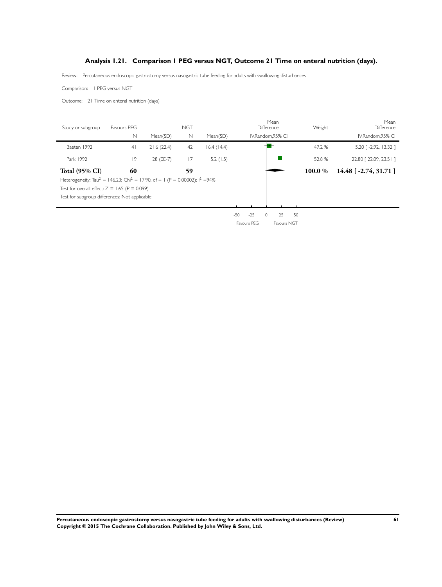### **Analysis 1.21. Comparison 1 PEG versus NGT, Outcome 21 Time on enteral nutrition (days).**

<span id="page-63-0"></span>Review: Percutaneous endoscopic gastrostomy versus nasogastric tube feeding for adults with swallowing disturbances

Comparison: 1 PEG versus NGT

Outcome: 21 Time on enteral nutrition (days)

| Study or subgroup                                                                                    | Favours PEG    |            | <b>NGT</b> |            |                | Mean<br>Difference  | Weight  | Mean<br>Difference       |
|------------------------------------------------------------------------------------------------------|----------------|------------|------------|------------|----------------|---------------------|---------|--------------------------|
|                                                                                                      | N              | Mean(SD)   | N          | Mean(SD)   |                | IV.Random.95% CI    |         | IV, Random, 95% CI       |
| Baeten 1992                                                                                          | 4 <sup>1</sup> | 21.6(22.4) | 42         | 16.4(14.4) |                |                     | 47.2 %  | 5.20 [ -2.92, 13.32 ]    |
| Park 1992                                                                                            | 9              | 28 (0E-7)  | 17         | 5.2(1.5)   |                |                     | 52.8%   | 22.80 [22.09, 23.5   ]   |
| <b>Total (95% CI)</b>                                                                                | 60             |            | 59         |            |                |                     | 100.0 % | $14.48$ [ -2.74, 31.71 ] |
| Heterogeneity: Tau <sup>2</sup> = 146.23; Chi <sup>2</sup> = 17.90, df = 1 (P = 0.00002); $1^2$ =94% |                |            |            |            |                |                     |         |                          |
| Test for overall effect: $Z = 1.65$ (P = 0.099)                                                      |                |            |            |            |                |                     |         |                          |
| Test for subgroup differences: Not applicable                                                        |                |            |            |            |                |                     |         |                          |
|                                                                                                      |                |            |            |            |                |                     |         |                          |
|                                                                                                      |                |            |            |            | $-50$<br>$-25$ | 50<br>25<br>$\circ$ |         |                          |
|                                                                                                      |                |            |            |            | Favours PEG    | Favours NGT         |         |                          |

**Percutaneous endoscopic gastrostomy versus nasogastric tube feeding for adults with swallowing disturbances (Review) 61 Copyright © 2015 The Cochrane Collaboration. Published by John Wiley & Sons, Ltd.**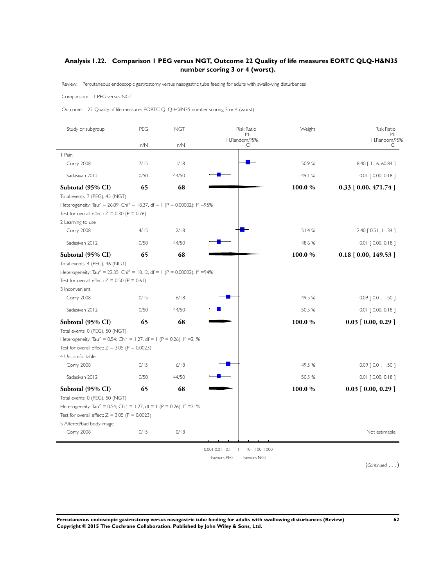### <span id="page-64-0"></span>**Analysis 1.22. Comparison 1 PEG versus NGT, Outcome 22 Quality of life measures EORTC QLQ-H&N35 number scoring 3 or 4 (worst).**

Review: Percutaneous endoscopic gastrostomy versus nasogastric tube feeding for adults with swallowing disturbances

#### Comparison: 1 PEG versus NGT

Outcome: 22 Quality of life measures EORTC QLQ-H%N35 number scoring 3 or 4 (worst)

| Study or subgroup                                                                                                                  | PEG  | <b>NGT</b> | <b>Risk Ratio</b><br>$M -$                  | Weight | <b>Risk Ratio</b><br>М-   |
|------------------------------------------------------------------------------------------------------------------------------------|------|------------|---------------------------------------------|--------|---------------------------|
|                                                                                                                                    | n/N  | n/N        | H,Random,95%<br>CI                          |        | H,Random,95%<br>CI        |
| I Pain                                                                                                                             |      |            |                                             |        |                           |
| Corry 2008                                                                                                                         | 7/15 | 1/18       |                                             | 50.9%  | 8.40 [ 1.16, 60.84 ]      |
| Sadasivan 2012                                                                                                                     | 0/50 | 44/50      |                                             | 49.1%  | $0.01$ [ 0.00, 0.18 ]     |
| Subtotal (95% CI)                                                                                                                  | 65   | 68         |                                             | 100.0% | $0.33$ [ $0.00, 471.74$ ] |
| Total events: 7 (PEG), 45 (NGT)                                                                                                    |      |            |                                             |        |                           |
| Heterogeneity: Tau <sup>2</sup> = 26.09; Chi <sup>2</sup> = 18.37, df = 1 (P = 0.00002); $1^2$ =95%                                |      |            |                                             |        |                           |
| Test for overall effect: $Z = 0.30$ (P = 0.76)<br>2 Learning to use                                                                |      |            |                                             |        |                           |
| Corry 2008                                                                                                                         | 4/15 | 2/18       |                                             | 51.4%  | 2.40 [ 0.5 l, 11.34 ]     |
| Sadasivan 2012                                                                                                                     | 0/50 | 44/50      |                                             | 48.6%  | 0.01 [ 0.00, 0.18 ]       |
| Subtotal (95% CI)                                                                                                                  | 65   | 68         |                                             | 100.0% | $0.18$ [ 0.00, 149.53 ]   |
| Total events: 4 (PEG), 46 (NGT)                                                                                                    |      |            |                                             |        |                           |
| Heterogeneity: Tau <sup>2</sup> = 22.35; Chi <sup>2</sup> = 18.12, df = 1 (P = 0.00002); l <sup>2</sup> = 94%                      |      |            |                                             |        |                           |
| Test for overall effect: $Z = 0.50$ (P = 0.61)                                                                                     |      |            |                                             |        |                           |
| 3 Inconvenient<br>Corry 2008                                                                                                       | 0/15 | $6/18$     |                                             | 49.5 % | $0.09$ $[0.01, 1.50]$     |
| Sadasivan 2012                                                                                                                     | 0/50 | 44/50      |                                             | 50.5 % | $0.01$ $[0.00, 0.18]$     |
|                                                                                                                                    |      |            |                                             |        |                           |
| Subtotal (95% CI)                                                                                                                  | 65   | 68         |                                             | 100.0% | $0.03$ [ $0.00, 0.29$ ]   |
| Total events: 0 (PEG), 50 (NGT)<br>Heterogeneity: Tau <sup>2</sup> = 0.54; Chi <sup>2</sup> = 1.27, df = 1 (P = 0.26); $1^2$ = 21% |      |            |                                             |        |                           |
| Test for overall effect: $Z = 3.05$ (P = 0.0023)                                                                                   |      |            |                                             |        |                           |
| 4 Uncomfortable                                                                                                                    |      |            |                                             |        |                           |
| Corry 2008                                                                                                                         | 0/15 | 6/18       |                                             | 49.5 % | 0.09 [ 0.01, 1.50 ]       |
| Sadasivan 2012                                                                                                                     | 0/50 | 44/50      |                                             | 50.5 % | $0.01$ [ 0.00, 0.18 ]     |
| Subtotal (95% CI)                                                                                                                  | 65   | 68         |                                             | 100.0% | $0.03$ [ $0.00, 0.29$ ]   |
| Total events: 0 (PEG), 50 (NGT)                                                                                                    |      |            |                                             |        |                           |
| Heterogeneity: Tau <sup>2</sup> = 0.54; Chi <sup>2</sup> = 1.27, df = 1 (P = 0.26); $1^2$ = 21%                                    |      |            |                                             |        |                           |
| Test for overall effect: $Z = 3.05$ (P = 0.0023)                                                                                   |      |            |                                             |        |                           |
| 5 Altered/bad body image<br>Corry 2008                                                                                             | 0/15 | 0/18       |                                             |        | Not estimable             |
|                                                                                                                                    |      |            |                                             |        |                           |
|                                                                                                                                    |      |            | 0.0010.010.1<br>10 100 1000<br>$\mathbf{I}$ |        |                           |
|                                                                                                                                    |      |            | Favours PEG<br>Favours NGT                  |        |                           |

(*Continued* ... )

**Percutaneous endoscopic gastrostomy versus nasogastric tube feeding for adults with swallowing disturbances (Review) 62 Copyright © 2015 The Cochrane Collaboration. Published by John Wiley & Sons, Ltd.**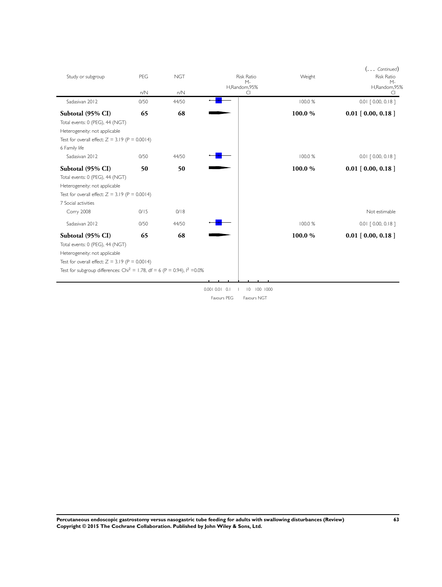| Study or subgroup                                                                      | PEG         | <b>NGT</b>   | <b>Risk Ratio</b><br>$M -$<br>H,Random,95%         | Weight  | $( \ldots$ Continued)<br><b>Risk Ratio</b><br>$M -$<br>H,Random,95% |
|----------------------------------------------------------------------------------------|-------------|--------------|----------------------------------------------------|---------|---------------------------------------------------------------------|
| Sadasivan 2012                                                                         | n/N<br>0/50 | n/N<br>44/50 | CI                                                 | 100.0 % | ◯<br>$0.01$ $[0.00, 0.18]$                                          |
|                                                                                        |             |              |                                                    |         |                                                                     |
| Subtotal (95% CI)                                                                      | 65          | 68           |                                                    | 100.0%  | $0.01$ [ 0.00, 0.18 ]                                               |
| Total events: 0 (PEG), 44 (NGT)                                                        |             |              |                                                    |         |                                                                     |
| Heterogeneity: not applicable                                                          |             |              |                                                    |         |                                                                     |
| Test for overall effect: $Z = 3.19$ (P = 0.0014)                                       |             |              |                                                    |         |                                                                     |
| 6 Family life                                                                          |             |              |                                                    |         |                                                                     |
| Sadasivan 2012                                                                         | 0/50        | 44/50        |                                                    | 100.0%  | $0.01$ $[0.00, 0.18]$                                               |
| Subtotal (95% CI)                                                                      | 50          | 50           |                                                    | 100.0%  | $0.01$ [ $0.00, 0.18$ ]                                             |
| Total events: 0 (PEG), 44 (NGT)                                                        |             |              |                                                    |         |                                                                     |
| Heterogeneity: not applicable                                                          |             |              |                                                    |         |                                                                     |
| Test for overall effect: $Z = 3.19$ (P = 0.0014)                                       |             |              |                                                    |         |                                                                     |
| 7 Social activities                                                                    |             |              |                                                    |         |                                                                     |
| Corry 2008                                                                             | 0/15        | 0/18         |                                                    |         | Not estimable                                                       |
| Sadasivan 2012                                                                         | 0/50        | 44/50        |                                                    | 100.0%  | $0.01$ $[0.00, 0.18]$                                               |
| Subtotal (95% CI)                                                                      | 65          | 68           |                                                    | 100.0%  | $0.01$ [ $0.00, 0.18$ ]                                             |
| Total events: 0 (PEG), 44 (NGT)                                                        |             |              |                                                    |         |                                                                     |
| Heterogeneity: not applicable                                                          |             |              |                                                    |         |                                                                     |
| Test for overall effect: $Z = 3.19$ (P = 0.0014)                                       |             |              |                                                    |         |                                                                     |
| Test for subgroup differences: Chi <sup>2</sup> = 1.78, df = 6 (P = 0.94), $1^2$ =0.0% |             |              |                                                    |         |                                                                     |
|                                                                                        |             |              |                                                    |         |                                                                     |
|                                                                                        |             |              | $0.001$ $0.01$ $0.1$<br>$\overline{0}$<br>100 1000 |         |                                                                     |

Favours PEG Favours NGT

**Percutaneous endoscopic gastrostomy versus nasogastric tube feeding for adults with swallowing disturbances (Review) 63 Copyright © 2015 The Cochrane Collaboration. Published by John Wiley & Sons, Ltd.**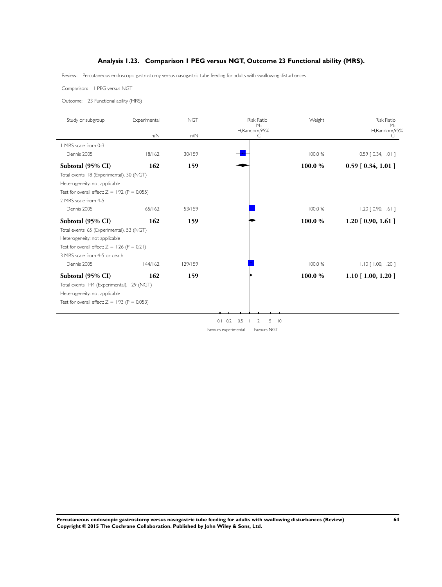### **Analysis 1.23. Comparison 1 PEG versus NGT, Outcome 23 Functional ability (MRS).**

<span id="page-66-0"></span>Review: Percutaneous endoscopic gastrostomy versus nasogastric tube feeding for adults with swallowing disturbances

Comparison: 1 PEG versus NGT

Outcome: 23 Functional ability (MRS)

| Study or subgroup                               | Experimental | <b>NGT</b> | <b>Risk Ratio</b><br>$M -$              | Weight | <b>Risk Ratio</b><br>$M -$ |
|-------------------------------------------------|--------------|------------|-----------------------------------------|--------|----------------------------|
|                                                 | n/N          | n/N        | H,Random,95%<br>CI                      |        | H,Random,95%<br>C          |
| 1 MRS scale from 0-3                            |              |            |                                         |        |                            |
| Dennis 2005                                     | 18/162       | 30/159     |                                         | 100.0% | $0.59$ $[0.34, 1.01]$      |
| Subtotal (95% CI)                               | 162          | 159        |                                         | 100.0% | $0.59$ [ $0.34$ , $1.01$ ] |
| Total events: 18 (Experimental), 30 (NGT)       |              |            |                                         |        |                            |
| Heterogeneity: not applicable                   |              |            |                                         |        |                            |
| Test for overall effect: $Z = 1.92$ (P = 0.055) |              |            |                                         |        |                            |
| 2 MRS scale from 4-5                            |              |            |                                         |        |                            |
| Dennis 2005                                     | 65/162       | 53/159     |                                         | 100.0% | $1.20$ $[0.90, 1.61]$      |
| Subtotal (95% CI)                               | 162          | 159        |                                         | 100.0% | $1.20$ [ 0.90, 1.61 ]      |
| Total events: 65 (Experimental), 53 (NGT)       |              |            |                                         |        |                            |
| Heterogeneity: not applicable                   |              |            |                                         |        |                            |
| Test for overall effect: $Z = 1.26$ (P = 0.21)  |              |            |                                         |        |                            |
| 3 MRS scale from 4-5 or death                   |              |            |                                         |        |                            |
| Dennis 2005                                     | 144/162      | 129/159    |                                         | 100.0% | $1.10$ $[$ 1.00, 1.20 ]    |
| Subtotal (95% CI)                               | 162          | 159        |                                         | 100.0% | $1.10$ [ 1.00, 1.20 ]      |
| Total events: 144 (Experimental), 129 (NGT)     |              |            |                                         |        |                            |
| Heterogeneity: not applicable                   |              |            |                                         |        |                            |
| Test for overall effect: $Z = 1.93$ (P = 0.053) |              |            |                                         |        |                            |
|                                                 |              |            |                                         |        |                            |
|                                                 |              |            | $0.1 \quad 0.2$<br>0.5<br>$5$ $10$<br>2 |        |                            |

Favours experimental Favours NGT

**Percutaneous endoscopic gastrostomy versus nasogastric tube feeding for adults with swallowing disturbances (Review) 64 Copyright © 2015 The Cochrane Collaboration. Published by John Wiley & Sons, Ltd.**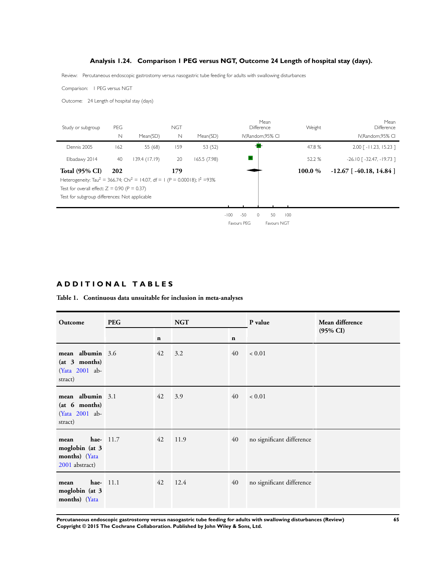### **Analysis 1.24. Comparison 1 PEG versus NGT, Outcome 24 Length of hospital stay (days).**

<span id="page-67-0"></span>Review: Percutaneous endoscopic gastrostomy versus nasogastric tube feeding for adults with swallowing disturbances

Comparison: 1 PEG versus NGT

Outcome: 24 Length of hospital stay (days)

| Study or subgroup                                                                                    | <b>PEG</b>  |               | <b>NGT</b>  |              |        |             | Mean<br>Difference |                    |     | Weight  | Mean<br>Difference               |
|------------------------------------------------------------------------------------------------------|-------------|---------------|-------------|--------------|--------|-------------|--------------------|--------------------|-----|---------|----------------------------------|
|                                                                                                      | $\mathbb N$ | Mean(SD)      | $\mathbb N$ | Mean(SD)     |        |             |                    | IV, Random, 95% CI |     |         | IV, Random, 95% CI               |
| Dennis 2005                                                                                          | 162         | 55 (68)       | 159         | 53 (52)      |        |             |                    |                    |     | 47.8%   | $2.00$ [ -11.23, 15.23 ]         |
| Elbadawy 2014                                                                                        | 40          | 139.4 (17.19) | 20          | 165.5 (7.98) |        |             |                    |                    |     | 52.2 %  | $-26.10$ [ $-32.47$ , $-19.73$ ] |
| Total $(95\% \text{ CI})$                                                                            | 202         |               | 179         |              |        |             |                    |                    |     | 100.0 % | $-12.67$ [ $-40.18$ , $14.84$ ]  |
| Heterogeneity: Tau <sup>2</sup> = 366.74; Chi <sup>2</sup> = 14.07, df = 1 (P = 0.00018); $1^2$ =93% |             |               |             |              |        |             |                    |                    |     |         |                                  |
| Test for overall effect: $Z = 0.90$ (P = 0.37)                                                       |             |               |             |              |        |             |                    |                    |     |         |                                  |
| Test for subgroup differences: Not applicable                                                        |             |               |             |              |        |             |                    |                    |     |         |                                  |
|                                                                                                      |             |               |             |              |        |             |                    |                    |     |         |                                  |
|                                                                                                      |             |               |             |              | $-100$ | $-50$       | $\circ$            | 50                 | 100 |         |                                  |
|                                                                                                      |             |               |             |              |        | Favours PEG |                    | Favours NGT        |     |         |                                  |

## **A D D I T I O N A L T A B L E S**

#### **Table 1. Continuous data unsuitable for inclusion in meta-analyses**

| Outcome                                                        | <b>PEG</b>         |             | <b>NGT</b> |             | P value                   | Mean difference     |
|----------------------------------------------------------------|--------------------|-------------|------------|-------------|---------------------------|---------------------|
|                                                                |                    | $\mathbf n$ |            | $\mathbf n$ |                           | $(95\% \text{ CI})$ |
| mean albumin 3.6<br>(at 3 months)<br>(Yata 2001 ab-<br>stract) |                    | 42          | 3.2        | 40          | ${}< 0.01$                |                     |
| mean albumin 3.1<br>(at 6 months)<br>(Yata 2001 ab-<br>stract) |                    | 42          | 3.9        | 40          | ${}< 0.01$                |                     |
| mean<br>moglobin (at 3<br>months) (Yata<br>2001 abstract)      | <b>hae-</b> $11.7$ | 42          | 11.9       | 40          | no significant difference |                     |
| mean<br>moglobin (at 3<br>months) (Yata                        | hae- $11.1$        | 42          | 12.4       | 40          | no significant difference |                     |

**Percutaneous endoscopic gastrostomy versus nasogastric tube feeding for adults with swallowing disturbances (Review) 65 Copyright © 2015 The Cochrane Collaboration. Published by John Wiley & Sons, Ltd.**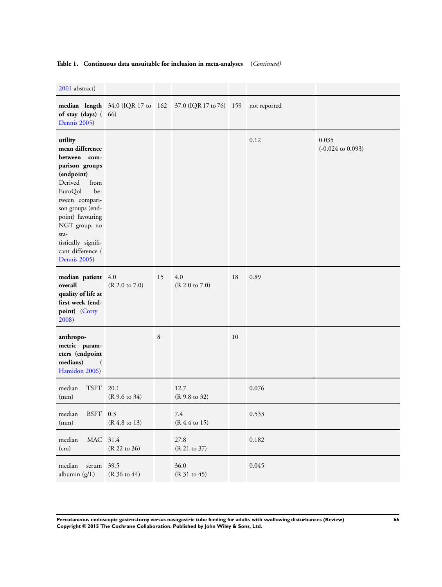### **Table 1. Continuous data unsuitable for inclusion in meta-analyses** (*Continued)*

[2001](#page-24-0) abstract)

| 2001 abstract)                                                                                                                                                                                                                                                 |                                  |    |                                                           |    |              |                                       |
|----------------------------------------------------------------------------------------------------------------------------------------------------------------------------------------------------------------------------------------------------------------|----------------------------------|----|-----------------------------------------------------------|----|--------------|---------------------------------------|
| of stay (days) (66)<br>Dennis 2005)                                                                                                                                                                                                                            |                                  |    | median length 34.0 (IQR 17 to 162 37.0 (IQR 17 to 76) 159 |    | not reported |                                       |
| utility<br>mean difference<br>between com-<br>parison groups<br>(endpoint)<br>Derived<br>from<br>EuroQol<br>be-<br>tween compari-<br>son groups (end-<br>point) favouring<br>NGT group, no<br>sta-<br>tistically signifi-<br>cant difference (<br>Dennis 2005) |                                  |    |                                                           |    | 0.12         | 0.035<br>$(-0.024 \text{ to } 0.093)$ |
| median patient 4.0<br>overall<br>quality of life at<br>first week (end-<br>point) (Corry<br>2008)                                                                                                                                                              | $(R 2.0 \text{ to } 7.0)$        | 15 | 4.0<br>$(R 2.0 \text{ to } 7.0)$                          | 18 | 0.89         |                                       |
| anthropo-<br>metric param-<br>eters (endpoint<br>medians)<br>$\left($<br>Hamidon 2006)                                                                                                                                                                         |                                  | 8  |                                                           | 10 |              |                                       |
| median<br>TSFT<br>(mm)                                                                                                                                                                                                                                         | 20.1<br>$(R 9.6 \text{ to } 34)$ |    | 12.7<br>(R 9.8 to 32)                                     |    | 0.076        |                                       |
| median<br>BSFT 0.3<br>(mm)                                                                                                                                                                                                                                     | (R 4.8 to 13)                    |    | 7.4<br>(R 4.4 to 15)                                      |    | 0.533        |                                       |
| $\rm MAC$<br>median<br>(cm)                                                                                                                                                                                                                                    | 31.4<br>(R 22 to 36)             |    | 27.8<br>(R 21 to 37)                                      |    | 0.182        |                                       |
| median<br>serum<br>albumin (g/L)                                                                                                                                                                                                                               | 39.5<br>(R 36 to 44)             |    | 36.0<br>(R 31 to 45)                                      |    | 0.045        |                                       |

**Percutaneous endoscopic gastrostomy versus nasogastric tube feeding for adults with swallowing disturbances (Review) 66 Copyright © 2015 The Cochrane Collaboration. Published by John Wiley & Sons, Ltd.**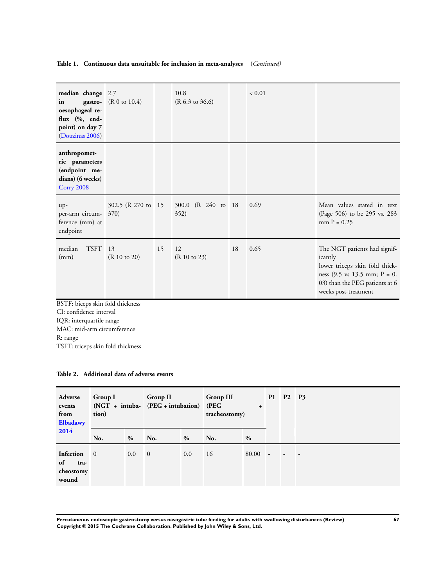### **Table 1. Continuous data unsuitable for inclusion in meta-analyses** (*Continued)*

| median change 2.7<br>gastro-<br>in<br>oesophageal re-<br>flux (%, end-<br>point) on day 7<br>(Douzinas 2006) | (R 0 to 10.4)               |    | 10.8<br>$(R 6.3 \text{ to } 36.6)$ |    | ${}< 0.01$ |                                                                                                                                                                                        |
|--------------------------------------------------------------------------------------------------------------|-----------------------------|----|------------------------------------|----|------------|----------------------------------------------------------------------------------------------------------------------------------------------------------------------------------------|
| anthropomet-<br>ric parameters<br>(endpoint me-<br>dians) (6 weeks)<br>Corry 2008                            |                             |    |                                    |    |            |                                                                                                                                                                                        |
| up-<br>per-arm circum-<br>ference (mm) at<br>endpoint                                                        | 302.5 (R 270 to 15)<br>370) |    | (R 240 to 18)<br>300.0<br>352)     |    | 0.69       | Mean values stated in text<br>(Page 506) to be 295 vs. 283<br>$mm P = 0.25$                                                                                                            |
| <b>TSFT</b><br>median<br>(mm)                                                                                | 13<br>(R 10 to 20)          | 15 | 12<br>(R 10 to 23)                 | 18 | 0.65       | The NGT patients had signif-<br>icantly<br>lower triceps skin fold thick-<br>ness $(9.5 \text{ vs } 13.5 \text{ mm}; P = 0.$<br>03) than the PEG patients at 6<br>weeks post-treatment |
| BSTF: biceps skin fold thickness<br>CI: confidence interval<br>IQR: interquartile range                      |                             |    |                                    |    |            |                                                                                                                                                                                        |

MAC: mid-arm circumference R: range TSFT: triceps skin fold thickness

| Table 2. Additional data of adverse events |  |
|--------------------------------------------|--|
|--------------------------------------------|--|

| Adverse<br>events<br>from<br>Elbadawy         | <b>Group I</b><br>tion) |      | <b>Group II</b><br>(NGT + intuba- (PEG + intubation) (PEG |      | <b>Group III</b><br>$\ddot{}$<br>tracheostomy) |       | P1                       | P <sub>2</sub> | P <sub>3</sub> |
|-----------------------------------------------|-------------------------|------|-----------------------------------------------------------|------|------------------------------------------------|-------|--------------------------|----------------|----------------|
| 2014                                          | No.                     | $\%$ | No.                                                       | $\%$ | No.                                            | $\%$  |                          |                |                |
| Infection<br>of<br>tra-<br>cheostomy<br>wound | $\overline{\mathbf{0}}$ | 0.0  | $\overline{0}$                                            | 0.0  | 16                                             | 80.00 | $\overline{\phantom{a}}$ |                |                |

**Percutaneous endoscopic gastrostomy versus nasogastric tube feeding for adults with swallowing disturbances (Review) 67 Copyright © 2015 The Cochrane Collaboration. Published by John Wiley & Sons, Ltd.**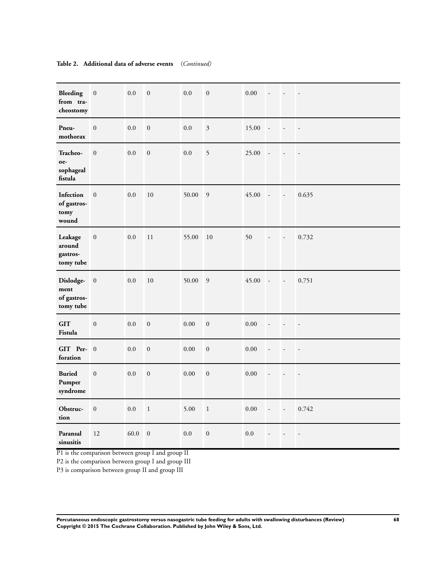| <b>Bleeding</b><br>from tra-<br>cheostomy     | $\boldsymbol{0}$ | 0.0  | $\boldsymbol{0}$ | $0.0\,$  | $\boldsymbol{0}$ | 0.00     | $\overline{a}$           | $\overline{\phantom{a}}$ | $\overline{\phantom{a}}$ |
|-----------------------------------------------|------------------|------|------------------|----------|------------------|----------|--------------------------|--------------------------|--------------------------|
| Pneu-<br>mothorax                             | $\boldsymbol{0}$ | 0.0  | $\boldsymbol{0}$ | 0.0      | $\mathfrak{Z}$   | 15.00    | $\overline{\phantom{a}}$ | $\overline{\phantom{a}}$ | $\overline{\phantom{a}}$ |
| Tracheo-<br>oe-<br>sophageal<br>fistula       | $\boldsymbol{0}$ | 0.0  | $\boldsymbol{0}$ | $0.0\,$  | 5                | 25.00    | $\overline{\phantom{a}}$ |                          | $\overline{\phantom{a}}$ |
| Infection<br>of gastros-<br>tomy<br>wound     | $\boldsymbol{0}$ | 0.0  | 10               | 50.00    | $\overline{9}$   | 45.00    | $\overline{a}$           | $\overline{a}$           | 0.635                    |
| Leakage<br>around<br>gastros-<br>tomy tube    | $\boldsymbol{0}$ | 0.0  | 11               | 55.00    | 10               | 50       | $\overline{a}$           | Ĭ.                       | 0.732                    |
| Dislodge-<br>ment<br>of gastros-<br>tomy tube | $\boldsymbol{0}$ | 0.0  | 10               | 50.00    | $\overline{9}$   | 45.00    | $\overline{\phantom{a}}$ | $\overline{\phantom{a}}$ | 0.751                    |
| <b>GIT</b><br>Fistula                         | $\boldsymbol{0}$ | 0.0  | $\boldsymbol{0}$ | 0.00     | $\boldsymbol{0}$ | $0.00\,$ | $\overline{\phantom{a}}$ | $\overline{\phantom{a}}$ | $\overline{\phantom{a}}$ |
| GIT Per- 0<br>foration                        |                  | 0.0  | $\boldsymbol{0}$ | $0.00\,$ | $\boldsymbol{0}$ | $0.00\,$ | $\overline{\phantom{a}}$ | $\overline{a}$           | $\overline{\phantom{a}}$ |
| <b>Buried</b><br>Pumper<br>syndrome           | $\boldsymbol{0}$ | 0.0  | $\boldsymbol{0}$ | 0.00     | $\boldsymbol{0}$ | 0.00     | $\overline{\phantom{a}}$ | L.                       | $\overline{\phantom{a}}$ |
| Obstruc-<br>tion                              | $\boldsymbol{0}$ | 0.0  | $\,1\,$          | 5.00     | $\,1\,$          | $0.00\,$ | $\overline{\phantom{a}}$ | $\overline{\phantom{a}}$ | 0.742                    |
| Paransal<br>sinusitis                         | 12               | 60.0 | $\boldsymbol{0}$ | 0.0      | $\boldsymbol{0}$ | 0.0      |                          |                          | $\overline{\phantom{a}}$ |

#### **Table 2. Additional data of adverse events** (*Continued)*

P1 is the comparison between group I and group II

P2 is the comparison between group I and group III

P3 is comparison between group II and group III

**Percutaneous endoscopic gastrostomy versus nasogastric tube feeding for adults with swallowing disturbances (Review) 68 Copyright © 2015 The Cochrane Collaboration. Published by John Wiley & Sons, Ltd.**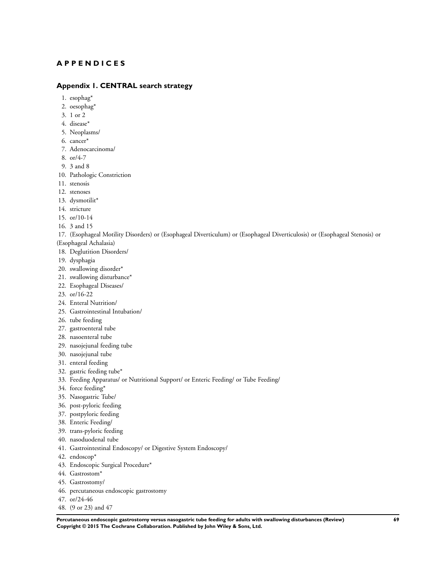### **A P P E N D I C E S**

#### **Appendix 1. CENTRAL search strategy**

- 1. esophag\*
- 2. oesophag\*
- 3. 1 or 2
- 4. disease\*
- 5. Neoplasms/
- 6. cancer\*
- 7. Adenocarcinoma/
- 8. or/4-7
- 9. 3 and 8
- 10. Pathologic Constriction
- 11. stenosis
- 12. stenoses
- 13. dysmotilit\*
- 14. stricture
- 15. or/10-14
- 16. 3 and 15
- 17. (Esophageal Motility Disorders) or (Esophageal Diverticulum) or (Esophageal Diverticulosis) or (Esophageal Stenosis) or
- (Esophageal Achalasia)
- 18. Deglutition Disorders/
- 19. dysphagia
- 20. swallowing disorder\*
- 21. swallowing disturbance\*
- 22. Esophageal Diseases/
- 23. or/16-22
- 24. Enteral Nutrition/
- 25. Gastrointestinal Intubation/
- 26. tube feeding
- 27. gastroenteral tube
- 28. nasoenteral tube
- 29. nasojejunal feeding tube
- 30. nasojejunal tube
- 31. enteral feeding
- 32. gastric feeding tube\*
- 33. Feeding Apparatus/ or Nutritional Support/ or Enteric Feeding/ or Tube Feeding/
- 34. force feeding\*
- 35. Nasogastric Tube/
- 36. post-pyloric feeding
- 37. postpyloric feeding
- 38. Enteric Feeding/
- 39. trans-pyloric feeding
- 40. nasoduodenal tube
- 41. Gastrointestinal Endoscopy/ or Digestive System Endoscopy/
- 42. endoscop\*
- 43. Endoscopic Surgical Procedure\*
- 44. Gastrostom\*
- 45. Gastrostomy/
- 46. percutaneous endoscopic gastrostomy
- 47. or/24-46
- 48. (9 or 23) and 47

**Percutaneous endoscopic gastrostomy versus nasogastric tube feeding for adults with swallowing disturbances (Review) 69 Copyright © 2015 The Cochrane Collaboration. Published by John Wiley & Sons, Ltd.**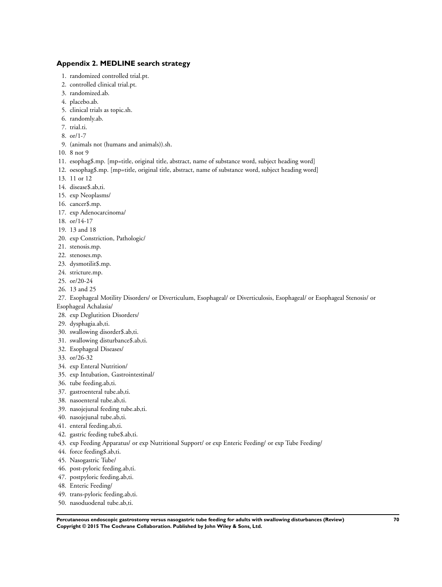## **Appendix 2. MEDLINE search strategy**

- 1. randomized controlled trial.pt.
- 2. controlled clinical trial.pt.
- 3. randomized.ab.
- 4. placebo.ab.
- 5. clinical trials as topic.sh.
- 6. randomly.ab.
- 7. trial.ti.
- 8. or/1-7
- 9. (animals not (humans and animals)).sh.
- 10. 8 not 9
- 11. esophag\$.mp. [mp=title, original title, abstract, name of substance word, subject heading word]
- 12. oesophag\$.mp. [mp=title, original title, abstract, name of substance word, subject heading word]
- 13. 11 or 12
- 14. disease\$.ab,ti.
- 15. exp Neoplasms/
- 16. cancer\$.mp.
- 17. exp Adenocarcinoma/
- 18. or/14-17
- 19. 13 and 18
- 20. exp Constriction, Pathologic/
- 21. stenosis.mp.
- 22. stenoses.mp.
- 23. dysmotilit\$.mp.
- 24. stricture.mp.
- 25. or/20-24
- 26. 13 and 25
- 27. Esophageal Motility Disorders/ or Diverticulum, Esophageal/ or Diverticulosis, Esophageal/ or Esophageal Stenosis/ or
- Esophageal Achalasia/
- 28. exp Deglutition Disorders/
- 29. dysphagia.ab,ti.
- 30. swallowing disorder\$.ab,ti.
- 31. swallowing disturbance\$.ab,ti.
- 32. Esophageal Diseases/
- 33. or/26-32
- 34. exp Enteral Nutrition/
- 35. exp Intubation, Gastrointestinal/
- 36. tube feeding.ab,ti.
- 37. gastroenteral tube.ab,ti.
- 38. nasoenteral tube.ab,ti.
- 39. nasojejunal feeding tube.ab,ti.
- 40. nasojejunal tube.ab,ti.
- 41. enteral feeding.ab,ti.
- 42. gastric feeding tube\$.ab,ti.
- 43. exp Feeding Apparatus/ or exp Nutritional Support/ or exp Enteric Feeding/ or exp Tube Feeding/
- 44. force feeding\$.ab,ti.
- 45. Nasogastric Tube/
- 46. post-pyloric feeding.ab,ti.
- 47. postpyloric feeding.ab,ti.
- 48. Enteric Feeding/
- 49. trans-pyloric feeding.ab,ti.
- 50. nasoduodenal tube.ab,ti.

**Percutaneous endoscopic gastrostomy versus nasogastric tube feeding for adults with swallowing disturbances (Review) 70 Copyright © 2015 The Cochrane Collaboration. Published by John Wiley & Sons, Ltd.**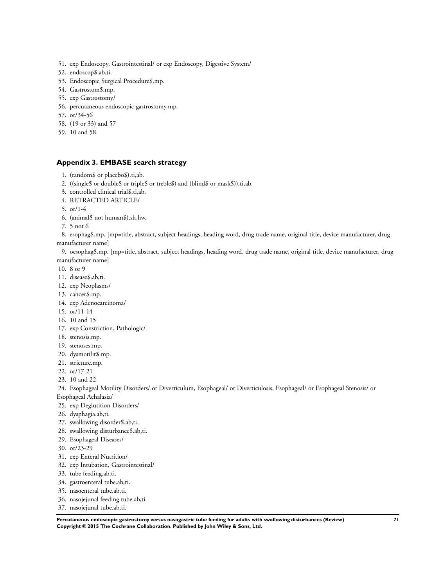- 51. exp Endoscopy, Gastrointestinal/ or exp Endoscopy, Digestive System/
- 52. endoscop\$.ab,ti.
- 53. Endoscopic Surgical Procedure\$.mp.
- 54. Gastrostom\$.mp.
- 55. exp Gastrostomy/
- 56. percutaneous endoscopic gastrostomy.mp.
- 57. or/34-56
- 58. (19 or 33) and 57
- 59. 10 and 58

## **Appendix 3. EMBASE search strategy**

- 1. (random\$ or placebo\$).ti,ab.
- 2. ((single\$ or double\$ or triple\$ or treble\$) and (blind\$ or mask\$)).ti,ab.
- 3. controlled clinical trial\$.ti,ab.
- 4. RETRACTED ARTICLE/
- 5. or/1-4
- 6. (animal\$ not human\$).sh,hw.
- 7. 5 not 6

8. esophag\$.mp. [mp=title, abstract, subject headings, heading word, drug trade name, original title, device manufacturer, drug manufacturer name]

9. oesophag\$.mp. [mp=title, abstract, subject headings, heading word, drug trade name, original title, device manufacturer, drug manufacturer name]

- 10. 8 or 9
- 11. disease\$.ab,ti.
- 12. exp Neoplasms/
- 13. cancer\$.mp.
- 14. exp Adenocarcinoma/
- 15. or/11-14
- 16. 10 and 15
- 17. exp Constriction, Pathologic/
- 18. stenosis.mp.
- 19. stenoses.mp.
- 20. dysmotilit\$.mp.
- 21. stricture.mp.
- 22. or/17-21
- 23. 10 and 22
- 24. Esophageal Motility Disorders/ or Diverticulum, Esophageal/ or Diverticulosis, Esophageal/ or Esophageal Stenosis/ or Esophageal Achalasia/
- 25. exp Deglutition Disorders/
- 26. dysphagia.ab,ti.
- 27. swallowing disorder\$.ab,ti.
- 28. swallowing disturbance\$.ab,ti.
- 29. Esophageal Diseases/
- 30. or/23-29
- 31. exp Enteral Nutrition/
- 32. exp Intubation, Gastrointestinal/
- 33. tube feeding.ab,ti.
- 34. gastroenteral tube.ab,ti.
- 35. nasoenteral tube.ab,ti.
- 36. nasojejunal feeding tube.ab,ti.
- 37. nasojejunal tube.ab,ti.

**Percutaneous endoscopic gastrostomy versus nasogastric tube feeding for adults with swallowing disturbances (Review) 71 Copyright © 2015 The Cochrane Collaboration. Published by John Wiley & Sons, Ltd.**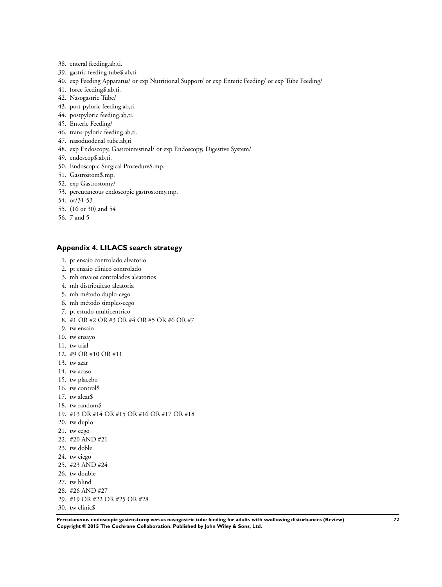- 38. enteral feeding.ab,ti.
- 39. gastric feeding tube\$.ab,ti.
- 40. exp Feeding Apparatus/ or exp Nutritional Support/ or exp Enteric Feeding/ or exp Tube Feeding/
- 41. force feeding\$.ab,ti.
- 42. Nasogastric Tube/
- 43. post-pyloric feeding.ab,ti.
- 44. postpyloric feeding.ab,ti.
- 45. Enteric Feeding/
- 46. trans-pyloric feeding.ab,ti.
- 47. nasoduodenal tube.ab,ti
- 48. exp Endoscopy, Gastrointestinal/ or exp Endoscopy, Digestive System/
- 49. endoscop\$.ab,ti.
- 50. Endoscopic Surgical Procedure\$.mp.
- 51. Gastrostom\$.mp.
- 52. exp Gastrostomy/
- 53. percutaneous endoscopic gastrostomy.mp.
- 54. or/31-53
- 55. (16 or 30) and 54
- 56. 7 and 5

### **Appendix 4. LILACS search strategy**

- 1. pt ensaio controlado aleatorio
- 2. pt ensaio clinico controlado
- 3. mh ensaios controlados aleatorios
- 4. mh distribuicao aleatoria
- 5. mh método duplo-cego
- 6. mh método simples-cego
- 7. pt estudo multicentrico
- 8. #1 OR #2 OR #3 OR #4 OR #5 OR #6 OR #7
- 9. tw ensaio
- 10. tw ensayo
- 11. tw trial
- 12. #9 OR #10 OR #11
- 13. tw azar
- 14. tw acaso
- 15. tw placebo
- 16. tw control\$
- 17. tw aleat\$
- 18. tw random\$
- 19. #13 OR #14 OR #15 OR #16 OR #17 OR #18
- 20. tw duplo
- 21. tw cego
- 22. #20 AND #21
- 23. tw doble
- 24. tw ciego
- 25. #23 AND #24
- 26. tw double
- 27. tw blind
- 28. #26 AND #27
- 29. #19 OR #22 OR #25 OR #28
- 30. tw clinic\$

**Percutaneous endoscopic gastrostomy versus nasogastric tube feeding for adults with swallowing disturbances (Review) 72 Copyright © 2015 The Cochrane Collaboration. Published by John Wiley & Sons, Ltd.**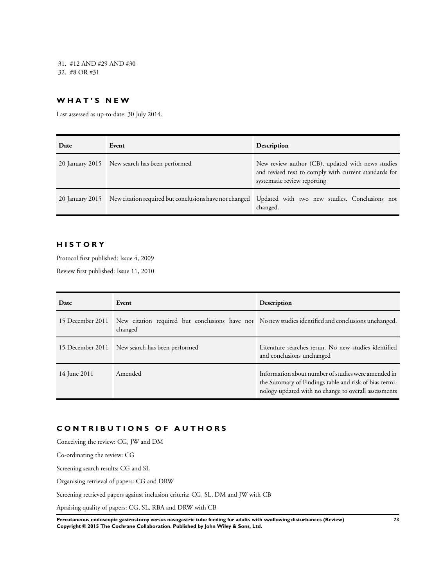31. #12 AND #29 AND #30 32. #8 OR #31

## **W H A T ' S N E W**

Last assessed as up-to-date: 30 July 2014.

| Date | Event                                         | Description                                                                                                                               |
|------|-----------------------------------------------|-------------------------------------------------------------------------------------------------------------------------------------------|
|      | 20 January 2015 New search has been performed | New review author (CB), updated with news studies<br>and revised text to comply with current standards for<br>systematic review reporting |
|      |                                               | 20 January 2015 New citation required but conclusions have not changed Updated with two new studies. Conclusions not<br>changed.          |

# **H I S T O R Y**

Protocol first published: Issue 4, 2009

Review first published: Issue 11, 2010

| Date             | Event                                                                                                          | Description                                                                                                                                                          |
|------------------|----------------------------------------------------------------------------------------------------------------|----------------------------------------------------------------------------------------------------------------------------------------------------------------------|
| 15 December 2011 | New citation required but conclusions have not No new studies identified and conclusions unchanged.<br>changed |                                                                                                                                                                      |
|                  | 15 December 2011 New search has been performed                                                                 | Literature searches rerun. No new studies identified<br>and conclusions unchanged                                                                                    |
| 14 June 2011     | Amended                                                                                                        | Information about number of studies were amended in<br>the Summary of Findings table and risk of bias termi-<br>nology updated with no change to overall assessments |

# **C O N T R I B U T I O N S O F A U T H O R S**

Conceiving the review: CG, JW and DM

Co-ordinating the review: CG

Screening search results: CG and SL

Organising retrieval of papers: CG and DRW

Screening retrieved papers against inclusion criteria: CG, SL, DM and JW with CB

Apraising quality of papers: CG, SL, RBA and DRW with CB

**Percutaneous endoscopic gastrostomy versus nasogastric tube feeding for adults with swallowing disturbances (Review) 73 Copyright © 2015 The Cochrane Collaboration. Published by John Wiley & Sons, Ltd.**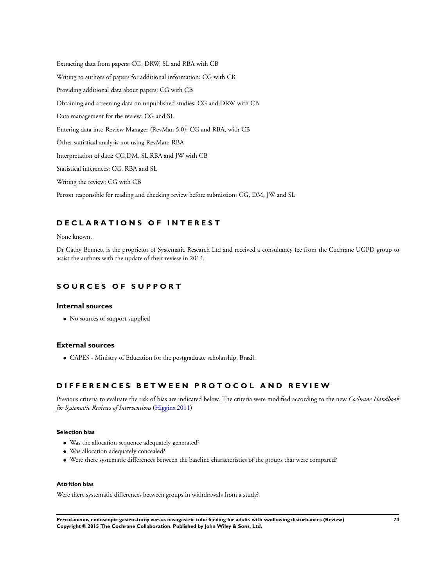Extracting data from papers: CG, DRW, SL and RBA with CB Writing to authors of papers for additional information: CG with CB Providing additional data about papers: CG with CB Obtaining and screening data on unpublished studies: CG and DRW with CB Data management for the review: CG and SL Entering data into Review Manager (RevMan 5.0): CG and RBA, with CB Other statistical analysis not using RevMan: RBA Interpretation of data: CG,DM, SL,RBA and JW with CB Statistical inferences: CG, RBA and SL Writing the review: CG with CB Person responsible for reading and checking review before submission: CG, DM, JW and SL

# **D E C L A R A T I O N S O F I N T E R E S T**

None known.

Dr Cathy Bennett is the proprietor of Systematic Research Ltd and received a consultancy fee from the Cochrane UGPD group to assist the authors with the update of their review in 2014.

# **S O U R C E S O F S U P P O R T**

### **Internal sources**

• No sources of support supplied

### **External sources**

• CAPES - Ministry of Education for the postgraduate scholarship, Brazil.

# **D I F F E R E N C E S B E T W E E N P R O T O C O L A N D R E V I E W**

Previous criteria to evaluate the risk of bias are indicated below. The criteria were modified according to the new *Cochrane Handbook for Systematic Reviews of Interventions* ([Higgins 2011](#page-24-0))

### **Selection bias**

- Was the allocation sequence adequately generated?
- Was allocation adequately concealed?
- Were there systematic differences between the baseline characteristics of the groups that were compared?

### **Attrition bias**

Were there systematic differences between groups in withdrawals from a study?

**Percutaneous endoscopic gastrostomy versus nasogastric tube feeding for adults with swallowing disturbances (Review) 74 Copyright © 2015 The Cochrane Collaboration. Published by John Wiley & Sons, Ltd.**